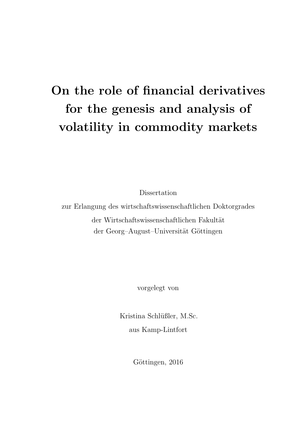# On the role of financial derivatives for the genesis and analysis of volatility in commodity markets

Dissertation

zur Erlangung des wirtschaftswissenschaftlichen Doktorgrades der Wirtschaftswissenschaftlichen Fakultät der Georg–August–Universität Göttingen

vorgelegt von

Kristina Schlüßler, M.Sc. aus Kamp-Lintfort

Göttingen, 2016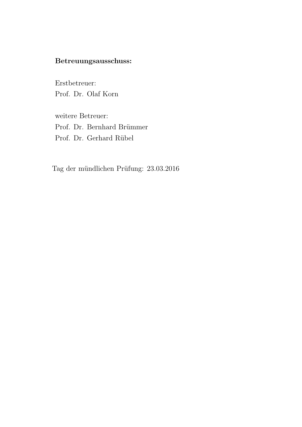# Betreuungsausschuss:

Erstbetreuer: Prof. Dr. Olaf Korn

weitere Betreuer: Prof. Dr. Bernhard Brümmer Prof. Dr. Gerhard Rübel

Tag der mündlichen Prüfung: 23.03.2016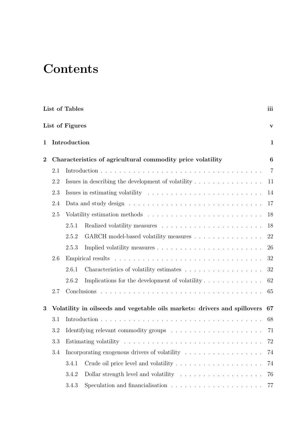# **Contents**

|                   | List of Tables<br>iii |                                                                                                            |                                                                                         |                 |  |
|-------------------|-----------------------|------------------------------------------------------------------------------------------------------------|-----------------------------------------------------------------------------------------|-----------------|--|
|                   |                       | List of Figures                                                                                            |                                                                                         | V               |  |
| Introduction<br>1 |                       |                                                                                                            |                                                                                         | $\mathbf{1}$    |  |
| $\overline{2}$    |                       |                                                                                                            | Characteristics of agricultural commodity price volatility                              | $6\phantom{.}6$ |  |
|                   | 2.1                   |                                                                                                            |                                                                                         | $\overline{7}$  |  |
|                   | 2.2                   |                                                                                                            | Issues in describing the development of volatility $\dots \dots \dots \dots \dots$      | 11              |  |
|                   | 2.3                   |                                                                                                            | Issues in estimating volatility $\dots \dots \dots \dots \dots \dots \dots \dots \dots$ | 14              |  |
|                   | 2.4                   |                                                                                                            |                                                                                         | 17              |  |
|                   | 2.5                   |                                                                                                            |                                                                                         | 18              |  |
|                   |                       | 2.5.1                                                                                                      |                                                                                         | 18              |  |
|                   |                       | 2.5.2                                                                                                      | GARCH model-based volatility measures                                                   | 22              |  |
|                   |                       | 2.5.3                                                                                                      |                                                                                         | 26              |  |
|                   | 2.6                   |                                                                                                            |                                                                                         | 32              |  |
|                   |                       | 2.6.1                                                                                                      |                                                                                         | 32              |  |
|                   |                       | 2.6.2                                                                                                      |                                                                                         | 62              |  |
|                   | 2.7                   |                                                                                                            |                                                                                         | 65              |  |
| 3                 |                       |                                                                                                            | Volatility in oilseeds and vegetable oils markets: drivers and spillovers               | 67              |  |
|                   | 3.1                   |                                                                                                            |                                                                                         | 68              |  |
|                   | 3.2                   | Identifying relevant commodity groups $\hfill\ldots\ldots\ldots\ldots\ldots\ldots\ldots\ldots\ldots\ldots$ |                                                                                         | 71              |  |
| 3.3<br>3.4        |                       |                                                                                                            | 72                                                                                      |                 |  |
|                   |                       | Incorporating exogenous drivers of volatility $\ldots \ldots \ldots \ldots \ldots$                         | 74                                                                                      |                 |  |
|                   |                       | 3.4.1                                                                                                      |                                                                                         | 74              |  |
|                   |                       | 3.4.2                                                                                                      | Dollar strength level and volatility $\dots \dots \dots \dots \dots \dots$              | 76              |  |
|                   |                       | 3.4.3                                                                                                      | Speculation and financialisation $\ldots \ldots \ldots \ldots \ldots \ldots \ldots$     | 77              |  |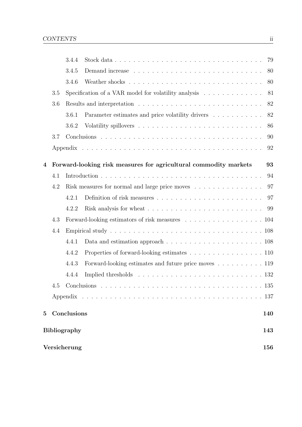|                                                        |                                                                                           | 3.4.4       |                                                                  | 79  |  |
|--------------------------------------------------------|-------------------------------------------------------------------------------------------|-------------|------------------------------------------------------------------|-----|--|
|                                                        |                                                                                           | 3.4.5       |                                                                  | 80  |  |
|                                                        |                                                                                           | 3.4.6       |                                                                  | 80  |  |
|                                                        | 3.5<br>Specification of a VAR model for volatility analysis $\ldots \ldots \ldots \ldots$ |             |                                                                  | 81  |  |
| 3.6                                                    |                                                                                           |             |                                                                  | 82  |  |
|                                                        |                                                                                           | 3.6.1       | Parameter estimates and price volatility drivers                 | 82  |  |
|                                                        |                                                                                           | 3.6.2       |                                                                  | 86  |  |
| 3.7                                                    |                                                                                           |             |                                                                  | 90  |  |
|                                                        |                                                                                           |             |                                                                  |     |  |
| 4                                                      |                                                                                           |             | Forward-looking risk measures for agricultural commodity markets | 93  |  |
|                                                        | 4.1                                                                                       |             |                                                                  | 94  |  |
|                                                        | 4.2                                                                                       |             | Risk measures for normal and large price moves                   | 97  |  |
|                                                        |                                                                                           | 4.2.1       |                                                                  | 97  |  |
|                                                        |                                                                                           | 4.2.2       |                                                                  | 99  |  |
| 4.3<br>Forward-looking estimators of risk measures 104 |                                                                                           |             |                                                                  |     |  |
|                                                        | $4.4\,$                                                                                   |             |                                                                  |     |  |
|                                                        |                                                                                           | 4.4.1       |                                                                  |     |  |
|                                                        |                                                                                           | 4.4.2       | Properties of forward-looking estimates 110                      |     |  |
|                                                        |                                                                                           | 4.4.3       | Forward-looking estimates and future price moves 119             |     |  |
|                                                        |                                                                                           | 4.4.4       |                                                                  |     |  |
|                                                        | 4.5                                                                                       |             |                                                                  |     |  |
|                                                        |                                                                                           |             |                                                                  |     |  |
| $5^{\circ}$                                            |                                                                                           | Conclusions |                                                                  | 140 |  |
|                                                        | <b>Bibliography</b><br>143                                                                |             |                                                                  |     |  |
|                                                        | Versicherung<br>156                                                                       |             |                                                                  |     |  |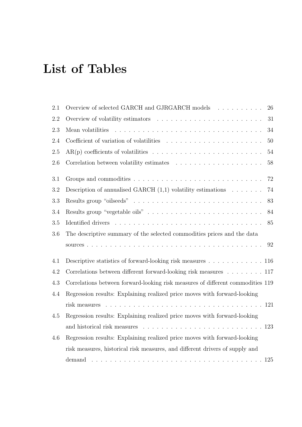# <span id="page-4-0"></span>List of Tables

| 2.1 | Overview of selected GARCH and GJRGARCH models<br>26                                                  |
|-----|-------------------------------------------------------------------------------------------------------|
| 2.2 | 31                                                                                                    |
| 2.3 | 34                                                                                                    |
| 2.4 | Coefficient of variation of volatilities $\ldots \ldots \ldots \ldots \ldots \ldots \ldots$<br>$50\,$ |
| 2.5 | 54                                                                                                    |
| 2.6 | $58\,$                                                                                                |
| 3.1 | 72                                                                                                    |
| 3.2 | Description of annualised GARCH $(1,1)$ volatility estimations<br>74                                  |
| 3.3 | 83                                                                                                    |
| 3.4 | 84                                                                                                    |
| 3.5 | 85                                                                                                    |
| 3.6 | The descriptive summary of the selected commodities prices and the data                               |
|     | 92                                                                                                    |
| 4.1 | Descriptive statistics of forward-looking risk measures $\dots \dots \dots \dots \dots \dots \dots$   |
| 4.2 | Correlations between different forward-looking risk measures 117                                      |
| 4.3 | Correlations between forward-looking risk measures of different commodities 119                       |
| 4.4 | Regression results: Explaining realized price moves with forward-looking                              |
|     |                                                                                                       |
| 4.5 | Regression results: Explaining realized price moves with forward-looking                              |
|     |                                                                                                       |
| 4.6 | Regression results: Explaining realized price moves with forward-looking                              |
|     | risk measures, historical risk measures, and different drivers of supply and                          |
|     |                                                                                                       |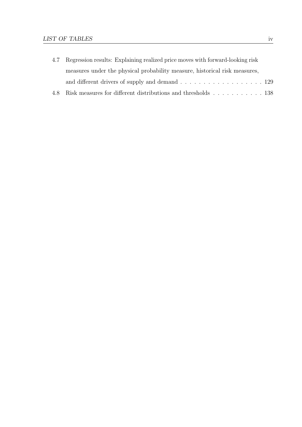| 4.7 Regression results: Explaining realized price moves with forward-looking risk |  |  |  |
|-----------------------------------------------------------------------------------|--|--|--|
| measures under the physical probability measure, historical risk measures,        |  |  |  |
|                                                                                   |  |  |  |
| 4.8 Risk measures for different distributions and thresholds 138                  |  |  |  |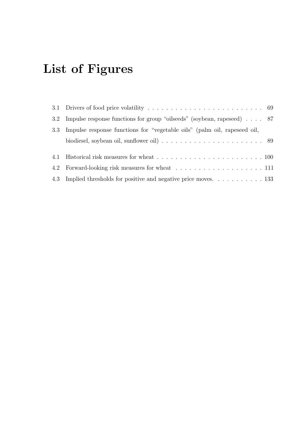# <span id="page-6-0"></span>List of Figures

|     | 3.2 Impulse response functions for group "oilseeds" (soybean, rapeseed) 87                                 |  |
|-----|------------------------------------------------------------------------------------------------------------|--|
| 3.3 | Impulse response functions for "vegetable oils" (palm oil, rapeseed oil,                                   |  |
|     | biodiesel, soybean oil, sunflower oil) $\ldots \ldots \ldots \ldots \ldots \ldots \ldots \ldots \ldots$ 89 |  |
|     |                                                                                                            |  |
|     |                                                                                                            |  |
|     |                                                                                                            |  |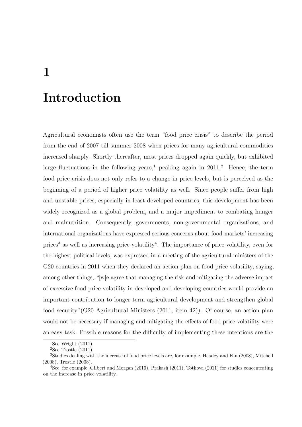# <span id="page-7-0"></span>Introduction

Agricultural economists often use the term "food price crisis" to describe the period from the end of 2007 till summer 2008 when prices for many agricultural commodities increased sharply. Shortly thereafter, most prices dropped again quickly, but exhibited large fluctuations in the following years,<sup>[1](#page-7-1)</sup> peaking again in [2](#page-7-2)011.<sup>2</sup> Hence, the term food price crisis does not only refer to a change in price levels, but is perceived as the beginning of a period of higher price volatility as well. Since people suffer from high and unstable prices, especially in least developed countries, this development has been widely recognized as a global problem, and a major impediment to combating hunger and malnutrition. Consequently, governments, non-governmental organizations, and international organizations have expressed serious concerns about food markets' increasing prices<sup>[3](#page-7-3)</sup> as well as increasing price volatility<sup>[4](#page-7-4)</sup>. The importance of price volatility, even for the highest political levels, was expressed in a meeting of the agricultural ministers of the G20 countries in 2011 when they declared an action plan on food price volatility, saying, among other things, "[w]e agree that managing the risk and mitigating the adverse impact of excessive food price volatility in developed and developing countries would provide an important contribution to longer term agricultural development and strengthen global food security"[\(G20 Agricultural Ministers](#page-154-0) [\(2011,](#page-154-0) item 42)). Of course, an action plan would not be necessary if managing and mitigating the effects of food price volatility were an easy task. Possible reasons for the difficulty of implementing these intentions are the

<span id="page-7-1"></span><sup>&</sup>lt;sup>1</sup>See [Wright](#page-161-0)  $(2011)$ .

<span id="page-7-3"></span><span id="page-7-2"></span><sup>&</sup>lt;sup>2</sup>See [Trostle](#page-160-0)  $(2011)$ .

<sup>3</sup>Studies dealing with the increase of food price levels are, for example, [Headey and Fan](#page-155-0) [\(2008\)](#page-155-0), [Mitchell](#page-158-0) [\(2008\)](#page-158-0), [Trostle](#page-160-1) [\(2008\)](#page-160-1).

<span id="page-7-4"></span><sup>4</sup>See, for example, [Gilbert and Morgan](#page-155-1) [\(2010\)](#page-155-1), [Prakash](#page-159-0) [\(2011\)](#page-159-0), [Tothova](#page-160-2) [\(2011\)](#page-160-2) for studies concentrating on the increase in price volatility.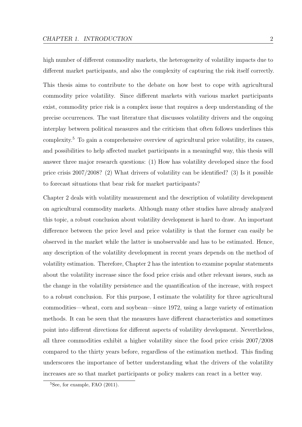high number of different commodity markets, the heterogeneity of volatility impacts due to different market participants, and also the complexity of capturing the risk itself correctly.

This thesis aims to contribute to the debate on how best to cope with agricultural commodity price volatility. Since different markets with various market participants exist, commodity price risk is a complex issue that requires a deep understanding of the precise occurrences. The vast literature that discusses volatility drivers and the ongoing interplay between political measures and the criticism that often follows underlines this complexity.[5](#page-8-0) To gain a comprehensive overview of agricultural price volatility, its causes, and possibilities to help affected market participants in a meaningful way, this thesis will answer three major research questions: (1) How has volatility developed since the food price crisis 2007/2008? (2) What drivers of volatility can be identified? (3) Is it possible to forecast situations that bear risk for market participants?

Chapter 2 deals with volatility measurement and the description of volatility development on agricultural commodity markets. Although many other studies have already analyzed this topic, a robust conclusion about volatility development is hard to draw. An important difference between the price level and price volatility is that the former can easily be observed in the market while the latter is unobservable and has to be estimated. Hence, any description of the volatility development in recent years depends on the method of volatility estimation. Therefore, Chapter 2 has the intention to examine popular statements about the volatility increase since the food price crisis and other relevant issues, such as the change in the volatility persistence and the quantification of the increase, with respect to a robust conclusion. For this purpose, I estimate the volatility for three agricultural commodities—wheat, corn and soybean—since 1972, using a large variety of estimation methods. It can be seen that the measures have different characteristics and sometimes point into different directions for different aspects of volatility development. Nevertheless, all three commodities exhibit a higher volatility since the food price crisis 2007/2008 compared to the thirty years before, regardless of the estimation method. This finding underscores the importance of better understanding what the drivers of the volatility increases are so that market participants or policy makers can react in a better way.

<span id="page-8-0"></span> ${}^{5}$ See, for example, [FAO](#page-154-1)  $(2011)$ .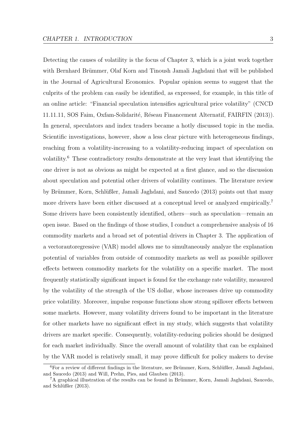Detecting the causes of volatility is the focus of Chapter 3, which is a joint work together with Bernhard Brümmer, Olaf Korn and Tinoush Jamali Jaghdani that will be published in the Journal of Agricultural Economics. Popular opinion seems to suggest that the culprits of the problem can easily be identified, as expressed, for example, in this title of an online article: "Financial speculation intensifies agricultural price volatility" [\(CNCD](#page-152-0) 11.11.11, SOS Faim, Oxfam-Solidarité, Réseau Financement Alternatif, FAIRFIN [\(2013\)](#page-152-0)). In general, speculators and index traders became a hotly discussed topic in the media. Scientific investigations, however, show a less clear picture with heterogeneous findings, reaching from a volatility-increasing to a volatility-reducing impact of speculation on volatility.[6](#page-9-0) These contradictory results demonstrate at the very least that identifying the one driver is not as obvious as might be expected at a first glance, and so the discussion about speculation and potential other drivers of volatility continues. The literature review by Brümmer, Korn, Schlüßler, Jamali Jaghdani, and Saucedo [\(2013\)](#page-152-1) points out that many more drivers have been either discussed at a conceptual level or analyzed empirically.<sup>[7](#page-9-1)</sup> Some drivers have been consistently identified, others—such as speculation—remain an open issue. Based on the findings of those studies, I conduct a comprehensive analysis of 16 commodity markets and a broad set of potential drivers in Chapter 3. The application of a vectorautoregressive (VAR) model allows me to simultaneously analyze the explanation potential of variables from outside of commodity markets as well as possible spillover effects between commodity markets for the volatility on a specific market. The most frequently statistically significant impact is found for the exchange rate volatility, measured by the volatility of the strength of the US dollar, whose increases drive up commodity price volatility. Moreover, impulse response functions show strong spillover effects between some markets. However, many volatility drivers found to be important in the literature for other markets have no significant effect in my study, which suggests that volatility drivers are market specific. Consequently, volatility-reducing policies should be designed for each market individually. Since the overall amount of volatility that can be explained by the VAR model is relatively small, it may prove difficult for policy makers to devise

<span id="page-9-0"></span> $6$ For a review of different findings in the literature, see Brümmer, Korn, Schlüßler, Jamali Jaghdani, [and Saucedo](#page-152-1) [\(2013\)](#page-152-1) and [Will, Prehn, Pies, and Glauben](#page-160-3) [\(2013\)](#page-160-3).

<span id="page-9-1"></span> ${}^{7}A$  graphical illustration of the results can be found in Brümmer, Korn, Jamali Jaghdani, Saucedo, and Schlüßler [\(2013\)](#page-151-0).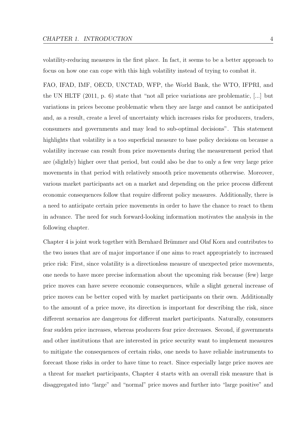volatility-reducing measures in the first place. In fact, it seems to be a better approach to focus on how one can cope with this high volatility instead of trying to combat it.

[FAO, IFAD, IMF, OECD, UNCTAD, WFP, the World Bank, the WTO, IFPRI, and](#page-154-2) [the UN HLTF](#page-154-2) [\(2011,](#page-154-2) p. 6) state that "not all price variations are problematic, [...] but variations in prices become problematic when they are large and cannot be anticipated and, as a result, create a level of uncertainty which increases risks for producers, traders, consumers and governments and may lead to sub-optimal decisions". This statement highlights that volatility is a too superficial measure to base policy decisions on because a volatility increase can result from price movements during the measurement period that are (slightly) higher over that period, but could also be due to only a few very large price movements in that period with relatively smooth price movements otherwise. Moreover, various market participants act on a market and depending on the price process different economic consequences follow that require different policy measures. Additionally, there is a need to anticipate certain price movements in order to have the chance to react to them in advance. The need for such forward-looking information motivates the analysis in the following chapter.

Chapter 4 is joint work together with Bernhard Brümmer and Olaf Korn and contributes to the two issues that are of major importance if one aims to react appropriately to increased price risk: First, since volatility is a directionless measure of unexpected price movements, one needs to have more precise information about the upcoming risk because (few) large price moves can have severe economic consequences, while a slight general increase of price moves can be better coped with by market participants on their own. Additionally to the amount of a price move, its direction is important for describing the risk, since different scenarios are dangerous for different market participants. Naturally, consumers fear sudden price increases, whereas producers fear price decreases. Second, if governments and other institutions that are interested in price security want to implement measures to mitigate the consequences of certain risks, one needs to have reliable instruments to forecast those risks in order to have time to react. Since especially large price moves are a threat for market participants, Chapter 4 starts with an overall risk measure that is disaggregated into "large" and "normal" price moves and further into "large positive" and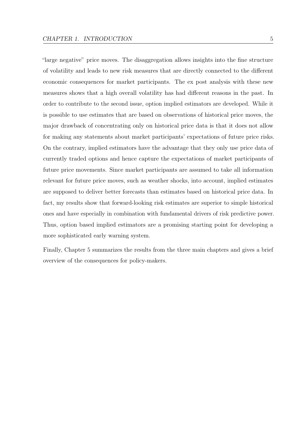"large negative" price moves. The disaggregation allows insights into the fine structure of volatility and leads to new risk measures that are directly connected to the different economic consequences for market participants. The ex post analysis with these new measures shows that a high overall volatility has had different reasons in the past. In order to contribute to the second issue, option implied estimators are developed. While it is possible to use estimates that are based on observations of historical price moves, the major drawback of concentrating only on historical price data is that it does not allow for making any statements about market participants' expectations of future price risks. On the contrary, implied estimators have the advantage that they only use price data of currently traded options and hence capture the expectations of market participants of future price movements. Since market participants are assumed to take all information relevant for future price moves, such as weather shocks, into account, implied estimates are supposed to deliver better forecasts than estimates based on historical price data. In fact, my results show that forward-looking risk estimates are superior to simple historical ones and have especially in combination with fundamental drivers of risk predictive power. Thus, option based implied estimators are a promising starting point for developing a more sophisticated early warning system.

Finally, Chapter 5 summarizes the results from the three main chapters and gives a brief overview of the consequences for policy-makers.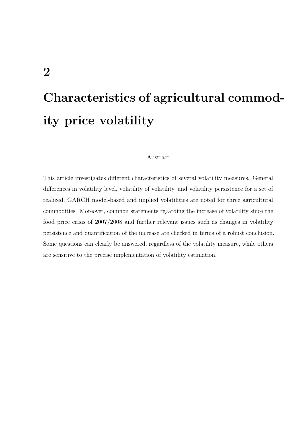# <span id="page-12-0"></span>Characteristics of agricultural commodity price volatility

#### Abstract

This article investigates different characteristics of several volatility measures. General differences in volatility level, volatility of volatility, and volatility persistence for a set of realized, GARCH model-based and implied volatilities are noted for three agricultural commodities. Moreover, common statements regarding the increase of volatility since the food price crisis of 2007/2008 and further relevant issues such as changes in volatility persistence and quantification of the increase are checked in terms of a robust conclusion. Some questions can clearly be answered, regardless of the volatility measure, while others are sensitive to the precise implementation of volatility estimation.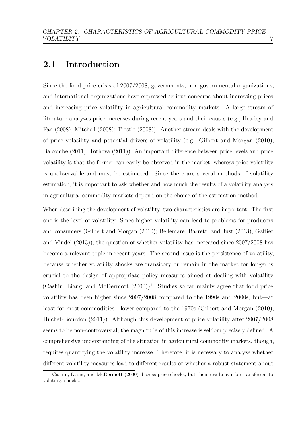# <span id="page-13-0"></span>2.1 Introduction

Since the food price crisis of 2007/2008, governments, non-governmental organizations, and international organizations have expressed serious concerns about increasing prices and increasing price volatility in agricultural commodity markets. A large stream of literature analyzes price increases during recent years and their causes (e.g., [Headey and](#page-155-0) [Fan](#page-155-0) [\(2008\)](#page-155-0); [Mitchell](#page-158-0) [\(2008\)](#page-158-0); [Trostle](#page-160-1) [\(2008\)](#page-160-1)). Another stream deals with the development of price volatility and potential drivers of volatility (e.g., [Gilbert and Morgan](#page-155-1) [\(2010\)](#page-155-1); [Balcombe](#page-150-0) [\(2011\)](#page-150-0); [Tothova](#page-160-2) [\(2011\)](#page-160-2)). An important difference between price levels and price volatility is that the former can easily be observed in the market, whereas price volatility is unobservable and must be estimated. Since there are several methods of volatility estimation, it is important to ask whether and how much the results of a volatility analysis in agricultural commodity markets depend on the choice of the estimation method.

When describing the development of volatility, two characteristics are important: The first one is the level of volatility. Since higher volatility can lead to problems for producers and consumers [\(Gilbert and Morgan](#page-155-1) [\(2010\)](#page-155-1); [Bellemare, Barrett, and Just](#page-150-1) [\(2013\)](#page-150-1); [Galtier](#page-154-3) [and Vindel](#page-154-3) [\(2013\)](#page-154-3)), the question of whether volatility has increased since 2007/2008 has become a relevant topic in recent years. The second issue is the persistence of volatility, because whether volatility shocks are transitory or remain in the market for longer is crucial to the design of appropriate policy measures aimed at dealing with volatility  $(Cashin, Liang, and McDermott (2000))<sup>1</sup>$  $(Cashin, Liang, and McDermott (2000))<sup>1</sup>$  $(Cashin, Liang, and McDermott (2000))<sup>1</sup>$  $(Cashin, Liang, and McDermott (2000))<sup>1</sup>$  $(Cashin, Liang, and McDermott (2000))<sup>1</sup>$  $(Cashin, Liang, and McDermott (2000))<sup>1</sup>$ . Studies so far mainly agree that food price volatility has been higher since 2007/2008 compared to the 1990s and 2000s, but—at least for most commodities—lower compared to the 1970s [\(Gilbert and Morgan](#page-155-1) [\(2010\)](#page-155-1); [Huchet-Bourdon](#page-156-0) [\(2011\)](#page-156-0)). Although this development of price volatility after 2007/2008 seems to be non-controversial, the magnitude of this increase is seldom precisely defined. A comprehensive understanding of the situation in agricultural commodity markets, though, requires quantifying the volatility increase. Therefore, it is necessary to analyze whether different volatility measures lead to different results or whether a robust statement about

<span id="page-13-1"></span><sup>&</sup>lt;sup>1</sup>[Cashin, Liang, and McDermott](#page-152-2) [\(2000\)](#page-152-2) discuss price shocks, but their results can be transferred to volatility shocks.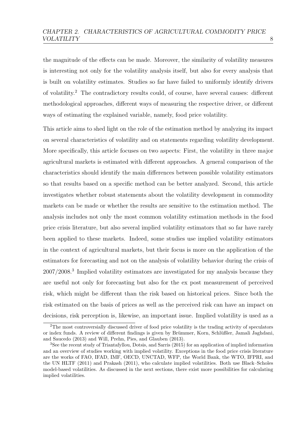the magnitude of the effects can be made. Moreover, the similarity of volatility measures is interesting not only for the volatility analysis itself, but also for every analysis that is built on volatility estimates. Studies so far have failed to uniformly identify drivers of volatility.<sup>[2](#page-14-0)</sup> The contradictory results could, of course, have several causes: different methodological approaches, different ways of measuring the respective driver, or different ways of estimating the explained variable, namely, food price volatility.

This article aims to shed light on the role of the estimation method by analyzing its impact on several characteristics of volatility and on statements regarding volatility development. More specifically, this article focuses on two aspects: First, the volatility in three major agricultural markets is estimated with different approaches. A general comparison of the characteristics should identify the main differences between possible volatility estimators so that results based on a specific method can be better analyzed. Second, this article investigates whether robust statements about the volatility development in commodity markets can be made or whether the results are sensitive to the estimation method. The analysis includes not only the most common volatility estimation methods in the food price crisis literature, but also several implied volatility estimators that so far have rarely been applied to these markets. Indeed, some studies use implied volatility estimators in the context of agricultural markets, but their focus is more on the application of the estimators for forecasting and not on the analysis of volatility behavior during the crisis of 2007/2008.[3](#page-14-1) Implied volatility estimators are investigated for my analysis because they are useful not only for forecasting but also for the ex post measurement of perceived risk, which might be different than the risk based on historical prices. Since both the risk estimated on the basis of prices as well as the perceived risk can have an impact on decisions, risk perception is, likewise, an important issue. Implied volatility is used as a

<span id="page-14-0"></span><sup>2</sup>The most controversially discussed driver of food price volatility is the trading activity of speculators or index funds. A review of different findings is given by Brümmer, Korn, Schlüßler, Jamali Jaghdani, [and Saucedo](#page-152-1) [\(2013\)](#page-152-1) and [Will, Prehn, Pies, and Glauben](#page-160-3) [\(2013\)](#page-160-3).

<span id="page-14-1"></span><sup>3</sup>See the recent study of [Triantafyllou, Dotsis, and Sarris](#page-160-4) [\(2015\)](#page-160-4) for an application of implied information and an overview of studies working with implied volatility. Exceptions in the food price crisis literature are the works of [FAO, IFAD, IMF, OECD, UNCTAD, WFP, the World Bank, the WTO, IFPRI, and](#page-154-2) [the UN HLTF](#page-154-2) [\(2011\)](#page-154-2) and [Prakash](#page-159-0) [\(2011\)](#page-159-0), who calculate implied volatilities. Both use Black–Scholes model-based volatilities. As discussed in the next sections, there exist more possibilities for calculating implied volatilities.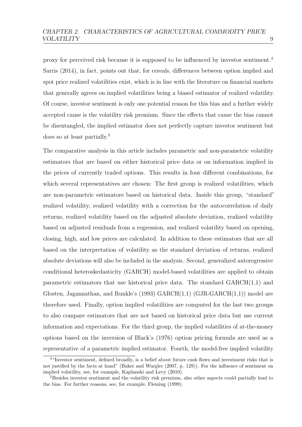proxy for perceived risk because it is supposed to be influenced by investor sentiment.[4](#page-15-0) [Sarris](#page-159-1) [\(2014\)](#page-159-1), in fact, points out that, for cereals, differences between option implied and spot price realized volatilities exist, which is in line with the literature on financial markets that generally agrees on implied volatilities being a biased estimator of realized volatility. Of course, investor sentiment is only one potential reason for this bias and a further widely accepted cause is the volatility risk premium. Since the effects that cause the bias cannot be disentangled, the implied estimator does not perfectly capture investor sentiment but does so at least partially.[5](#page-15-1)

The comparative analysis in this article includes parametric and non-parametric volatility estimators that are based on either historical price data or on information implied in the prices of currently traded options. This results in four different combinations, for which several representatives are chosen: The first group is realized volatilities, which are non-parametric estimators based on historical data. Inside this group, "standard" realized volatility, realized volatility with a correction for the autocorrelation of daily returns, realized volatility based on the adjusted absolute deviation, realized volatility based on adjusted residuals from a regression, and realized volatility based on opening, closing, high, and low prices are calculated. In addition to these estimators that are all based on the interpretation of volatility as the standard deviation of returns, realized absolute deviations will also be included in the analysis. Second, generalized autoregressive conditional heteroskedasticity (GARCH) model-based volatilities are applied to obtain parametric estimators that use historical price data. The standard  $GARCH(1,1)$  and [Glosten, Jagannathan, and Runkle'](#page-155-2)s [\(1993\)](#page-155-2) GARCH(1,1) (GJR-GARCH(1,1)) model are therefore used. Finally, option implied volatilities are computed for the last two groups to also compare estimators that are not based on historical price data but use current information and expectations. For the third group, the implied volatilities of at-the-money options based on the inversion of [Black'](#page-150-2)s [\(1976\)](#page-150-2) option pricing formula are used as a representative of a parametric implied estimator. Fourth, the model-free implied volatility

<span id="page-15-0"></span><sup>4</sup>"Investor sentiment, defined broadly, is a belief about future cash flows and investment risks that is not justified by the facts at hand" [\(Baker and Wurgler](#page-150-3) [\(2007,](#page-150-3) p. 129)). For the influence of sentiment on implied volatility, see, for example, [Kaplanski and Levy](#page-156-1) [\(2010\)](#page-156-1).

<span id="page-15-1"></span><sup>&</sup>lt;sup>5</sup>Besides investor sentiment and the volatility risk premium, also other aspects could partially lead to the bias. For further reasons, see, for example, [Fleming](#page-154-4) [\(1999\)](#page-154-4).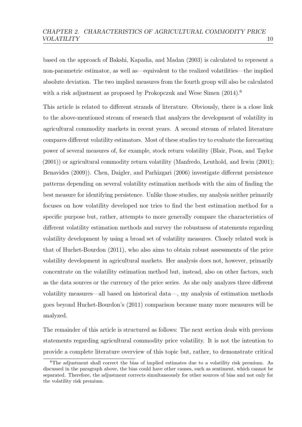based on the approach of [Bakshi, Kapadia, and Madan](#page-150-4) [\(2003\)](#page-150-4) is calculated to represent a non-parametric estimator, as well as—equivalent to the realized volatilities—the implied absolute deviation. The two implied measures from the fourth group will also be calculated with a risk adjustment as proposed by [Prokopczuk and Wese Simen](#page-159-2)  $(2014)$ .<sup>[6](#page-16-0)</sup>

This article is related to different strands of literature. Obviously, there is a close link to the above-mentioned stream of research that analyzes the development of volatility in agricultural commodity markets in recent years. A second stream of related literature compares different volatility estimators. Most of these studies try to evaluate the forecasting power of several measures of, for example, stock return volatility [\(Blair, Poon, and Taylor](#page-151-1) [\(2001\)](#page-151-1)) or agricultural commodity return volatility [\(Manfredo, Leuthold, and Irwin](#page-157-0) [\(2001\)](#page-157-0); [Benavides](#page-150-5) [\(2009\)](#page-150-5)). [Chen, Daigler, and Parhizgari](#page-152-3) [\(2006\)](#page-152-3) investigate different persistence patterns depending on several volatility estimation methods with the aim of finding the best measure for identifying persistence. Unlike those studies, my analysis neither primarily focuses on how volatility developed nor tries to find the best estimation method for a specific purpose but, rather, attempts to more generally compare the characteristics of different volatility estimation methods and survey the robustness of statements regarding volatility development by using a broad set of volatility measures. Closely related work is that of [Huchet-Bourdon](#page-156-0) [\(2011\)](#page-156-0), who also aims to obtain robust assessments of the price volatility development in agricultural markets. Her analysis does not, however, primarily concentrate on the volatility estimation method but, instead, also on other factors, such as the data sources or the currency of the price series. As she only analyzes three different volatility measures—all based on historical data—, my analysis of estimation methods goes beyond [Huchet-Bourdon'](#page-156-0)s [\(2011\)](#page-156-0) comparison because many more measures will be analyzed.

The remainder of this article is structured as follows: The next section deals with previous statements regarding agricultural commodity price volatility. It is not the intention to provide a complete literature overview of this topic but, rather, to demonstrate critical

<span id="page-16-0"></span> $6$ The adjustment shall correct the bias of implied estimates due to a volatility risk premium. As discussed in the paragraph above, the bias could have other causes, such as sentiment, which cannot be separated. Therefore, the adjustment corrects simultaneously for other sources of bias and not only for the volatility risk premium.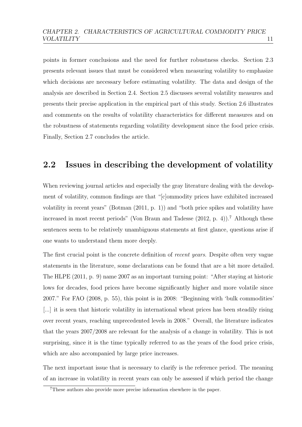points in former conclusions and the need for further robustness checks. Section [2.3](#page-20-0) presents relevant issues that must be considered when measuring volatility to emphasize which decisions are necessary before estimating volatility. The data and design of the analysis are described in Section [2.4.](#page-23-0) Section [2.5](#page-24-0) discusses several volatility measures and presents their precise application in the empirical part of this study. Section [2.6](#page-38-0) illustrates and comments on the results of volatility characteristics for different measures and on the robustness of statements regarding volatility development since the food price crisis. Finally, Section [2.7](#page-71-0) concludes the article.

# <span id="page-17-0"></span>2.2 Issues in describing the development of volatility

When reviewing journal articles and especially the gray literature dealing with the development of volatility, common findings are that "[c]ommodity prices have exhibited increased volatility in recent years" [\(Botman](#page-151-2) [\(2011,](#page-151-2) p. 1)) and "both price spikes and volatility have increased in most recent periods" [\(Von Braun and Tadesse](#page-160-5)  $(2012, p. 4)$  $(2012, p. 4)$ ).<sup>[7](#page-17-1)</sup> Although these sentences seem to be relatively unambiguous statements at first glance, questions arise if one wants to understand them more deeply.

The first crucial point is the concrete definition of *recent years*. Despite often very vague statements in the literature, some declarations can be found that are a bit more detailed. The [HLPE](#page-156-2) [\(2011,](#page-156-2) p. 9) name 2007 as an important turning point: "After staying at historic lows for decades, food prices have become significantly higher and more volatile since 2007." For [FAO](#page-153-0) [\(2008,](#page-153-0) p. 55), this point is in 2008: "Beginning with 'bulk commodities' [...] it is seen that historic volatility in international wheat prices has been steadily rising over recent years, reaching unprecedented levels in 2008." Overall, the literature indicates that the years 2007/2008 are relevant for the analysis of a change in volatility. This is not surprising, since it is the time typically referred to as the years of the food price crisis, which are also accompanied by large price increases.

The next important issue that is necessary to clarify is the reference period. The meaning of an increase in volatility in recent years can only be assessed if which period the change

<span id="page-17-1"></span><sup>7</sup>These authors also provide more precise information elsewhere in the paper.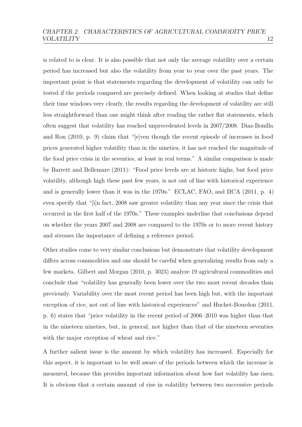is related to is clear. It is also possible that not only the average volatility over a certain period has increased but also the volatility from year to year over the past years. The important point is that statements regarding the development of volatility can only be tested if the periods compared are precisely defined. When looking at studies that define their time windows very clearly, the results regarding the development of volatility are still less straightforward than one might think after reading the rather flat statements, which often suggest that volatility has reached unprecedented levels in 2007/2008. [Diaz-Bonilla](#page-153-1) [and Ron](#page-153-1) [\(2010,](#page-153-1) p. 9) claim that "[e]ven though the recent episode of increases in food prices generated higher volatility than in the nineties, it has not reached the magnitude of the food price crisis in the seventies, at least in real terms." A similar comparison is made by [Barrett and Bellemare](#page-150-6) [\(2011\)](#page-150-6): "Food price levels are at historic highs, but food price volatility, although high these past few years, is not out of line with historical experience and is generally lower than it was in the 1970s." [ECLAC, FAO, and IICA](#page-153-2) [\(2011,](#page-153-2) p. 4) even specify that "[i]n fact, 2008 saw greater volatility than any year since the crisis that occurred in the first half of the 1970s." These examples underline that conclusions depend on whether the years 2007 and 2008 are compared to the 1970s or to more recent history and stresses the importance of defining a reference period.

Other studies come to very similar conclusions but demonstrate that volatility development differs across commodities and one should be careful when generalizing results from only a few markets. [Gilbert and Morgan](#page-155-1) [\(2010,](#page-155-1) p. 3023) analyze 19 agricultural commodities and conclude that "volatility has generally been lower over the two most recent decades than previously. Variability over the most recent period has been high but, with the important exception of rice, not out of line with historical experiences" and [Huchet-Bourdon](#page-156-0) [\(2011,](#page-156-0) p. 6) states that "price volatility in the recent period of 2006–2010 was higher than that in the nineteen nineties, but, in general, not higher than that of the nineteen seventies with the major exception of wheat and rice."

A further salient issue is the amount by which volatility has increased. Especially for this aspect, it is important to be well aware of the periods between which the increase is measured, because this provides important information about how fast volatility has risen. It is obvious that a certain amount of rise in volatility between two successive periods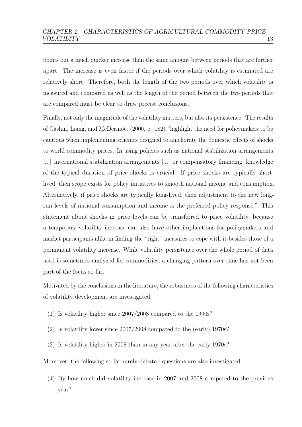points out a much quicker increase than the same amount between periods that are further apart. The increase is even faster if the periods over which volatility is estimated are relatively short. Therefore, both the length of the two periods over which volatility is measured and compared as well as the length of the period between the two periods that are compared must be clear to draw precise conclusions.

Finally, not only the magnitude of the volatility matters, but also its persistence. The results of [Cashin, Liang, and McDermott](#page-152-2) [\(2000,](#page-152-2) p. 182) "highlight the need for policymakers to be cautious when implementing schemes designed to ameliorate the domestic effects of shocks to world commodity prices. In using policies such as national stabilization arrangements [...] international stabilization arrangements [...] or compensatory financing, knowledge of the typical duration of price shocks is crucial. If price shocks are typically shortlived, then scope exists for policy initiatives to smooth national income and consumption. Alternatively, if price shocks are typically long-lived, then adjustment to the new longrun levels of national consumption and income is the preferred policy response." This statement about shocks in price levels can be transferred to price volatility, because a temporary volatility increase can also have other implications for policymakers and market participants alike in finding the "right" measures to cope with it besides those of a permanent volatility increase. While volatility persistence over the whole period of data used is sometimes analyzed for commodities, a changing pattern over time has not been part of the focus so far.

Motivated by the conclusions in the literature, the robustness of the following characteristics of volatility development are investigated:

- (1) Is volatility higher since 2007/2008 compared to the 1990s?
- (2) Is volatility lower since 2007/2008 compared to the (early) 1970s?
- (3) Is volatility higher in 2008 than in any year after the early 1970s?

Moreover, the following so far rarely debated questions are also investigated:

(4) By how much did volatility increase in 2007 and 2008 compared to the previous year?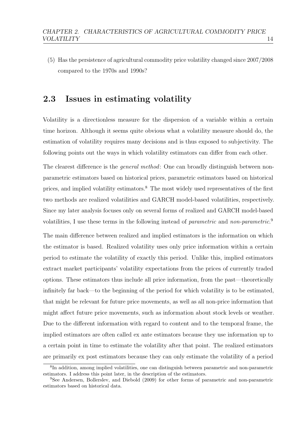(5) Has the persistence of agricultural commodity price volatility changed since 2007/2008 compared to the 1970s and 1990s?

# <span id="page-20-0"></span>2.3 Issues in estimating volatility

Volatility is a directionless measure for the dispersion of a variable within a certain time horizon. Although it seems quite obvious what a volatility measure should do, the estimation of volatility requires many decisions and is thus exposed to subjectivity. The following points out the ways in which volatility estimators can differ from each other.

The clearest difference is the *general method*: One can broadly distinguish between nonparametric estimators based on historical prices, parametric estimators based on historical prices, and implied volatility estimators.[8](#page-20-1) The most widely used representatives of the first two methods are realized volatilities and GARCH model-based volatilities, respectively. Since my later analysis focuses only on several forms of realized and GARCH model-based volatilities, I use these terms in the following instead of *parametric* and *non-parametric*.<sup>[9](#page-20-2)</sup>

The main difference between realized and implied estimators is the information on which the estimator is based. Realized volatility uses only price information within a certain period to estimate the volatility of exactly this period. Unlike this, implied estimators extract market participants' volatility expectations from the prices of currently traded options. These estimators thus include all price information, from the past—theoretically infinitely far back—to the beginning of the period for which volatility is to be estimated, that might be relevant for future price movements, as well as all non-price information that might affect future price movements, such as information about stock levels or weather. Due to the different information with regard to content and to the temporal frame, the implied estimators are often called ex ante estimators because they use information up to a certain point in time to estimate the volatility after that point. The realized estimators are primarily ex post estimators because they can only estimate the volatility of a period

<span id="page-20-1"></span><sup>8</sup> In addition, among implied volatilities, one can distinguish between parametric and non-parametric estimators. I address this point later, in the description of the estimators.

<span id="page-20-2"></span><sup>9</sup>See [Andersen, Bollerslev, and Diebold](#page-149-1) [\(2009\)](#page-149-1) for other forms of parametric and non-parametric estimators based on historical data.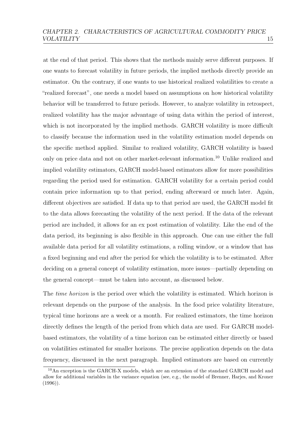at the end of that period. This shows that the methods mainly serve different purposes. If one wants to forecast volatility in future periods, the implied methods directly provide an estimator. On the contrary, if one wants to use historical realized volatilities to create a "realized forecast", one needs a model based on assumptions on how historical volatility behavior will be transferred to future periods. However, to analyze volatility in retrospect, realized volatility has the major advantage of using data within the period of interest, which is not incorporated by the implied methods. GARCH volatility is more difficult to classify because the information used in the volatility estimation model depends on the specific method applied. Similar to realized volatility, GARCH volatility is based only on price data and not on other market-relevant information.[10](#page-21-0) Unlike realized and implied volatility estimators, GARCH model-based estimators allow for more possibilities regarding the period used for estimation. GARCH volatility for a certain period could contain price information up to that period, ending afterward or much later. Again, different objectives are satisfied. If data up to that period are used, the GARCH model fit to the data allows forecasting the volatility of the next period. If the data of the relevant period are included, it allows for an ex post estimation of volatility. Like the end of the data period, its beginning is also flexible in this approach. One can use either the full available data period for all volatility estimations, a rolling window, or a window that has a fixed beginning and end after the period for which the volatility is to be estimated. After deciding on a general concept of volatility estimation, more issues—partially depending on the general concept—must be taken into account, as discussed below.

The *time horizon* is the period over which the volatility is estimated. Which horizon is relevant depends on the purpose of the analysis. In the food price volatility literature, typical time horizons are a week or a month. For realized estimators, the time horizon directly defines the length of the period from which data are used. For GARCH modelbased estimators, the volatility of a time horizon can be estimated either directly or based on volatilities estimated for smaller horizons. The precise application depends on the data frequency, discussed in the next paragraph. Implied estimators are based on currently

<span id="page-21-0"></span><sup>10</sup>An exception is the GARCH-X models, which are an extension of the standard GARCH model and allow for additional variables in the variance equation (see, e.g., the model of [Brenner, Harjes, and Kroner](#page-151-3)  $(1996)$ ).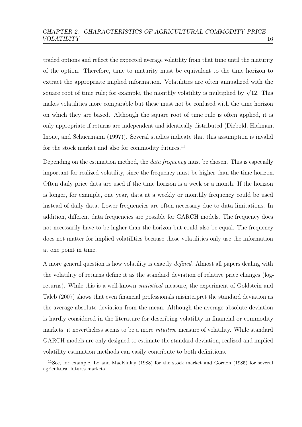traded options and reflect the expected average volatility from that time until the maturity of the option. Therefore, time to maturity must be equivalent to the time horizon to extract the appropriate implied information. Volatilities are often annualized with the square root of time rule; for example, the monthly volatility is multiplied by  $\sqrt{12}$ . This makes volatilities more comparable but these must not be confused with the time horizon on which they are based. Although the square root of time rule is often applied, it is only appropriate if returns are independent and identically distributed [\(Diebold, Hickman,](#page-153-3) [Inoue, and Schuermann](#page-153-3) [\(1997\)](#page-153-3)). Several studies indicate that this assumption is invalid for the stock market and also for commodity futures.<sup>[11](#page-22-0)</sup>

Depending on the estimation method, the *data frequency* must be chosen. This is especially important for realized volatility, since the frequency must be higher than the time horizon. Often daily price data are used if the time horizon is a week or a month. If the horizon is longer, for example, one year, data at a weekly or monthly frequency could be used instead of daily data. Lower frequencies are often necessary due to data limitations. In addition, different data frequencies are possible for GARCH models. The frequency does not necessarily have to be higher than the horizon but could also be equal. The frequency does not matter for implied volatilities because those volatilities only use the information at one point in time.

A more general question is how volatility is exactly defined. Almost all papers dealing with the volatility of returns define it as the standard deviation of relative price changes (logreturns). While this is a well-known statistical measure, the experiment of [Goldstein and](#page-155-3) [Taleb](#page-155-3) [\(2007\)](#page-155-3) shows that even financial professionals misinterpret the standard deviation as the average absolute deviation from the mean. Although the average absolute deviation is hardly considered in the literature for describing volatility in financial or commodity markets, it nevertheless seems to be a more *intuitive* measure of volatility. While standard GARCH models are only designed to estimate the standard deviation, realized and implied volatility estimation methods can easily contribute to both definitions.

<span id="page-22-0"></span><sup>11</sup>See, for example, [Lo and MacKinlay](#page-157-1) [\(1988\)](#page-157-1) for the stock market and [Gordon](#page-155-4) [\(1985\)](#page-155-4) for several agricultural futures markets.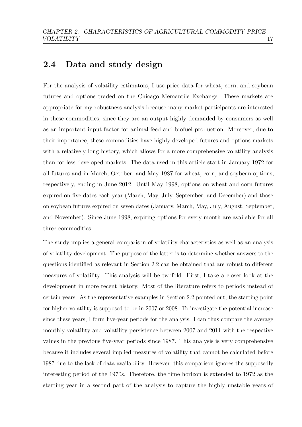# <span id="page-23-0"></span>2.4 Data and study design

For the analysis of volatility estimators, I use price data for wheat, corn, and soybean futures and options traded on the Chicago Mercantile Exchange. These markets are appropriate for my robustness analysis because many market participants are interested in these commodities, since they are an output highly demanded by consumers as well as an important input factor for animal feed and biofuel production. Moreover, due to their importance, these commodities have highly developed futures and options markets with a relatively long history, which allows for a more comprehensive volatility analysis than for less developed markets. The data used in this article start in January 1972 for all futures and in March, October, and May 1987 for wheat, corn, and soybean options, respectively, ending in June 2012. Until May 1998, options on wheat and corn futures expired on five dates each year (March, May, July, September, and December) and those on soybean futures expired on seven dates (January, March, May, July, August, September, and November). Since June 1998, expiring options for every month are available for all three commodities.

The study implies a general comparison of volatility characteristics as well as an analysis of volatility development. The purpose of the latter is to determine whether answers to the questions identified as relevant in Section [2.2](#page-17-0) can be obtained that are robust to different measures of volatility. This analysis will be twofold: First, I take a closer look at the development in more recent history. Most of the literature refers to periods instead of certain years. As the representative examples in Section [2.2](#page-17-0) pointed out, the starting point for higher volatility is supposed to be in 2007 or 2008. To investigate the potential increase since these years, I form five-year periods for the analysis. I can thus compare the average monthly volatility and volatility persistence between 2007 and 2011 with the respective values in the previous five-year periods since 1987. This analysis is very comprehensive because it includes several implied measures of volatility that cannot be calculated before 1987 due to the lack of data availability. However, this comparison ignores the supposedly interesting period of the 1970s. Therefore, the time horizon is extended to 1972 as the starting year in a second part of the analysis to capture the highly unstable years of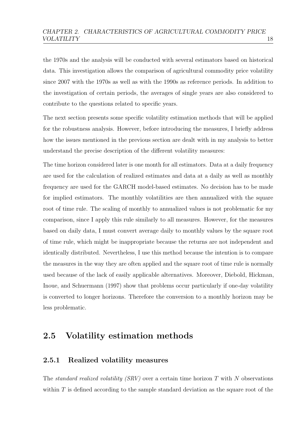the 1970s and the analysis will be conducted with several estimators based on historical data. This investigation allows the comparison of agricultural commodity price volatility since 2007 with the 1970s as well as with the 1990s as reference periods. In addition to the investigation of certain periods, the averages of single years are also considered to contribute to the questions related to specific years.

The next section presents some specific volatility estimation methods that will be applied for the robustness analysis. However, before introducing the measures, I briefly address how the issues mentioned in the previous section are dealt with in my analysis to better understand the precise description of the different volatility measures:

The time horizon considered later is one month for all estimators. Data at a daily frequency are used for the calculation of realized estimates and data at a daily as well as monthly frequency are used for the GARCH model-based estimates. No decision has to be made for implied estimators. The monthly volatilities are then annualized with the square root of time rule. The scaling of monthly to annualized values is not problematic for my comparison, since I apply this rule similarly to all measures. However, for the measures based on daily data, I must convert average daily to monthly values by the square root of time rule, which might be inappropriate because the returns are not independent and identically distributed. Nevertheless, I use this method because the intention is to compare the measures in the way they are often applied and the square root of time rule is normally used because of the lack of easily applicable alternatives. Moreover, [Diebold, Hickman,](#page-153-3) [Inoue, and Schuermann](#page-153-3) [\(1997\)](#page-153-3) show that problems occur particularly if one-day volatility is converted to longer horizons. Therefore the conversion to a monthly horizon may be less problematic.

# <span id="page-24-0"></span>2.5 Volatility estimation methods

#### <span id="page-24-1"></span>2.5.1 Realized volatility measures

The standard realized volatility  $(SRV)$  over a certain time horizon T with N observations within  $T$  is defined according to the sample standard deviation as the square root of the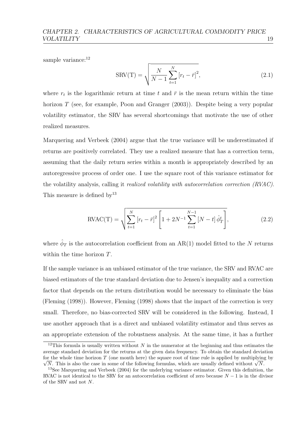sample variance:<sup>[12](#page-25-0)</sup>

$$
SRV(T) = \sqrt{\frac{N}{N-1} \sum_{t=1}^{N} [r_t - \bar{r}]^2},
$$
\n(2.1)

where  $r_t$  is the logarithmic return at time t and  $\bar{r}$  is the mean return within the time horizon  $T$  (see, for example, [Poon and Granger](#page-158-1) [\(2003\)](#page-158-1)). Despite being a very popular volatility estimator, the SRV has several shortcomings that motivate the use of other realized measures.

[Marquering and Verbeek](#page-158-2) [\(2004\)](#page-158-2) argue that the true variance will be underestimated if returns are positively correlated. They use a realized measure that has a correction term, assuming that the daily return series within a month is appropriately described by an autoregressive process of order one. I use the square root of this variance estimator for the volatility analysis, calling it *realized volatility with autocorrelation correction (RVAC)*. This measure is defined  $by<sup>13</sup>$  $by<sup>13</sup>$  $by<sup>13</sup>$ 

$$
RVAC(T) = \sqrt{\sum_{t=1}^{N} [r_t - \bar{r}]^2 \left[1 + 2N^{-1} \sum_{t=1}^{N-1} [N - t] \hat{\phi}_T^t \right]},
$$
\n(2.2)

where  $\hat{\phi}_T$  is the autocorrelation coefficient from an AR(1) model fitted to the N returns within the time horizon T.

If the sample variance is an unbiased estimator of the true variance, the SRV and RVAC are biased estimators of the true standard deviation due to Jensen's inequality and a correction factor that depends on the return distribution would be necessary to eliminate the bias [\(Fleming](#page-154-5) [\(1998\)](#page-154-5)). However, [Fleming](#page-154-5) [\(1998\)](#page-154-5) shows that the impact of the correction is very small. Therefore, no bias-corrected SRV will be considered in the following. Instead, I use another approach that is a direct and unbiased volatility estimator and thus serves as an appropriate extension of the robustness analysis. At the same time, it has a further

<span id="page-25-0"></span><sup>&</sup>lt;sup>12</sup>This formula is usually written without N in the numerator at the beginning and thus estimates the average standard deviation for the returns at the given data frequency. To obtain the standard deviation for the whole time horizon  $T$  (one month here) the square root of time rule is applied by multiplying by r the whole time horizon *I* (one month here) the square root of time rule is applied by multiplying  $\overline{N}$ . This is also the case in some of the following formulas, which are usually defined without  $\sqrt{N}$ .

<span id="page-25-1"></span><sup>13</sup>See [Marquering and Verbeek](#page-158-2) [\(2004\)](#page-158-2) for the underlying variance estimator. Given this definition, the RVAC is not identical to the SRV for an autocorrelation coefficient of zero because  $N - 1$  is in the divisor of the SRV and not N.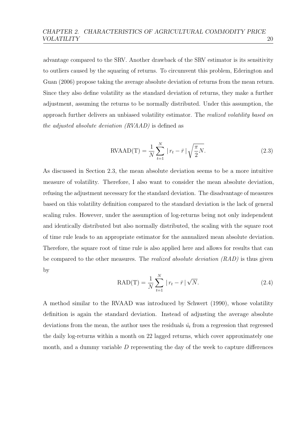advantage compared to the SRV. Another drawback of the SRV estimator is its sensitivity to outliers caused by the squaring of returns. To circumvent this problem, [Ederington and](#page-153-4) [Guan](#page-153-4) [\(2006\)](#page-153-4) propose taking the average absolute deviation of returns from the mean return. Since they also define volatility as the standard deviation of returns, they make a further adjustment, assuming the returns to be normally distributed. Under this assumption, the approach further delivers an unbiased volatility estimator. The realized volatility based on the adjusted absolute deviation (RVAAD) is defined as

$$
RVAAD(T) = \frac{1}{N} \sum_{t=1}^{N} |r_t - \bar{r}| \sqrt{\frac{\pi}{2} N}.
$$
 (2.3)

As discussed in Section [2.3,](#page-20-0) the mean absolute deviation seems to be a more intuitive measure of volatility. Therefore, I also want to consider the mean absolute deviation, refusing the adjustment necessary for the standard deviation. The disadvantage of measures based on this volatility definition compared to the standard deviation is the lack of general scaling rules. However, under the assumption of log-returns being not only independent and identically distributed but also normally distributed, the scaling with the square root of time rule leads to an appropriate estimator for the annualized mean absolute deviation. Therefore, the square root of time rule is also applied here and allows for results that can be compared to the other measures. The *realized absolute deviation*  $(RAD)$  is thus given by

$$
RAD(T) = \frac{1}{N} \sum_{t=1}^{N} |r_t - \bar{r}| \sqrt{N}.
$$
 (2.4)

A method similar to the RVAAD was introduced by [Schwert](#page-159-3) [\(1990\)](#page-159-3), whose volatility definition is again the standard deviation. Instead of adjusting the average absolute deviations from the mean, the author uses the residuals  $\hat{u_t}$  from a regression that regressed the daily log-returns within a month on 22 lagged returns, which cover approximately one month, and a dummy variable  $D$  representing the day of the week to capture differences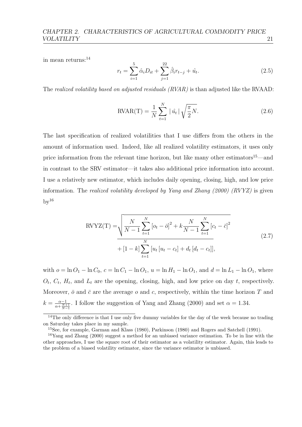in mean returns:[14](#page-27-0)

$$
r_t = \sum_{i=1}^{5} \hat{\alpha}_i D_{it} + \sum_{j=1}^{22} \hat{\beta}_i r_{t-j} + \hat{u}_t.
$$
 (2.5)

The realized volatility based on adjusted residuals (RVAR) is than adjusted like the RVAAD:

$$
RVAR(T) = \frac{1}{N} \sum_{t=1}^{N} |\hat{u}_t| \sqrt{\frac{\pi}{2} N}.
$$
 (2.6)

The last specification of realized volatilities that I use differs from the others in the amount of information used. Indeed, like all realized volatility estimators, it uses only price information from the relevant time horizon, but like many other estimators<sup>[15](#page-27-1)</sup>—and in contrast to the SRV estimator—it takes also additional price information into account. I use a relatively new estimator, which includes daily opening, closing, high, and low price information. The realized volatility developed by [Yang and Zhang](#page-161-1) [\(2000\)](#page-161-1) (RVYZ) is given  $\rm{bv}^{16}$  $\rm{bv}^{16}$  $\rm{bv}^{16}$ 

$$
RVYZ(T) = \sqrt{\frac{N}{N-1} \sum_{t=1}^{N} [o_t - \bar{o}]^2 + k \frac{N}{N-1} \sum_{t=1}^{N} [c_t - \bar{c}]^2}
$$
  
+  $[1-k] \sum_{t=1}^{N} [u_t [u_t - c_t] + d_t [d_t - c_t]],$  (2.7)

with  $o = \ln O_1 - \ln C_0$ ,  $c = \ln C_1 - \ln O_1$ ,  $u = \ln H_1 - \ln O_1$ , and  $d = \ln L_1 - \ln O_1$ , where  $O_t$ ,  $C_t$ ,  $H_t$ , and  $L_t$  are the opening, closing, high, and low price on day t, respectively. Moreover,  $\bar{o}$  and  $\bar{c}$  are the average  $o$  and  $c$ , respectively, within the time horizon T and  $k = \frac{\alpha - 1}{\alpha + N + 1}$  $\frac{\alpha-1}{\alpha+\frac{N+1}{N-1}}$ . I follow the suggestion of [Yang and Zhang](#page-161-1) [\(2000\)](#page-161-1) and set  $\alpha = 1.34$ .

<span id="page-27-0"></span><sup>&</sup>lt;sup>14</sup>The only difference is that I use only five dummy variables for the day of the week because no trading on Saturday takes place in my sample.

<span id="page-27-2"></span><span id="page-27-1"></span><sup>15</sup>See, for example, [Garman and Klass](#page-154-6) [\(1980\)](#page-154-6), [Parkinson](#page-158-3) [\(1980\)](#page-158-3) and [Rogers and Satchell](#page-159-4) [\(1991\)](#page-159-4).

<sup>16</sup>[Yang and Zhang](#page-161-1) [\(2000\)](#page-161-1) suggest a method for an unbiased variance estimation. To be in line with the other approaches, I use the square root of their estimator as a volatility estimator. Again, this leads to the problem of a biased volatility estimator, since the variance estimator is unbiased.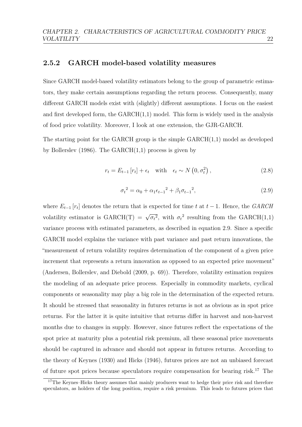#### <span id="page-28-0"></span>2.5.2 GARCH model-based volatility measures

Since GARCH model-based volatility estimators belong to the group of parametric estimators, they make certain assumptions regarding the return process. Consequently, many different GARCH models exist with (slightly) different assumptions. I focus on the easiest and first developed form, the GARCH(1,1) model. This form is widely used in the analysis of food price volatility. Moreover, I look at one extension, the GJR-GARCH.

The starting point for the GARCH group is the simple  $GARCH(1,1)$  model as developed by [Bollerslev](#page-151-4) [\(1986\)](#page-151-4). The  $GARCH(1,1)$  process is given by

<span id="page-28-3"></span>
$$
r_t = E_{t-1} \left[ r_t \right] + \epsilon_t \quad \text{with} \quad \epsilon_t \sim N \left( 0, \sigma_t^2 \right), \tag{2.8}
$$

<span id="page-28-1"></span>
$$
\sigma_t^2 = \alpha_0 + \alpha_1 \epsilon_{t-1}^2 + \beta_1 \sigma_{t-1}^2, \tag{2.9}
$$

where  $E_{t-1}[r_t]$  denotes the return that is expected for time t at  $t-1$ . Hence, the GARCH volatility estimator is  $GARCH(T) =$ √  $\overline{\sigma_t^2}$ , with  $\sigma_t^2$  resulting from the GARCH(1,1) variance process with estimated parameters, as described in equation [2.9.](#page-28-1) Since a specific GARCH model explains the variance with past variance and past return innovations, the "measurement of return volatility requires determination of the component of a given price increment that represents a return innovation as opposed to an expected price movement" [\(Andersen, Bollerslev, and Diebold](#page-149-1) [\(2009,](#page-149-1) p. 69)). Therefore, volatility estimation requires the modeling of an adequate price process. Especially in commodity markets, cyclical components or seasonality may play a big role in the determination of the expected return. It should be stressed that seasonality in futures returns is not as obvious as in spot price returns. For the latter it is quite intuitive that returns differ in harvest and non-harvest months due to changes in supply. However, since futures reflect the expectations of the spot price at maturity plus a potential risk premium, all these seasonal price movements should be captured in advance and should not appear in futures returns. According to the theory of [Keynes](#page-157-2) [\(1930\)](#page-157-2) and [Hicks](#page-156-3) [\(1946\)](#page-156-3), futures prices are not an unbiased forecast of future spot prices because speculators require compensation for bearing risk.<sup>[17](#page-28-2)</sup> The

<span id="page-28-2"></span><sup>&</sup>lt;sup>17</sup>The Keynes–Hicks theory assumes that mainly producers want to hedge their price risk and therefore speculators, as holders of the long position, require a risk premium. This leads to futures prices that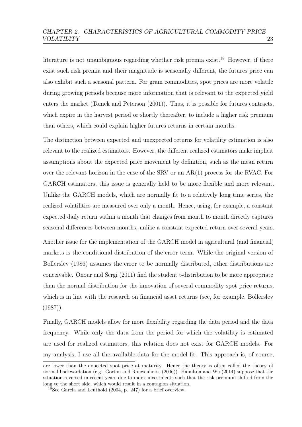literature is not unambiguous regarding whether risk premia exist.<sup>[18](#page-29-0)</sup> However, if there exist such risk premia and their magnitude is seasonally different, the futures price can also exhibit such a seasonal pattern. For grain commodities, spot prices are more volatile during growing periods because more information that is relevant to the expected yield enters the market [\(Tomek and Peterson](#page-159-5) [\(2001\)](#page-159-5)). Thus, it is possible for futures contracts, which expire in the harvest period or shortly thereafter, to include a higher risk premium than others, which could explain higher futures returns in certain months.

The distinction between expected and unexpected returns for volatility estimation is also relevant to the realized estimators. However, the different realized estimators make implicit assumptions about the expected price movement by definition, such as the mean return over the relevant horizon in the case of the SRV or an AR(1) process for the RVAC. For GARCH estimators, this issue is generally held to be more flexible and more relevant. Unlike the GARCH models, which are normally fit to a relatively long time series, the realized volatilities are measured over only a month. Hence, using, for example, a constant expected daily return within a month that changes from month to month directly captures seasonal differences between months, unlike a constant expected return over several years.

Another issue for the implementation of the GARCH model in agricultural (and financial) markets is the conditional distribution of the error term. While the original version of [Bollerslev](#page-151-4) [\(1986\)](#page-151-4) assumes the error to be normally distributed, other distributions are conceivable. [Onour and Sergi](#page-158-4) [\(2011\)](#page-158-4) find the student t-distribution to be more appropriate than the normal distribution for the innovation of several commodity spot price returns, which is in line with the research on financial asset returns (see, for example, [Bollerslev](#page-151-5)  $(1987)$ .

Finally, GARCH models allow for more flexibility regarding the data period and the data frequency. While only the data from the period for which the volatility is estimated are used for realized estimators, this relation does not exist for GARCH models. For my analysis, I use all the available data for the model fit. This approach is, of course,

are lower than the expected spot price at maturity. Hence the theory is often called the theory of normal backwardation (e.g., [Gorton and Rouwenhorst](#page-155-5) [\(2006\)](#page-155-5)). [Hamilton and Wu](#page-155-6) [\(2014\)](#page-155-6) suppose that the situation reversed in recent years due to index investments such that the risk premium shifted from the long to the short side, which would result in a contagion situation.

<span id="page-29-0"></span><sup>18</sup>See [Garcia and Leuthold](#page-154-7) [\(2004,](#page-154-7) p. 247) for a brief overview.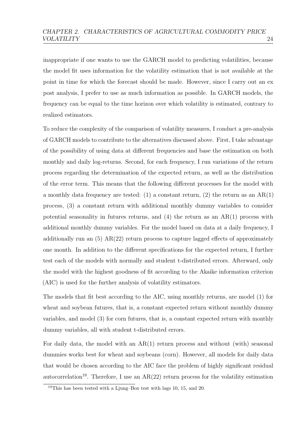inappropriate if one wants to use the GARCH model to predicting volatilities, because the model fit uses information for the volatility estimation that is not available at the point in time for which the forecast should be made. However, since I carry out an ex post analysis, I prefer to use as much information as possible. In GARCH models, the frequency can be equal to the time horizon over which volatility is estimated, contrary to realized estimators.

To reduce the complexity of the comparison of volatility measures, I conduct a pre-analysis of GARCH models to contribute to the alternatives discussed above. First, I take advantage of the possibility of using data at different frequencies and base the estimation on both monthly and daily log-returns. Second, for each frequency, I run variations of the return process regarding the determination of the expected return, as well as the distribution of the error term. This means that the following different processes for the model with a monthly data frequency are tested: (1) a constant return, (2) the return as an  $AR(1)$ process, (3) a constant return with additional monthly dummy variables to consider potential seasonality in futures returns, and (4) the return as an AR(1) process with additional monthly dummy variables. For the model based on data at a daily frequency, I additionally run an  $(5)$  AR $(22)$  return process to capture lagged effects of approximately one month. In addition to the different specifications for the expected return, I further test each of the models with normally and student t-distributed errors. Afterward, only the model with the highest goodness of fit according to the Akaike information criterion (AIC) is used for the further analysis of volatility estimators.

The models that fit best according to the AIC, using monthly returns, are model (1) for wheat and soybean futures, that is, a constant expected return without monthly dummy variables, and model (3) for corn futures, that is, a constant expected return with monthly dummy variables, all with student t-distributed errors.

For daily data, the model with an  $AR(1)$  return process and without (with) seasonal dummies works best for wheat and soybeans (corn). However, all models for daily data that would be chosen according to the AIC face the problem of highly significant residual autocorrelation<sup>[19](#page-30-0)</sup>. Therefore, I use an  $AR(22)$  return process for the volatility estimation

<span id="page-30-0"></span><sup>&</sup>lt;sup>19</sup>This has been tested with a Ljung–Box test with lags 10, 15, and 20.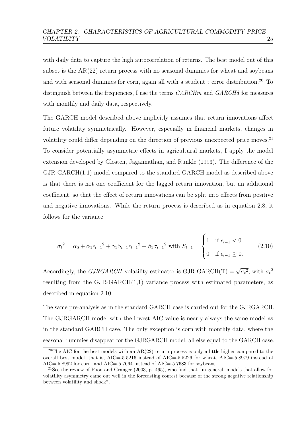with daily data to capture the high autocorrelation of returns. The best model out of this subset is the AR(22) return process with no seasonal dummies for wheat and soybeans and with seasonal dummies for corn, again all with a student t error distribution.<sup>[20](#page-31-0)</sup> To distinguish between the frequencies. I use the terms  $GARCHm$  and  $GARCHd$  for measures with monthly and daily data, respectively.

The GARCH model described above implicitly assumes that return innovations affect future volatility symmetrically. However, especially in financial markets, changes in volatility could differ depending on the direction of previous unexpected price moves.<sup>[21](#page-31-1)</sup> To consider potentially asymmetric effects in agricultural markets, I apply the model extension developed by [Glosten, Jagannathan, and Runkle](#page-155-2) [\(1993\)](#page-155-2). The difference of the GJR-GARCH(1,1) model compared to the standard GARCH model as described above is that there is not one coefficient for the lagged return innovation, but an additional coefficient, so that the effect of return innovations can be split into effects from positive and negative innovations. While the return process is described as in equation [2.8,](#page-28-3) it follows for the variance

<span id="page-31-2"></span>
$$
\sigma_t^2 = \alpha_0 + \alpha_1 \epsilon_{t-1}^2 + \gamma_1 S_{t-1} \epsilon_{t-1}^2 + \beta_1 \sigma_{t-1}^2 \text{ with } S_{t-1} = \begin{cases} 1 & \text{if } \epsilon_{t-1} < 0 \\ 0 & \text{if } \epsilon_{t-1} \ge 0. \end{cases} \tag{2.10}
$$

Accordingly, the  $GJRGARCH$  volatility estimator is  $GJR-GARCH(T) =$ √  $\overline{\sigma_t^2}$ , with  $\sigma_t^2$ resulting from the GJR-GARCH(1,1) variance process with estimated parameters, as described in equation [2.10.](#page-31-2)

The same pre-analysis as in the standard GARCH case is carried out for the GJRGARCH. The GJRGARCH model with the lowest AIC value is nearly always the same model as in the standard GARCH case. The only exception is corn with monthly data, where the seasonal dummies disappear for the GJRGARCH model, all else equal to the GARCH case.

<span id="page-31-0"></span><sup>&</sup>lt;sup>20</sup>The AIC for the best models with an  $AR(22)$  return process is only a little higher compared to the overall best model, that is, AIC=-5.5216 instead of AIC=-5.5226 for wheat, AIC=-5.8979 instead of AIC=-5.8992 for corn, and AIC=-5.7664 instead of AIC=-5.7683 for soybeans.

<span id="page-31-1"></span><sup>&</sup>lt;sup>21</sup>See the review of [Poon and Granger](#page-158-1) [\(2003,](#page-158-1) p. 495), who find that "in general, models that allow for volatility asymmetry came out well in the forecasting contest because of the strong negative relationship between volatility and shock".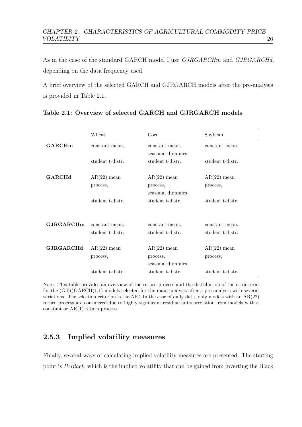As in the case of the standard GARCH model I use  $GJRGARCHm$  and  $GJRGARCHd$ , depending on the data frequency used.

A brief overview of the selected GARCH and GJRGARCH models after the pre-analysis is provided in Table [2.1.](#page-32-1)

|                  | Wheat                              | $_{\rm Corn}$                                  | Soybean                            |
|------------------|------------------------------------|------------------------------------------------|------------------------------------|
| <b>GARCHm</b>    | constant mean,                     | constant mean,<br>seasonal dummies,            | constant mean,                     |
|                  | student t-distr.                   | student t-distr.                               | student t-distr.                   |
| <b>GARCHd</b>    | $AR(22)$ mean                      | $AR(22)$ mean                                  | $AR(22)$ mean                      |
|                  | process,                           | process,<br>seasonal dummies,                  | process,                           |
|                  | student t-distr.                   | student t-distr.                               | student t-distr.                   |
| <b>GJRGARCHm</b> | constant mean,<br>student t-distr. | constant mean,<br>student t-distr.             | constant mean,<br>student t-distr. |
| <b>GJRGARCHd</b> | $AR(22)$ mean<br>process,          | $AR(22)$ mean<br>process,<br>seasonal dummies, | $AR(22)$ mean<br>process,          |
|                  | student t-distr.                   | student t-distr.                               | student t-distr.                   |

<span id="page-32-1"></span>Table 2.1: Overview of selected GARCH and GJRGARCH models

Note: This table provides an overview of the return process and the distribution of the error term for the (GJR)GARCH(1,1) models selected for the main analysis after a pre-analysis with several variations. The selection criterion is the AIC. In the case of daily data, only models with an AR(22) return process are considered due to highly significant residual autocorrelation from models with a constant or AR(1) return process.

# <span id="page-32-0"></span>2.5.3 Implied volatility measures

Finally, several ways of calculating implied volatility measures are presented. The starting point is IVBlack, which is the implied volatility that can be gained from inverting the [Black](#page-150-2)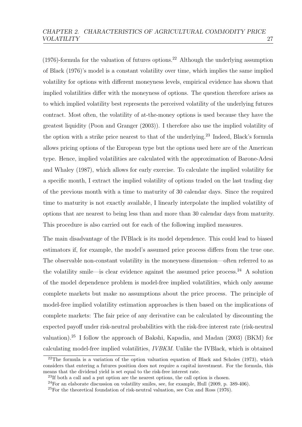$(1976)$ -formula for the valuation of futures options.<sup>[22](#page-33-0)</sup> Although the underlying assumption of [Black](#page-150-2) [\(1976\)](#page-150-2)'s model is a constant volatility over time, which implies the same implied volatility for options with different moneyness levels, empirical evidence has shown that implied volatilities differ with the moneyness of options. The question therefore arises as to which implied volatility best represents the perceived volatility of the underlying futures contract. Most often, the volatility of at-the-money options is used because they have the greatest liquidity [\(Poon and Granger](#page-158-1) [\(2003\)](#page-158-1)). I therefore also use the implied volatility of the option with a strike price nearest to that of the underlying.<sup>[23](#page-33-1)</sup> Indeed, Black's formula allows pricing options of the European type but the options used here are of the American type. Hence, implied volatilities are calculated with the approximation of [Barone-Adesi](#page-150-7) [and Whaley](#page-150-7) [\(1987\)](#page-150-7), which allows for early exercise. To calculate the implied volatility for a specific month, I extract the implied volatility of options traded on the last trading day of the previous month with a time to maturity of 30 calendar days. Since the required time to maturity is not exactly available, I linearly interpolate the implied volatility of options that are nearest to being less than and more than 30 calendar days from maturity. This procedure is also carried out for each of the following implied measures.

The main disadvantage of the IVBlack is its model dependence. This could lead to biased estimators if, for example, the model's assumed price process differs from the true one. The observable non-constant volatility in the moneyness dimension—often referred to as the volatility smile—is clear evidence against the assumed price process.<sup>[24](#page-33-2)</sup> A solution of the model dependence problem is model-free implied volatilities, which only assume complete markets but make no assumptions about the price process. The principle of model-free implied volatility estimation approaches is then based on the implications of complete markets: The fair price of any derivative can be calculated by discounting the expected payoff under risk-neutral probabilities with the risk-free interest rate (risk-neutral valuation).[25](#page-33-3) I follow the approach of [Bakshi, Kapadia, and Madan](#page-150-4) [\(2003\)](#page-150-4) (BKM) for calculating model-free implied volatilities, IVBKM. Unlike the IVBlack, which is obtained

<span id="page-33-0"></span> $22$ The formula is a variation of the option valuation equation of [Black and Scholes](#page-151-6) [\(1973\)](#page-151-6), which considers that entering a futures position does not require a capital investment. For the formula, this means that the dividend yield is set equal to the risk-free interest rate.

<span id="page-33-1"></span> $^{23}$ If both a call and a put option are the nearest options, the call option is chosen.

<span id="page-33-2"></span> $^{24}$ For an elaborate discussion on volatility smiles, see, for example, [Hull](#page-156-4) [\(2009,](#page-156-4) p. 389-406).

<span id="page-33-3"></span><sup>25</sup>For the theoretical foundation of risk-neutral valuation, see [Cox and Ross](#page-153-5) [\(1976\)](#page-153-5).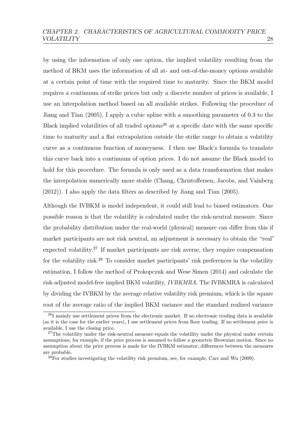by using the information of only one option, the implied volatility resulting from the method of BKM uses the information of all at- and out-of-the-money options available at a certain point of time with the required time to maturity. Since the BKM model requires a continuum of strike prices but only a discrete number of prices is available, I use an interpolation method based on all available strikes. Following the procedure of [Jiang and Tian](#page-156-5) [\(2005\)](#page-156-5), I apply a cubic spline with a smoothing parameter of 0.3 to the Black implied volatilities of all traded options<sup>[26](#page-34-0)</sup> at a specific date with the same specific time to maturity and a flat extrapolation outside the strike range to obtain a volatility curve as a continuous function of moneyness. I then use Black's formula to translate this curve back into a continuum of option prices. I do not assume the Black model to hold for this procedure. The formula is only used as a data transformation that makes the interpolation numerically more stable [\(Chang, Christoffersen, Jacobs, and Vainberg](#page-152-4) [\(2012\)](#page-152-4)). I also apply the data filters as described by [Jiang and Tian](#page-156-5) [\(2005\)](#page-156-5).

Although the IVBKM is model independent, it could still lead to biased estimators. One possible reason is that the volatility is calculated under the risk-neutral measure. Since the probability distribution under the real-world (physical) measure can differ from this if market participants are not risk neutral, an adjustment is necessary to obtain the "real" expected volatility.<sup>[27](#page-34-1)</sup> If market participants are risk averse, they require compensation for the volatility risk.<sup>[28](#page-34-2)</sup> To consider market participants' risk preferences in the volatility estimation, I follow the method of [Prokopczuk and Wese Simen](#page-159-2) [\(2014\)](#page-159-2) and calculate the risk-adjusted model-free implied BKM volatility, IVBKMRA. The IVBKMRA is calculated by dividing the IVBKM by the average relative volatility risk premium, which is the square root of the average ratio of the implied BKM variance and the standard realized variance

<span id="page-34-0"></span><sup>26</sup>I mainly use settlement prices from the electronic market. If no electronic trading data is available (as it is the case for the earlier years), I use settlement prices from floor trading. If no settlement price is available, I use the closing price.

<span id="page-34-1"></span><sup>&</sup>lt;sup>27</sup>The volatility under the risk-neutral measure equals the volatility under the physical under certain assumptions, for example, if the price process is assumed to follow a geometric Brownian motion. Since no assumption about the price process is made for the IVBKM estimator, differences between the measures are probable.

<span id="page-34-2"></span> $28$ For studies investigating the volatility risk premium, see, for example, [Carr and Wu](#page-152-5) [\(2009\)](#page-152-5).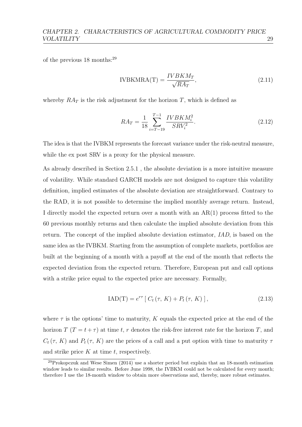of the previous 18 months:[29](#page-35-0)

$$
IVBKMRA(T) = \frac{IVBKM_T}{\sqrt{RA_T}},
$$
\n(2.11)

whereby  $RA_T$  is the risk adjustment for the horizon T, which is defined as

$$
RA_T = \frac{1}{18} \sum_{i=T-19}^{T-1} \frac{IVBKM_i^2}{SRV_i^2}.
$$
\n(2.12)

The idea is that the IVBKM represents the forecast variance under the risk-neutral measure, while the ex post SRV is a proxy for the physical measure.

As already described in Section 2.5.1 , the absolute deviation is a more intuitive measure of volatility. While standard GARCH models are not designed to capture this volatility definition, implied estimates of the absolute deviation are straightforward. Contrary to the RAD, it is not possible to determine the implied monthly average return. Instead, I directly model the expected return over a month with an AR(1) process fitted to the 60 previous monthly returns and then calculate the implied absolute deviation from this return. The concept of the implied absolute deviation estimator, IAD, is based on the same idea as the IVBKM. Starting from the assumption of complete markets, portfolios are built at the beginning of a month with a payoff at the end of the month that reflects the expected deviation from the expected return. Therefore, European put and call options with a strike price equal to the expected price are necessary. Formally,

$$
IAD(T) = e^{r\tau} [C_t(\tau, K) + P_t(\tau, K)], \qquad (2.13)
$$

where  $\tau$  is the options' time to maturity, K equals the expected price at the end of the horizon  $T(T = t + \tau)$  at time t, r denotes the risk-free interest rate for the horizon T, and  $C_t(\tau, K)$  and  $P_t(\tau, K)$  are the prices of a call and a put option with time to maturity  $\tau$ and strike price  $K$  at time  $t$ , respectively.

<span id="page-35-0"></span> $^{29}$ [Prokopczuk and Wese Simen](#page-159-2) [\(2014\)](#page-159-2) use a shorter period but explain that an 18-month estimation window leads to similar results. Before June 1998, the IVBKM could not be calculated for every month; therefore I use the 18-month window to obtain more observations and, thereby, more robust estimates.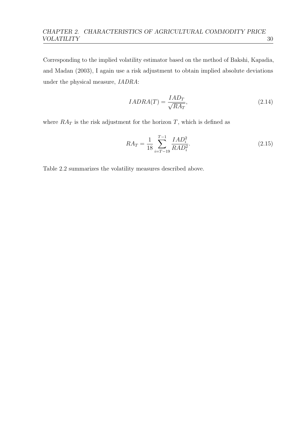Corresponding to the implied volatility estimator based on the method of [Bakshi, Kapadia,](#page-150-0) [and Madan](#page-150-0) [\(2003\)](#page-150-0), I again use a risk adjustment to obtain implied absolute deviations under the physical measure, IADRA:

$$
IADRA(T) = \frac{IAD_T}{\sqrt{RA_T}},\tag{2.14}
$$

where  $RA_T$  is the risk adjustment for the horizon T, which is defined as

$$
RA_T = \frac{1}{18} \sum_{i=T-19}^{T-1} \frac{IAD_i^2}{RAD_i^2}.
$$
\n(2.15)

Table [2.2](#page-37-0) summarizes the volatility measures described above.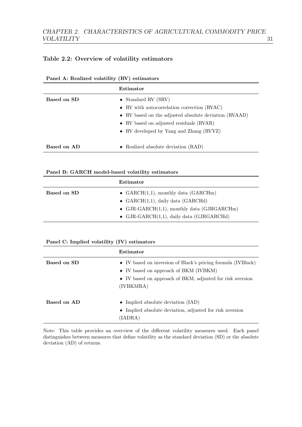### <span id="page-37-0"></span>Table 2.2: Overview of volatility estimators

|             | Estimator                                             |
|-------------|-------------------------------------------------------|
| Based on SD | • Standard RV $(SRV)$                                 |
|             | • RV with autocorrelation correction (RVAC)           |
|             | • RV based on the adjusted absolute deviation (RVAAD) |
|             | • RV based on adjusted residuals (RVAR)               |
|             | • RV developed by Yang and Zhang (RVYZ)               |
|             |                                                       |
| Based on AD | • Realized absolute deviation $(RAD)$                 |

#### Panel A: Realized volatility (RV) estimators

#### Panel B: GARCH model-based volatility estimators

|             | Estimator                                      |
|-------------|------------------------------------------------|
| Based on SD | • GARCH $(1,1)$ , monthly data (GARCHm)        |
|             | • $GARCH(1,1)$ , daily data (GARCHd)           |
|             | • GJR-GARCH $(1,1)$ , monthly data (GJRGARCHm) |
|             | • GJR-GARCH $(1,1)$ , daily data (GJRGARCHd)   |

#### Panel C: Implied volatility (IV) estimators

|             | Estimator                                                                                                                                                                       |
|-------------|---------------------------------------------------------------------------------------------------------------------------------------------------------------------------------|
| Based on SD | • IV based on inversion of Black's pricing formula (IVBlack)<br>• IV based on approach of BKM (IVBKM)<br>• IV based on approach of BKM, adjusted for risk aversion<br>(IVBKMRA) |
| Based on AD | • Implied absolute deviation $(IAD)$<br>• Implied absolute deviation, adjusted for risk aversion<br>(IADRA)                                                                     |

Note: This table provides an overview of the different volatility measures used. Each panel distinguishes between measures that define volatility as the standard deviation (SD) or the absolute deviation (AD) of returns.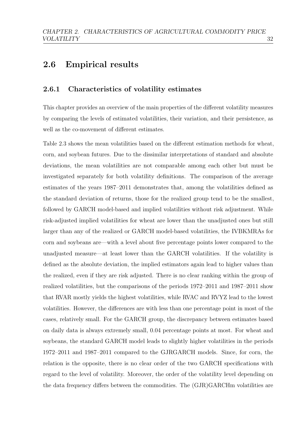## 2.6 Empirical results

### 2.6.1 Characteristics of volatility estimates

This chapter provides an overview of the main properties of the different volatility measures by comparing the levels of estimated volatilities, their variation, and their persistence, as well as the co-movement of different estimates.

Table [2.3](#page-40-0) shows the mean volatilities based on the different estimation methods for wheat, corn, and soybean futures. Due to the dissimilar interpretations of standard and absolute deviations, the mean volatilities are not comparable among each other but must be investigated separately for both volatility definitions. The comparison of the average estimates of the years 1987–2011 demonstrates that, among the volatilities defined as the standard deviation of returns, those for the realized group tend to be the smallest, followed by GARCH model-based and implied volatilities without risk adjustment. While risk-adjusted implied volatilities for wheat are lower than the unadjusted ones but still larger than any of the realized or GARCH model-based volatilities, the IVBKMRAs for corn and soybeans are—with a level about five percentage points lower compared to the unadjusted measure—at least lower than the GARCH volatilities. If the volatility is defined as the absolute deviation, the implied estimators again lead to higher values than the realized, even if they are risk adjusted. There is no clear ranking within the group of realized volatilities, but the comparisons of the periods 1972–2011 and 1987–2011 show that RVAR mostly yields the highest volatilities, while RVAC and RVYZ lead to the lowest volatilities. However, the differences are with less than one percentage point in most of the cases, relatively small. For the GARCH group, the discrepancy between estimates based on daily data is always extremely small, 0.04 percentage points at most. For wheat and soybeans, the standard GARCH model leads to slightly higher volatilities in the periods 1972–2011 and 1987–2011 compared to the GJRGARCH models. Since, for corn, the relation is the opposite, there is no clear order of the two GARCH specifications with regard to the level of volatility. Moreover, the order of the volatility level depending on the data frequency differs between the commodities. The (GJR)GARCHm volatilities are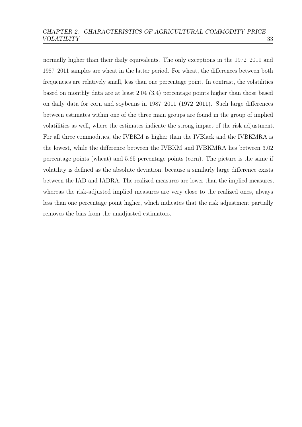normally higher than their daily equivalents. The only exceptions in the 1972–2011 and 1987–2011 samples are wheat in the latter period. For wheat, the differences between both frequencies are relatively small, less than one percentage point. In contrast, the volatilities based on monthly data are at least 2.04 (3.4) percentage points higher than those based on daily data for corn and soybeans in 1987–2011 (1972–2011). Such large differences between estimates within one of the three main groups are found in the group of implied volatilities as well, where the estimates indicate the strong impact of the risk adjustment. For all three commodities, the IVBKM is higher than the IVBlack and the IVBKMRA is the lowest, while the difference between the IVBKM and IVBKMRA lies between 3.02 percentage points (wheat) and 5.65 percentage points (corn). The picture is the same if volatility is defined as the absolute deviation, because a similarly large difference exists between the IAD and IADRA. The realized measures are lower than the implied measures, whereas the risk-adjusted implied measures are very close to the realized ones, always less than one percentage point higher, which indicates that the risk adjustment partially removes the bias from the unadjusted estimators.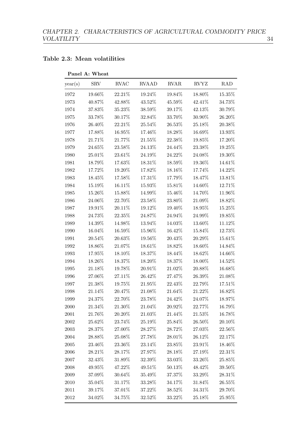### <span id="page-40-0"></span>Table 2.3: Mean volatilities

| year(s)    | <b>SRV</b> | <b>RVAC</b> | <b>RVAAD</b> | <b>RVAR</b> | RVYZ    | <b>RAD</b> |
|------------|------------|-------------|--------------|-------------|---------|------------|
| 1972       | 19.66%     | 22.21%      | 19.24%       | 19.84%      | 18.80%  | 15.35%     |
| 1973       | 40.87%     | 42.88%      | 43.52%       | 45.59%      | 42.41\% | 34.73%     |
| 1974       | 37.83%     | $35.23\%$   | 38.59%       | 39.17%      | 42.13%  | 30.79%     |
| 1975       | 33.78%     | 30.17%      | 32.84%       | 33.70%      | 30.90%  | 26.20%     |
| 1976       | 26.40%     | 22.21\%     | 25.54%       | 26.53%      | 25.18%  | 20.38%     |
| 1977       | 17.88%     | 16.95%      | 17.46%       | 18.28%      | 16.69%  | 13.93%     |
| 1978       | 21.71%     | 21.77%      | 21.55%       | 22.38%      | 19.85%  | 17.20%     |
| 1979       | 24.65%     | 23.58%      | 24.13%       | 24.44%      | 23.38%  | 19.25%     |
| 1980       | 25.01%     | 23.61%      | 24.19%       | 24.22%      | 24.08%  | 19.30%     |
| 1981       | 18.79%     | $17.63\%$   | 18.31\%      | 18.59%      | 19.36%  | 14.61%     |
| 1982       | 17.72%     | 19.20%      | 17.82%       | 18.16%      | 17.74\% | 14.22%     |
| 1983       | 18.45%     | 17.58%      | 17.31\%      | 17.79%      | 18.47%  | 13.81%     |
| 1984       | 15.19%     | 16.11%      | 15.93%       | 15.81%      | 14.60%  | 12.71%     |
| 1985       | 15.26\%    | $15.88\%$   | 14.99%       | 15.46%      | 14.70%  | 11.96%     |
| 1986       | 24.06\%    | 22.70%      | $23.58\%$    | 23.80%      | 21.09%  | 18.82%     |
| 1987       | 19.91%     | 20.11%      | 19.12%       | 19.40%      | 18.95%  | 15.25%     |
| 1988       | 24.73%     | 22.35\%     | 24.87%       | 24.94%      | 24.99%  | 19.85%     |
| 1989       | 14.39%     | 14.98%      | 13.94%       | 14.03%      | 13.60%  | 11.12%     |
| 1990       | 16.04\%    | $16.59\%$   | 15.96%       | 16.42%      | 15.84\% | 12.73%     |
| 1991       | 20.54%     | 20.63%      | 19.56\%      | $20.43\%$   | 20.29%  | 15.61%     |
| 1992       | $18.86\%$  | 21.07%      | 18.61%       | 18.82%      | 18.60%  | 14.84%     |
| 1993       | 17.95\%    | 18.10%      | 18.37%       | 18.44%      | 18.62\% | 14.66%     |
| 1994       | 18.26%     | 18.37%      | 18.20%       | 18.37%      | 18.00%  | 14.52%     |
| 1995       | 21.18%     | 19.78%      | 20.91%       | 21.02%      | 20.88%  | 16.68%     |
| 1996       | 27.06%     | 27.11%      | 26.42\%      | 27.47%      | 26.39%  | 21.08%     |
| 1997       | 21.38%     | 19.75%      | 21.95%       | 22.43\%     | 22.79%  | 17.51%     |
| 1998       | 21.14%     | 20.47%      | 21.08%       | 21.64%      | 21.22%  | 16.82%     |
| 1999       | 24.37%     | 22.70%      | 23.78%       | 24.42%      | 24.07%  | 18.97%     |
| 2000       | 21.34\%    | 21.30%      | 21.04%       | 20.92%      | 22.77%  | 16.79%     |
| 2001       | 21.76%     | 20.20%      | 21.03%       | 21.44%      | 21.53%  | 16.78%     |
| $\,2002\,$ | 25.62%     | 23.74%      | 25.19%       | 25.84%      | 26.50%  | 20.10\%    |
| $\,2003\,$ | 28.37%     | 27.00%      | 28.27%       | 28.72%      | 27.03%  | 22.56%     |
| 2004       | 28.88%     | 25.08%      | 27.78%       | 28.01%      | 26.12\% | 22.17\%    |
| $\,2005\,$ | 23.46%     | $23.36\%$   | 23.14%       | 23.85%      | 23.91%  | 18.46%     |
| 2006       | 28.21\%    | 28.17%      | 27.97%       | 28.18%      | 27.19%  | 22.31%     |
| 2007       | 32.43%     | 31.89%      | 32.39%       | 33.03%      | 33.26%  | 25.85%     |
| 2008       | 49.95%     | 47.22%      | 49.51%       | $50.13\%$   | 48.42%  | 39.50%     |
| $2009\,$   | 37.09%     | 30.64\%     | 35.49%       | 37.37%      | 33.29%  | 28.31\%    |
| 2010       | 35.04%     | 31.17%      | 33.28%       | 34.17%      | 31.84\% | 26.55\%    |
| $2011\,$   | 39.17%     | 37.01%      | 37.22\%      | 38.52\%     | 34.31%  | 29.70%     |
| 2012       | $34.02\%$  | 34.75%      | 32.52%       | 33.22\%     | 25.18%  | $25.95\%$  |

### Panel A: Wheat

 $\overline{\phantom{0}}$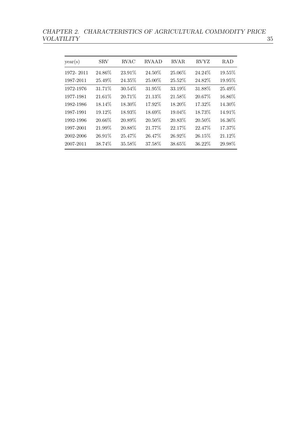CHAPTER 2. CHARACTERISTICS OF AGRICULTURAL COMMODITY PRICE VOLATILITY  $\qquad \qquad \qquad 35$ VOLATILITY 35

| year(s)   | <b>SRV</b> | RVAC   | <b>RVAAD</b> | <b>RVAR</b> | <b>RVYZ</b> | <b>RAD</b> |
|-----------|------------|--------|--------------|-------------|-------------|------------|
| 1972-2011 | 24.86%     | 23.91% | 24.50%       | 25.06%      | 24.24\%     | 19.55%     |
| 1987-2011 | 25.49%     | 24.35% | 25.00%       | 25.52%      | 24.82%      | 19.95%     |
| 1972-1976 | 31.71%     | 30.54% | 31.95%       | 33.19%      | 31.88%      | 25.49%     |
| 1977-1981 | 21.61%     | 20.71% | 21.13%       | 21.58%      | 20.67%      | 16.86\%    |
| 1982-1986 | 18.14%     | 18.30% | 17.92%       | 18.20%      | 17.32%      | 14.30%     |
| 1987-1991 | 19.12%     | 18.93% | 18.69%       | 19.04%      | 18.73%      | 14.91%     |
| 1992-1996 | 20.66%     | 20.89% | 20.50%       | 20.83%      | 20.50\%     | 16.36%     |
| 1997-2001 | 21.99%     | 20.88% | 21.77%       | 22.17%      | 22.47%      | 17.37%     |
| 2002-2006 | 26.91\%    | 25.47% | 26.47\%      | 26.92%      | 26.15%      | 21.12\%    |
| 2007-2011 | 38.74%     | 35.58% | 37.58%       | 38.65%      | 36.22%      | 29.98%     |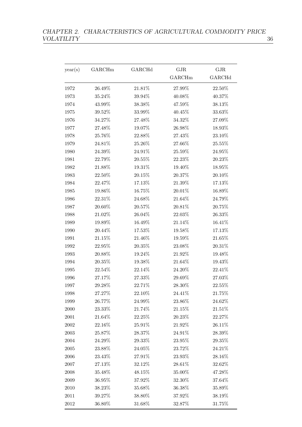| year(s)    | GARCHm    | GARCHd    | GJR     | GJR       |
|------------|-----------|-----------|---------|-----------|
|            |           |           | GARCHm  | GARCHd    |
| 1972       | 26.49%    | 21.81%    | 27.99%  | 22.50%    |
| 1973       | $35.24\%$ | 39.94%    | 40.08%  | 40.37%    |
| 1974       | 43.99%    | 38.38%    | 47.59%  | 38.13%    |
| 1975       | $39.52\%$ | 33.99%    | 40.45%  | 33.63%    |
| 1976       | 34.27%    | 27.48%    | 34.32%  | 27.09%    |
| 1977       | 27.48%    | 19.07%    | 26.98%  | 18.93%    |
| 1978       | 25.76%    | 22.88%    | 27.43%  | 23.10%    |
| 1979       | $24.81\%$ | 25.26%    | 27.66%  | $25.55\%$ |
| 1980       | 24.39%    | 24.91%    | 25.59%  | 24.95%    |
| 1981       | 22.79%    | 20.55%    | 22.23%  | 20.23%    |
| 1982       | 21.88%    | 19.31%    | 19.40%  | 18.95%    |
| 1983       | 22.50%    | $20.15\%$ | 20.37%  | $20.10\%$ |
| 1984       | 22.47%    | 17.13%    | 21.39%  | 17.13%    |
| 1985       | 19.86%    | 16.75%    | 20.01%  | 16.89%    |
| 1986       | 22.31%    | 24.68%    | 21.64%  | 24.79%    |
| 1987       | $20.60\%$ | 20.57%    | 20.81%  | 20.75%    |
| 1988       | 21.02%    | 26.04%    | 22.03%  | 26.33%    |
| 1989       | 19.89%    | 16.49%    | 21.14%  | 16.41%    |
| 1990       | 20.44%    | 17.53%    | 19.58%  | 17.13%    |
| 1991       | 21.15%    | 21.46%    | 19.59%  | 21.65%    |
| 1992       | $22.95\%$ | $20.35\%$ | 23.08%  | $20.31\%$ |
| 1993       | 20.88%    | 19.24%    | 21.92%  | 19.48%    |
| 1994       | 20.35%    | 19.38%    | 21.64%  | 19.43%    |
| 1995       | 22.54%    | 22.14%    | 24.20%  | 22.41%    |
| 1996       | 27.17%    | 27.33%    | 29.69%  | 27.03%    |
| 1997       | 29.28%    | 22.71%    | 28.30%  | 22.55%    |
| 1998       | 27.27%    | 22.10%    | 24.41\% | 21.75%    |
| 1999       | 26.77%    | 24.99%    | 23.86%  | 24.62%    |
| $2000\,$   | 23.33%    | 21.74%    | 21.15%  | $21.51\%$ |
| $2001\,$   | $21.64\%$ | 22.25%    | 20.23\% | 22.27%    |
| $\,2002\,$ | 22.16%    | 25.91%    | 21.92%  | 26.11\%   |
| $\,2003\,$ | $25.87\%$ | 28.37%    | 24.91%  | 28.39%    |
| 2004       | 24.29%    | 29.33%    | 23.95%  | 29.35%    |
| $\,2005\,$ | 23.88%    | $24.05\%$ | 23.72%  | 24.21\%   |
| $\,2006$   | 23.43%    | 27.91%    | 23.93%  | 28.16%    |
| 2007       | 27.13%    | 32.12%    | 28.61%  | 32.62%    |
| 2008       | 35.48%    | 48.15%    | 35.00%  | 47.28%    |
| 2009       | 36.95%    | 37.92%    | 32.30\% | 37.64%    |
| 2010       | 38.23%    | 35.68%    | 36.38%  | 35.89%    |
| 2011       | 39.27%    | 38.80%    | 37.92%  | 38.19%    |
| 2012       | 36.80%    | 31.68%    | 32.87%  | 31.75%    |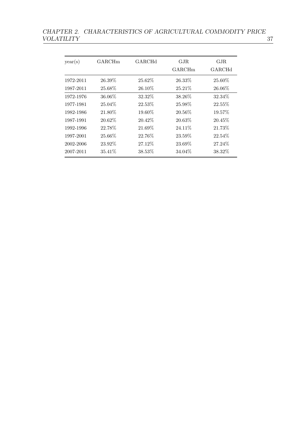# CHAPTER 2. CHARACTERISTICS OF AGRICULTURAL COMMODITY PRICE VOLATILITY  $\qquad \qquad \qquad 37$

| year(s)   | GARCHm    | GARCHd  | GJR<br>GARCHm | GJR<br>GARCHd |
|-----------|-----------|---------|---------------|---------------|
| 1972-2011 | 26.39%    | 25.62%  | 26.33%        | 25.60\%       |
| 1987-2011 | 25.68\%   | 26.10\% | 25.21\%       | 26.06\%       |
| 1972-1976 | 36.06\%   | 32.32%  | 38.26\%       | 32.34%        |
| 1977-1981 | $25.04\%$ | 22.53%  | 25.98\%       | 22.55%        |
| 1982-1986 | 21.80%    | 19.60%  | 20.56\%       | 19.57%        |
| 1987-1991 | 20.62\%   | 20.42%  | 20.63\%       | 20.45\%       |
| 1992-1996 | 22.78%    | 21.69%  | 24.11\%       | 21.73%        |
| 1997-2001 | 25.66%    | 22.76%  | 23.59%        | 22.54%        |
| 2002-2006 | 23.92\%   | 27.12\% | 23.69%        | 27.24\%       |
| 2007-2011 | 35.41\%   | 38.53%  | 34.04%        | 38.32%        |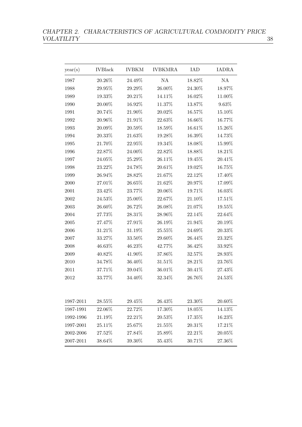# CHAPTER 2. CHARACTERISTICS OF AGRICULTURAL COMMODITY PRICE VOLATILITY  $\qquad \qquad \qquad \qquad 38$

| year(s)   | <b>IVBlack</b> | <b>IVBKM</b> | <b>IVBKMRA</b> | <b>IAD</b> | <b>IADRA</b> |
|-----------|----------------|--------------|----------------|------------|--------------|
| 1987      | 20.26%         | 24.49%       | NA             | 18.82%     | NA           |
| 1988      | 29.95%         | 29.29%       | 26.00%         | 24.30%     | 18.97%       |
| 1989      | 19.33%         | 20.21%       | 14.11%         | $16.02\%$  | 11.00%       |
| 1990      | 20.00%         | 16.92%       | $11.37\%$      | $13.87\%$  | $9.63\%$     |
| 1991      | 20.74%         | 21.90%       | 20.02%         | 16.57%     | 15.10%       |
| 1992      | 20.96%         | 21.91%       | 22.63%         | 16.66%     | 16.77%       |
| 1993      | 20.09%         | 20.59%       | 18.59%         | 16.61%     | 15.26%       |
| 1994      | 20.33%         | 21.63%       | 19.28%         | 16.39%     | 14.73%       |
| 1995      | 21.70%         | 22.95%       | 19.34%         | 18.08%     | 15.99%       |
| 1996      | 22.87%         | 24.00%       | 22.82%         | 18.88%     | 18.21%       |
| 1997      | 24.05%         | 25.29%       | 26.11%         | 19.45%     | 20.41%       |
| 1998      | 23.22%         | 24.78%       | 20.61%         | 19.02%     | 16.75%       |
| 1999      | 26.94%         | 28.82%       | 21.67%         | 22.12%     | 17.40%       |
| 2000      | $27.01\%$      | 26.65%       | 21.62%         | 20.97%     | 17.09%       |
| 2001      | 23.42%         | $23.77\%$    | 20.06%         | 19.71%     | 16.03%       |
| 2002      | 24.53%         | 25.00%       | 22.67%         | 21.10%     | 17.51%       |
| 2003      | 26.60%         | 26.72%       | 26.08%         | 21.07%     | 19.55%       |
| 2004      | 27.73%         | 28.31%       | 28.96%         | 22.14%     | 22.64%       |
| 2005      | 27.47%         | 27.91%       | 26.19%         | 21.94%     | 20.19%       |
| 2006      | 31.21%         | 31.19%       | 25.55%         | 24.69%     | 20.33%       |
| 2007      | 33.27%         | $33.50\%$    | 29.60%         | 26.44%     | 23.32%       |
| 2008      | 46.63%         | 46.23%       | 42.77%         | 36.42%     | 33.92%       |
| 2009      | 40.82%         | 41.90%       | 37.86%         | 32.57%     | 28.93%       |
| 2010      | 34.78%         | 36.40%       | 31.51%         | 28.21%     | 23.76%       |
| 2011      | 37.71%         | 39.04%       | 36.01%         | $30.41\%$  | 27.43%       |
| 2012      | 33.77%         | 34.40%       | 32.34%         | 26.76%     | 24.53%       |
| 1987-2011 | 28.55%         | 29.45%       | 26.43%         | 23.30%     | 20.60%       |
| 1987-1991 | 22.06%         | 22.72%       | 17.30%         | 18.05%     | 14.13%       |
| 1992-1996 | 21.19%         | 22.21%       | $20.53\%$      | 17.35%     | 16.23%       |
| 1997-2001 | 25.11%         | 25.67%       | 21.55%         | 20.31%     | 17.21%       |
| 2002-2006 | 27.52%         | 27.84%       | 25.89%         | 22.21%     | 20.05%       |
| 2007-2011 | 38.64%         | 39.30%       | 35.43%         | 30.71%     | 27.36%       |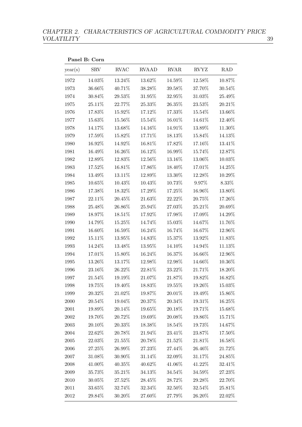Panel B: Corn year(s) SRV RVAC RVAAD RVAR RVYZ RAD 1972 14.03% 13.24% 13.62% 14.59% 12.58% 10.87% 1973 36.66% 40.71% 38.28% 39.58% 37.70% 30.54% 1974 30.84% 29.53% 31.95% 32.95% 31.03% 25.49% 1975 25.11% 22.77% 25.33% 26.35% 23.53% 20.21% 1976 17.83% 15.92% 17.12% 17.33% 15.54% 13.66% 1977 15.63% 15.56% 15.54% 16.01% 14.61% 12.40% 1978 14.17% 13.68% 14.16% 14.91% 13.89% 11.30% 1979 17.59% 15.82% 17.71% 18.13% 15.84% 14.13% 1980 16.92% 14.92% 16.81% 17.82% 17.16% 13.41% 1981 16.49% 16.26% 16.12% 16.99% 15.74% 12.87% 1982 12.89% 12.83% 12.56% 13.16% 13.06% 10.03% 1983 17.52% 16.81% 17.86% 18.40% 17.01% 14.25% 1984 13.49% 13.11% 12.89% 13.30% 12.28% 10.29% 1985 10.65% 10.43% 10.43% 10.73% 9.97% 8.33% 1986 17.38% 18.32% 17.29% 17.25% 16.96% 13.80% 1987 22.11% 20.45% 21.63% 22.22% 20.75% 17.26%  $1988 \qquad \ \ 25.48\% \qquad \ \ 26.86\% \qquad \ \ 25.94\% \qquad \ \ 27.03\% \qquad \ \ 25.21\% \qquad \ \ 20.69\%$ 1989 18.97% 18.51% 17.92% 17.98% 17.09% 14.29% 1990 14.79% 15.25% 14.74% 15.03% 14.67% 11.76% 1991 16.60% 16.59% 16.24% 16.74% 16.67% 12.96% 1992 15.11% 13.95% 14.83% 15.37% 13.92% 11.83% 1993 14.24% 13.48% 13.95% 14.10% 14.94% 11.13% 1994 17.01% 15.80% 16.24% 16.37% 16.66% 12.96% 1995 13.26% 13.17% 12.98% 12.98% 14.66% 10.36% 1996 23.16% 26.22% 22.81% 23.22% 21.71% 18.20% 1997 21.54% 19.19% 21.07% 21.87% 19.82% 16.82% 1998 19.75% 19.40% 18.83% 19.55% 19.26% 15.03% 1999 20.32% 21.02% 19.87% 20.01% 19.49% 15.86%  $2000 \t 20.54\% \t 19.04\% \t 20.37\% \t 20.34\% \t 19.31\% \t 16.25\%$ 2001 19.89% 20.14% 19.65% 20.18% 19.71% 15.68% 2002 19.70% 20.72% 19.69% 20.08% 19.86% 15.71% 2003 20.10% 20.33% 18.38% 18.54% 19.73% 14.67%  $2004 \t 22.62\% \t 20.78\% \t 21.94\% \t 23.41\% \t 23.87\% \t 17.50\%$  $2005 \t 22.03\% \t 21.55\% \t 20.78\% \t 21.52\% \t 21.81\% \t 16.58\%$  $2006 \t 27.25\% \t 26.99\% \t 27.23\% \t 27.44\% \t 26.46\% \t 21.72\%$  $2007 \qquad 31.08\% \qquad 30.90\% \qquad 31.14\% \qquad 32.09\% \qquad 31.17\% \qquad 24.85\%$  $2008 \t 41.00\% \t 40.35\% \t 40.62\% \t 41.06\% \t 41.22\% \t 32.41\%$  $2009 \hspace{1cm} 35.73\% \hspace{1cm} 35.21\% \hspace{1cm} 34.13\% \hspace{1cm} 34.54\% \hspace{1cm} 34.59\% \hspace{1cm} 27.23\%$ 2010 30.05% 27.52% 28.45% 28.72% 29.28% 22.70% 2011 33.65% 32.74% 32.34% 32.50% 32.54% 25.81%  $2012 \hspace{1.5mm} 29.84\% \hspace{1.5mm} 30.20\% \hspace{1.5mm} 27.60\% \hspace{1.5mm} 27.79\% \hspace{1.5mm} 26.20\% \hspace{1.5mm} 22.02\%$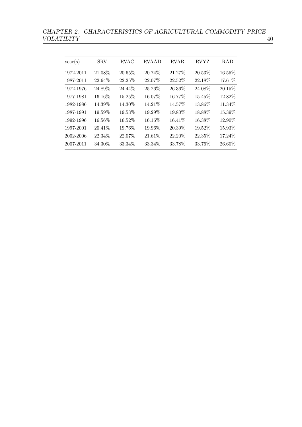CHAPTER 2. CHARACTERISTICS OF AGRICULTURAL COMMODITY PRICE VOLATILITY  $\qquad \qquad 40$ VOLATILITY 40

| year(s)   | <b>SRV</b> | <b>RVAC</b> | <b>RVAAD</b> | <b>RVAR</b> | <b>RVYZ</b> | <b>RAD</b> |
|-----------|------------|-------------|--------------|-------------|-------------|------------|
| 1972-2011 | 21.08%     | 20.65%      | 20.74%       | 21.27%      | 20.53%      | 16.55%     |
| 1987-2011 | 22.64%     | 22.25%      | 22.07%       | 22.52%      | 22.18%      | 17.61%     |
| 1972-1976 | 24.89%     | 24.44%      | 25.26%       | 26.36%      | 24.08%      | 20.15%     |
| 1977-1981 | 16.16\%    | 15.25%      | 16.07%       | 16.77%      | 15.45%      | 12.82%     |
| 1982-1986 | 14.39%     | 14.30%      | 14.21%       | 14.57%      | 13.86%      | 11.34%     |
| 1987-1991 | 19.59%     | 19.53%      | 19.29%       | 19.80%      | 18.88%      | 15.39%     |
| 1992-1996 | 16.56%     | 16.52%      | 16.16%       | 16.41%      | 16.38%      | 12.90%     |
| 1997-2001 | 20.41\%    | 19.76%      | 19.96%       | 20.39%      | 19.52%      | 15.93%     |
| 2002-2006 | 22.34%     | 22.07%      | 21.61%       | 22.20%      | 22.35%      | 17.24%     |
| 2007-2011 | 34.30%     | 33.34%      | 33.34%       | 33.78%      | 33.76%      | 26.60%     |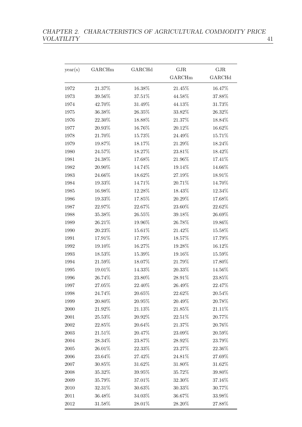| year(s)    | GARCHm    | GARCHd    | $\rm GJR$ | $\rm GJR$ |
|------------|-----------|-----------|-----------|-----------|
|            |           |           | GARCHm    | GARCHd    |
| 1972       | 21.37%    | 16.38%    | 21.45%    | 16.47%    |
| 1973       | 39.56%    | 37.51%    | 44.58%    | 37.88%    |
| 1974       | 42.70%    | 31.49%    | 44.13%    | 31.73%    |
| 1975       | 36.38%    | $26.35\%$ | 33.82%    | 26.32%    |
| 1976       | 22.30%    | 18.88%    | 21.37%    | 18.84%    |
| 1977       | 20.93%    | 16.76%    | 20.12%    | 16.62%    |
| 1978       | 21.70%    | 15.73%    | $24.49\%$ | 15.71%    |
| 1979       | $19.87\%$ | 18.17%    | 21.29%    | $18.24\%$ |
| 1980       | 24.57%    | 18.27%    | 23.81%    | 18.42%    |
| 1981       | 24.38%    | 17.68%    | 21.96%    | 17.41%    |
| 1982       | 20.90%    | 14.74%    | 19.14%    | 14.66%    |
| 1983       | 24.66%    | 18.62%    | 27.19%    | 18.91%    |
| 1984       | 19.33%    | 14.71%    | 20.71%    | 14.70%    |
| 1985       | 16.98%    | 12.28%    | 18.43%    | 12.34%    |
| 1986       | 19.33%    | 17.85%    | 20.29%    | 17.68%    |
| 1987       | 22.97%    | 22.67%    | 23.60%    | 22.62%    |
| 1988       | 35.38%    | $26.55\%$ | 39.18%    | $26.69\%$ |
| 1989       | 26.21%    | 19.96%    | 26.78%    | 19.86%    |
| 1990       | 20.23%    | 15.61%    | 21.42%    | $15.58\%$ |
| 1991       | 17.91%    | 17.79%    | 18.57%    | 17.79%    |
| 1992       | 19.10%    | 16.27%    | 19.28%    | 16.12%    |
| 1993       | 18.53%    | 15.39%    | 19.16%    | 15.59%    |
| 1994       | 21.59%    | 18.07%    | 21.79%    | 17.80%    |
| 1995       | 19.01%    | 14.33%    | 20.33%    | 14.56%    |
| 1996       | 26.74%    | 23.80%    | 28.91%    | $23.85\%$ |
| 1997       | 27.05%    | 22.40%    | 26.49%    | 22.47%    |
| 1998       | 24.74%    | 20.65%    | 22.62\%   | 20.54\%   |
| 1999       | 20.80%    | 20.95%    | 20.49%    | 20.78%    |
| 2000       | 21.92%    | 21.13%    | 21.85%    | 21.11\%   |
| $2001\,$   | $25.53\%$ | 20.92%    | $22.51\%$ | 20.77%    |
| $\,2002\,$ | 22.85%    | 20.64%    | 21.37%    | 20.76%    |
| $\,2003\,$ | 21.51\%   | 20.47%    | 23.09%    | 20.59%    |
| 2004       | 28.34\%   | 23.87%    | 28.92%    | 23.79%    |
| $\,2005\,$ | 26.01%    | 22.33\%   | 23.27%    | 22.36\%   |
| 2006       | 23.64%    | 27.42%    | 24.81%    | 27.69%    |
| 2007       | 30.85%    | 31.62%    | 31.80%    | 31.62%    |
| 2008       | 35.32\%   | $39.95\%$ | 35.72%    | 39.80%    |
| 2009       | 35.79%    | 37.01%    | 32.30%    | 37.16%    |
| 2010       | 32.31%    | 30.63%    | 30.33%    | 30.77%    |
| $2011\,$   | 36.48\%   | 34.03%    | 36.67%    | $33.98\%$ |
| 2012       | 31.58%    | 28.01%    | 28.20%    | 27.88%    |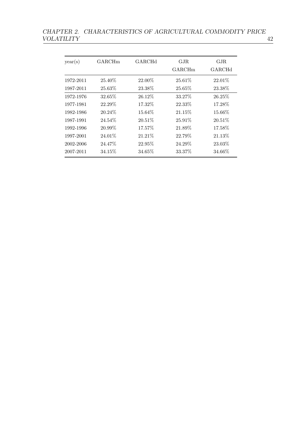## CHAPTER 2. CHARACTERISTICS OF AGRICULTURAL COMMODITY PRICE VOLATILITY  $\qquad \qquad \qquad 42$ Volation and the control of the control of the control of the control of the control of the control of the control of

| year(s)   | GARCHm  | GARCHd    | GJR<br>GARCHm | GJR.<br>GARCHd |
|-----------|---------|-----------|---------------|----------------|
| 1972-2011 | 25.40\% | 22.00%    | 25.61\%       | 22.01\%        |
| 1987-2011 | 25.63\% | 23.38\%   | 25.65\%       | 23.38\%        |
| 1972-1976 | 32.65%  | 26.12%    | 33.27%        | 26.25\%        |
| 1977-1981 | 22.29\% | 17.32%    | 22.33\%       | 17.28%         |
| 1982-1986 | 20.24\% | 15.64%    | 21.15%        | 15.66\%        |
| 1987-1991 | 24.54\% | 20.51\%   | 25.91\%       | $20.51\%$      |
| 1992-1996 | 20.99%  | 17.57%    | 21.89%        | 17.58%         |
| 1997-2001 | 24.01\% | 21.21\%   | 22.79%        | 21.13%         |
| 2002-2006 | 24.47\% | 22.95%    | 24.29%        | 23.03%         |
| 2007-2011 | 34.15\% | $34.65\%$ | 33.37%        | 34.66%         |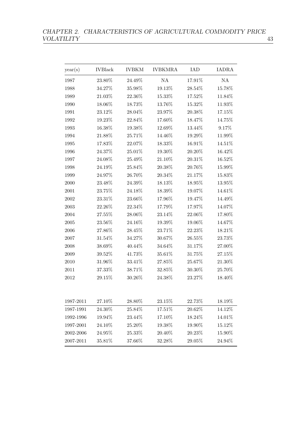| year(s)    | <b>IVBlack</b> | <b>IVBKM</b> | <b>IVBKMRA</b> | <b>IAD</b> | <b>IADRA</b> |
|------------|----------------|--------------|----------------|------------|--------------|
| 1987       | 23.80%         | 24.49%       | NA             | 17.91%     | NA           |
| 1988       | 34.27%         | 35.98%       | $19.13\%$      | 28.54%     | 15.78%       |
| 1989       | $21.03\%$      | 22.36%       | 15.33%         | 17.52%     | 11.84%       |
| 1990       | $18.06\%$      | 18.73%       | 13.76%         | 15.32%     | $11.93\%$    |
| 1991       | 23.12%         | 28.04%       | 23.97%         | 20.38%     | 17.15%       |
| 1992       | 19.23%         | 22.84%       | 17.60%         | 18.47%     | 14.75%       |
| 1993       | 16.38%         | 19.38%       | 12.69%         | 13.44%     | 9.17%        |
| 1994       | 21.88%         | 25.71%       | 14.46%         | 19.29%     | 11.99%       |
| 1995       | 17.83%         | 22.07%       | 18.33%         | 16.91%     | 14.51%       |
| 1996       | 24.37%         | 25.01%       | 19.30%         | 20.20%     | 16.42%       |
| 1997       | 24.08%         | 25.49%       | 21.10%         | 20.31%     | 16.52%       |
| 1998       | 24.19%         | 25.84%       | 20.38%         | 20.76%     | 15.99%       |
| 1999       | 24.97%         | 26.70%       | 20.34%         | 21.17%     | 15.83%       |
| 2000       | 23.48%         | 24.39%       | 18.13%         | 18.95%     | 13.95%       |
| 2001       | 23.75%         | 24.18%       | 18.39%         | 19.07%     | 14.61%       |
| 2002       | 23.31%         | 23.66%       | 17.96%         | 19.47%     | 14.49%       |
| $\,2003\,$ | 22.26%         | 22.34%       | 17.79%         | 17.97%     | 14.07%       |
| 2004       | 27.55%         | 28.06%       | 23.14%         | 22.06%     | 17.80%       |
| 2005       | 23.56%         | 24.16%       | 19.39%         | 19.06%     | 14.67%       |
| 2006       | 27.86%         | 28.45%       | 23.71%         | 22.23%     | 18.21%       |
| 2007       | 31.54%         | 34.27%       | 30.67%         | 26.55%     | 23.73%       |
| 2008       | 38.69%         | 40.44%       | 34.64%         | 31.17%     | 27.00%       |
| 2009       | 39.52%         | 41.73%       | 35.61%         | 31.75%     | 27.15%       |
| 2010       | 31.96%         | 33.41%       | 27.85%         | 25.67%     | 21.30%       |
| 2011       | 37.33%         | 38.71%       | 32.85%         | 30.30%     | 25.70%       |
| 2012       | $29.15\%$      | 30.26%       | 24.38%         | 23.27%     | 18.40%       |
|            |                |              |                |            |              |
| 1987-2011  | 27.10%         | 28.80%       | 23.15%         | 22.73%     | 18.19%       |
| 1987-1991  | 24.30%         | 25.84%       | 17.51%         | 20.62%     | 14.12%       |
| 1992-1996  | 19.94%         | 23.44%       | 17.10%         | 18.24%     | 14.01%       |
| 1997-2001  | 24.10%         | 25.20%       | 19.38%         | 19.90%     | 15.12%       |
| 2002-2006  | $24.95\%$      | 25.33%       | 20.40%         | 20.23%     | 15.90%       |
| 2007-2011  | 35.81%         | 37.66%       | 32.28%         | $29.05\%$  | 24.94%       |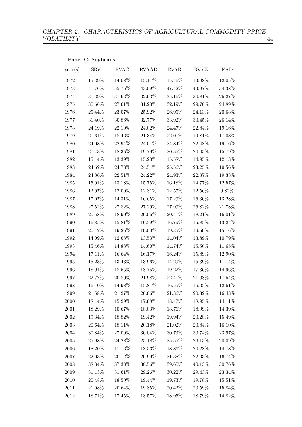year(s) SRV RVAC RVAAD RVAR RVYZ RAD 1972 15.39% 14.08% 15.11% 15.46% 13.98% 12.05% 1973 41.76% 55.76% 43.09% 47.42% 43.97% 34.38% 1974 31.39% 31.63% 32.93% 35.16% 30.81% 26.27% 1975 30.66% 27.61% 31.20% 32.19% 29.76% 24.89% 1976 25.44% 23.07% 25.92% 26.95% 24.13% 20.68% 1977 31.40% 30.86% 32.77% 33.92% 30.45% 26.14% 1978 24.19% 22.19% 24.02% 24.47% 22.84% 19.16% 1979 21.61% 18.46% 21.34% 22.01% 19.81% 17.03% 1980 24.08% 22.94% 24.01% 24.84% 22.48% 19.16% 1981 20.43% 18.35% 19.79% 20.55% 20.05% 15.79% 1982 15.14% 13.39% 15.20% 15.58% 14.95% 12.13% 1983 24.62% 24.73% 24.51% 25.56% 23.25% 19.56% 1984 24.36% 22.51% 24.22% 24.93% 22.87% 19.33% 1985 15.91% 13.18% 15.75% 16.18% 14.77% 12.57%  $1986 \qquad \ \ 12.97\% \qquad \ \ 12.09\% \qquad \ \ 12.31\% \qquad \ \ 12.57\% \qquad \ \ 12.56\% \qquad \ \ 9.82\%$ 1987 17.07% 14.31% 16.65% 17.29% 16.30% 13.28% 1988 27.52% 27.82% 27.29% 27.99% 26.82% 21.78% 1989 20.58% 18.90% 20.06% 20.41% 18.21% 16.01% 1990 16.85% 15.81% 16.59% 16.79% 15.85% 13.24% 1991 20.12% 19.26% 19.00% 19.35% 19.59% 15.16% 1992 14.09% 12.68% 13.53% 14.04% 13.89% 10.79% 1993 15.46% 14.88% 14.60% 14.74% 15.50% 11.65% 1994 17.11% 16.64% 16.17% 16.24% 15.89% 12.90% 1995 15.23% 13.43% 13.96% 14.29% 15.39% 11.14% 1996 18.91% 18.55% 18.75% 19.22% 17.36% 14.96% 1997 22.77% 20.80% 21.98% 22.41% 21.08% 17.54% 1998 16.10% 14.98% 15.81% 16.55% 16.35% 12.61% 1999 21.58% 21.27% 20.66% 21.36% 20.32% 16.48% 2000 18.14% 15.29% 17.68% 18.47% 18.95% 14.11% 2001 18.29% 15.67% 18.03% 18.76% 18.99% 14.39%  $2002 \t 19.34\% \t 18.82\% \t 19.42\% \t 19.94\% \t 20.28\% \t 15.49\%$  $2003 \t 20.64\% \t 18.11\% \t 20.18\% \t 21.02\% \t 20.84\% \t 16.10\%$ 2004 30.84% 27.09% 30.04% 30.73% 30.74% 23.97%  $2005 \t 25.98\% \t 24.28\% \t 25.18\% \t 25.55\% \t 26.15\% \t 20.09\%$ 2006 18.20% 17.13% 18.53% 18.86% 20.28% 14.78%  $2007 \qquad 22.03\% \qquad 20.12\% \qquad 20.99\% \qquad 21.38\% \qquad 22.33\% \qquad 16.74\%$ 2008 38.34% 37.38% 38.56% 39.60% 40.13% 30.76%  $2009 \qquad 31.13\% \qquad 31.61\% \qquad 29.26\% \qquad 30.22\% \qquad 29.43\% \qquad 23.34\%$  $2010 \t 20.48\% \t 18.50\% \t 19.44\% \t 19.73\% \t 19.78\% \t 15.51\%$  $2011$   $21.08\%$   $20.64\%$   $19.85\%$   $20.42\%$   $20.59\%$   $15.84\%$ 2012 18.71% 17.45% 18.57% 18.95% 18.79% 14.82%

#### Panel C: Soybeans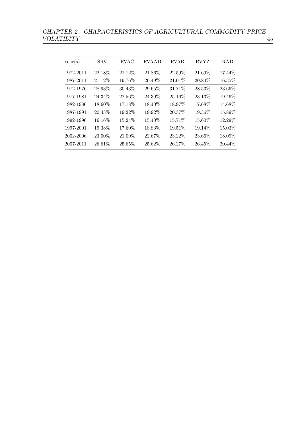CHAPTER 2. CHARACTERISTICS OF AGRICULTURAL COMMODITY PRICE VOLATILITY 45

| year(s)   | <b>SRV</b> | RVAC    | <b>RVAAD</b> | <b>RVAR</b> | <b>RVYZ</b> | <b>RAD</b> |
|-----------|------------|---------|--------------|-------------|-------------|------------|
| 1972-2011 | 22.18%     | 21.12%  | 21.86%       | 22.59%      | 21.69%      | 17.44%     |
| 1987-2011 | 21.12%     | 19.76%  | 20.49%       | 21.01%      | 20.84%      | 16.35%     |
| 1972-1976 | 28.93%     | 30.43%  | 29.65%       | 31.71%      | 28.53%      | 23.66%     |
| 1977-1981 | 24.34\%    | 22.56%  | 24.39%       | 25.16%      | 23.13%      | 19.46%     |
| 1982-1986 | 18.60\%    | 17.18%  | 18.40%       | 18.97%      | 17.68%      | 14.68%     |
| 1987-1991 | 20.43\%    | 19.22%  | 19.92%       | 20.37%      | 19.36\%     | 15.89%     |
| 1992-1996 | 16.16%     | 15.24\% | 15.40%       | 15.71%      | 15.60%      | 12.29%     |
| 1997-2001 | 19.38%     | 17.60%  | 18.83%       | 19.51%      | 19.14%      | 15.03%     |
| 2002-2006 | 23.00%     | 21.09%  | 22.67%       | 23.22%      | 23.66%      | 18.09%     |
| 2007-2011 | 26.61%     | 25.65%  | 25.62%       | 26.27%      | 26.45%      | 20.44\%    |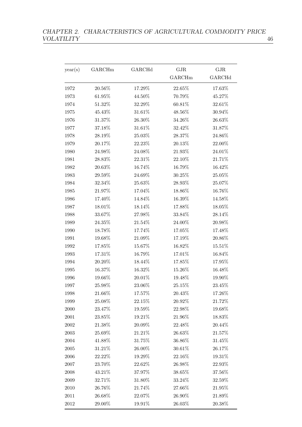| year(s)    | GARCHm    | $\operatorname{GARCHd}$ | GJR       | $\rm GJR$ |
|------------|-----------|-------------------------|-----------|-----------|
|            |           |                         | GARCHm    | GARCHd    |
| 1972       | 20.56%    | 17.29%                  | $22.65\%$ | 17.63%    |
| 1973       | $61.95\%$ | 44.50%                  | 70.79%    | 45.27%    |
| 1974       | 51.32%    | 32.29%                  | 60.81%    | 32.61%    |
| 1975       | 45.43%    | 31.61%                  | 48.56%    | 30.94%    |
| 1976       | 31.37%    | $26.30\%$               | 34.26%    | 26.63%    |
| 1977       | 37.18%    | 31.61%                  | 32.42%    | 31.87%    |
| 1978       | 28.19%    | 25.03%                  | 28.37%    | 24.86%    |
| 1979       | 20.17%    | 22.23%                  | $20.13\%$ | 22.00%    |
| 1980       | 24.98%    | 24.08%                  | $21.93\%$ | 24.01%    |
| 1981       | 28.83%    | 22.31%                  | 22.10%    | 21.71%    |
| 1982       | 20.63%    | 16.74%                  | 16.79%    | 16.42%    |
| 1983       | 29.59%    | 24.69%                  | 30.25%    | 25.05%    |
| 1984       | 32.34%    | 25.63%                  | 28.93%    | 25.07%    |
| 1985       | 21.97%    | 17.04%                  | 18.86%    | 16.76%    |
| 1986       | 17.40%    | 14.84%                  | 16.39%    | 14.58%    |
| 1987       | 18.01%    | 18.14%                  | 17.88%    | 18.05%    |
| 1988       | 33.67%    | 27.98%                  | 33.84%    | 28.14%    |
| 1989       | 24.35%    | 21.54%                  | 24.00%    | 20.98%    |
| 1990       | 18.78%    | 17.74%                  | 17.05%    | 17.48%    |
| 1991       | 19.68%    | 21.09%                  | 17.19%    | 20.86%    |
| 1992       | 17.85%    | 15.67%                  | 16.82%    | 15.51%    |
| 1993       | 17.31%    | 16.79%                  | 17.01%    | 16.84%    |
| 1994       | 20.20%    | 18.44%                  | 17.85%    | 17.95%    |
| 1995       | 16.37%    | 16.32%                  | 15.26%    | 16.48%    |
| 1996       | $19.66\%$ | $20.01\%$               | $19.48\%$ | 19.90%    |
| 1997       | 25.98%    | 23.06%                  | 25.15%    | 23.45%    |
| 1998       | 21.66%    | 17.57%                  | 20.43%    | 17.26\%   |
| 1999       | 25.08%    | 22.15%                  | 20.92%    | 21.72%    |
| 2000       | 23.47%    | 19.59%                  | 22.98%    | 19.68%    |
| 2001       | 23.85%    | 19.21%                  | 21.96%    | $18.83\%$ |
| 2002       | $21.38\%$ | 20.09%                  | 22.48%    | 20.44\%   |
| 2003       | 25.69%    | 21.21%                  | $26.63\%$ | 21.57%    |
| 2004       | 41.88%    | 31.75%                  | 36.86%    | 31.45\%   |
| $\,2005\,$ | $31.21\%$ | 26.00%                  | $30.61\%$ | 26.17%    |
| 2006       | 22.22%    | 19.29%                  | $22.16\%$ | 19.31%    |
| 2007       | 23.70%    | 22.62%                  | 26.98%    | 22.93%    |
| 2008       | 43.21%    | 37.97%                  | $38.65\%$ | 37.56%    |
| 2009       | 32.71%    | 31.80%                  | 33.24%    | 32.59%    |
| 2010       | 26.76%    | 21.74%                  | 27.66%    | 21.95%    |
| $2011\,$   | 26.68%    | 22.07%                  | 26.90%    | 21.89%    |
| 2012       | 29.00%    | 19.91%                  | 26.03%    | 20.38%    |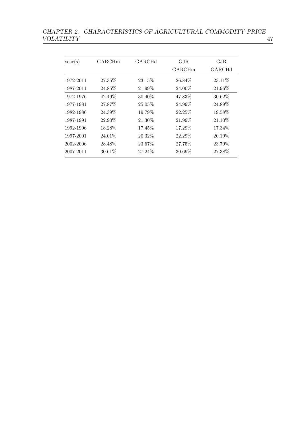| year(s)   | GARCHm  | GARCHd  | GJR<br>GARCHm | GJR<br>GARCHd |
|-----------|---------|---------|---------------|---------------|
| 1972-2011 | 27.35\% | 23.15\% | 26.84\%       | 23.11\%       |
| 1987-2011 | 24.85\% | 21.99%  | 24.00%        | 21.96\%       |
| 1972-1976 | 42.49%  | 30.40%  | 47.83%        | 30.62\%       |
| 1977-1981 | 27.87%  | 25.05\% | 24.99%        | 24.89%        |
| 1982-1986 | 24.39%  | 19.79%  | 22.25%        | 19.58%        |
| 1987-1991 | 22.90%  | 21.30%  | 21.99%        | 21.10\%       |
| 1992-1996 | 18.28%  | 17.45\% | 17.29%        | 17.34\%       |
| 1997-2001 | 24.01\% | 20.32%  | 22.29%        | 20.19%        |
| 2002-2006 | 28.48%  | 23.67%  | 27.75\%       | 23.79%        |
| 2007-2011 | 30.61%  | 27.24\% | 30.69\%       | 27.38%        |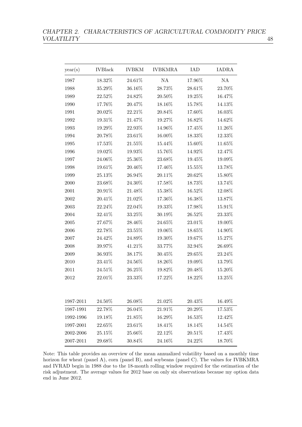| year(s)   | <b>IVBlack</b> | <b>IVBKM</b> | <b>IVBKMRA</b> | IAD       | <b>IADRA</b> |
|-----------|----------------|--------------|----------------|-----------|--------------|
| 1987      | 18.32%         | 24.61%       | NA             | 17.96%    | NA           |
| 1988      | 35.29%         | 36.16%       | 28.73%         | 28.61%    | 23.70%       |
| 1989      | 22.52%         | 24.82%       | 20.50%         | 19.25%    | 16.47%       |
| 1990      | 17.76%         | $20.47\%$    | 18.16%         | 15.78%    | 14.13%       |
| 1991      | 20.02%         | 22.21%       | 20.84%         | 17.60%    | 16.03%       |
| 1992      | 19.31%         | 21.47%       | 19.27%         | 16.82%    | 14.62%       |
| 1993      | 19.29%         | 22.93%       | 14.96%         | 17.45%    | 11.26%       |
| 1994      | 20.78%         | 23.61%       | 16.00%         | 18.33%    | 12.33%       |
| 1995      | 17.53%         | 21.55%       | 15.44%         | 15.60%    | 11.65%       |
| 1996      | 19.02%         | 19.93%       | 15.76%         | 14.92%    | 12.47%       |
| 1997      | 24.06%         | 25.36%       | 23.68%         | 19.45%    | 19.09%       |
| 1998      | 19.61%         | 20.46%       | 17.46%         | 15.55%    | 13.78%       |
| 1999      | 25.13%         | 26.94%       | 20.11%         | 20.62%    | 15.80%       |
| 2000      | 23.68%         | 24.30%       | 17.58%         | 18.73%    | 13.74%       |
| 2001      | 20.91%         | 21.48%       | 15.38%         | 16.52%    | 12.08%       |
| 2002      | 20.41\%        | 21.02%       | 17.36%         | 16.38%    | 13.87%       |
| 2003      | 22.24\%        | 22.04%       | 19.33%         | 17.98%    | 15.91%       |
| 2004      | 32.41%         | 33.25%       | 30.19%         | 26.52%    | 23.33%       |
| 2005      | 27.67%         | $28.46\%$    | 24.65%         | 23.01%    | 19.00%       |
| 2006      | 22.78%         | 23.55%       | 19.06%         | 18.65%    | 14.90%       |
| 2007      | 24.42%         | 24.89%       | 19.30%         | 19.67%    | 15.27%       |
| 2008      | 39.97%         | 41.21%       | 33.77%         | 32.94%    | 26.69%       |
| 2009      | 36.93%         | 38.17%       | 30.45%         | 29.65%    | 23.24%       |
| 2010      | 23.41%         | $24.56\%$    | 18.26%         | 19.09%    | 13.79%       |
| 2011      | 24.51%         | 26.25%       | 19.82%         | 20.48%    | 15.20%       |
| 2012      | 22.01%         | $23.33\%$    | 17.22%         | 18.22%    | 13.25%       |
| 1987-2011 | 24.50%         | 26.08%       | 21.02%         | 20.43%    | 16.49%       |
| 1987-1991 | 22.78%         | 26.04%       | 21.91%         | $20.29\%$ | 17.53%       |
| 1992-1996 | 19.18%         | 21.85%       | 16.29%         | 16.53%    | 12.42%       |
| 1997-2001 | 22.65%         | 23.61%       | 18.41%         | 18.14%    | 14.54%       |
| 2002-2006 | 25.15%         | 25.66%       | 22.12%         | 20.51%    | 17.43%       |
| 2007-2011 | 29.68%         | 30.84%       | 24.16\%        | 24.22%    | 18.70%       |

Note: This table provides an overview of the mean annualized volatility based on a monthly time horizon for wheat (panel A), corn (panel B), and soybeans (panel C). The values for IVBKMRA and IVRAD begin in 1988 due to the 18-month rolling window required for the estimation of the risk adjustment. The average values for 2012 base on only six observations because my option data end in June 2012.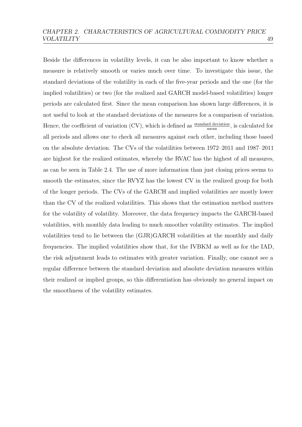Beside the differences in volatility levels, it can be also important to know whether a measure is relatively smooth or varies much over time. To investigate this issue, the standard deviations of the volatility in each of the five-year periods and the one (for the implied volatilities) or two (for the realized and GARCH model-based volatilities) longer periods are calculated first. Since the mean comparison has shown large differences, it is not useful to look at the standard deviations of the measures for a comparison of variation. Hence, the coefficient of variation  $(CV)$ , which is defined as  $\frac{\text{standard deviation}}{\text{mean}}$ , is calculated for mean all periods and allows one to check all measures against each other, including those based on the absolute deviation. The CVs of the volatilities between 1972–2011 and 1987–2011 are highest for the realized estimates, whereby the RVAC has the highest of all measures, as can be seen in Table [2.4.](#page-56-0) The use of more information than just closing prices seems to smooth the estimates, since the RVYZ has the lowest CV in the realized group for both of the longer periods. The CVs of the GARCH and implied volatilities are mostly lower than the CV of the realized volatilities. This shows that the estimation method matters for the volatility of volatility. Moreover, the data frequency impacts the GARCH-based volatilities, with monthly data leading to much smoother volatility estimates. The implied volatilities tend to lie between the (GJR)GARCH volatilities at the monthly and daily frequencies. The implied volatilities show that, for the IVBKM as well as for the IAD, the risk adjustment leads to estimates with greater variation. Finally, one cannot see a regular difference between the standard deviation and absolute deviation measures within their realized or implied groups, so this differentiation has obviously no general impact on the smoothness of the volatility estimates.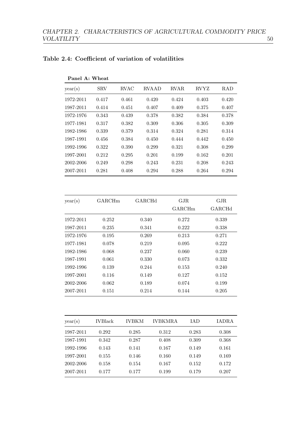| Panel A: Wheat |            |             |              |             |             |            |
|----------------|------------|-------------|--------------|-------------|-------------|------------|
| year(s)        | <b>SRV</b> | <b>RVAC</b> | <b>RVAAD</b> | <b>RVAR</b> | <b>RVYZ</b> | <b>RAD</b> |
| 1972-2011      | 0.417      | 0.461       | 0.420        | 0.424       | 0.403       | 0.420      |
| 1987-2011      | 0.414      | 0.451       | 0.407        | 0.409       | 0.375       | 0.407      |
| 1972-1976      | 0.343      | 0.439       | 0.378        | 0.382       | 0.384       | 0.378      |
| 1977-1981      | 0.317      | 0.382       | 0.309        | 0.306       | 0.305       | 0.309      |
| 1982-1986      | 0.339      | 0.379       | 0.314        | 0.324       | 0.281       | 0.314      |
| 1987-1991      | 0.456      | 0.384       | 0.450        | 0.444       | 0.442       | 0.450      |
| 1992-1996      | 0.322      | 0.390       | 0.299        | 0.321       | 0.308       | 0.299      |
| 1997-2001      | 0.212      | 0.295       | 0.201        | 0.199       | 0.162       | 0.201      |
| 2002-2006      | 0.249      | 0.298       | 0.243        | 0.231       | 0.208       | 0.243      |
| 2007-2011      | 0.281      | 0.408       | 0.294        | 0.288       | 0.264       | 0.294      |

## <span id="page-56-0"></span>Table 2.4: Coefficient of variation of volatilities

| year(s)   | GARCHm | GARCHd | GJR.<br><b>GARCHm</b> | GJR<br>GARCHd |
|-----------|--------|--------|-----------------------|---------------|
| 1972-2011 | 0.252  | 0.340  | 0.272                 | 0.339         |
| 1987-2011 | 0.235  | 0.341  | 0.222                 | 0.338         |
| 1972-1976 | 0.195  | 0.269  | 0.213                 | 0.271         |
| 1977-1981 | 0.078  | 0.219  | 0.095                 | 0.222         |
| 1982-1986 | 0.068  | 0.237  | 0.060                 | 0.239         |
| 1987-1991 | 0.061  | 0.330  | 0.073                 | 0.332         |
| 1992-1996 | 0.139  | 0.244  | 0.153                 | 0.240         |
| 1997-2001 | 0.116  | 0.149  | 0.127                 | 0.152         |
| 2002-2006 | 0.062  | 0.189  | 0.074                 | 0.199         |
| 2007-2011 | 0.151  | 0.214  | 0.144                 | 0.205         |

| year(s)   | <b>IVBlack</b> | <b>IVBKM</b> | <b>IVBKMRA</b> | <b>IAD</b> | IADRA |
|-----------|----------------|--------------|----------------|------------|-------|
| 1987-2011 | 0.292          | 0.285        | 0.312          | 0.283      | 0.308 |
| 1987-1991 | 0.342          | 0.287        | 0.408          | 0.309      | 0.368 |
| 1992-1996 | 0.143          | 0.141        | 0.167          | 0.149      | 0.161 |
| 1997-2001 | 0.155          | 0.146        | 0.160          | 0.149      | 0.169 |
| 2002-2006 | 0.158          | 0.154        | 0.167          | 0.152      | 0.172 |
| 2007-2011 | 0.177          | 0.177        | 0.199          | 0.179      | 0.207 |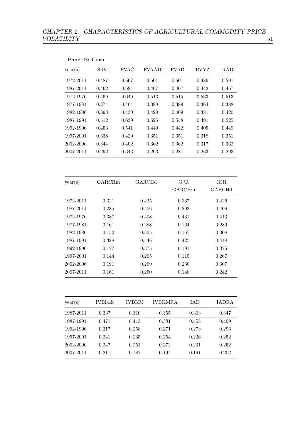| Panel B: Corn |            |             |              |             |             |           |
|---------------|------------|-------------|--------------|-------------|-------------|-----------|
| year(s)       | <b>SRV</b> | <b>RVAC</b> | <b>RVAAD</b> | <b>RVAR</b> | <b>RVYZ</b> | RAD       |
| 1972-2011     | 0.487      | 0.567       | 0.501        | 0.501       | 0.486       | 0.501     |
| 1987-2011     | 0.462      | 0.524       | 0.467        | 0.467       | 0.442       | 0.467     |
| 1972-1976     | 0.469      | 0.649       | 0.513        | 0.515       | 0.533       | 0.513     |
| 1977-1981     | 0.374      | 0.404       | 0.388        | 0.389       | 0.364       | 0.388     |
| 1982-1986     | 0.393      | 0.430       | 0.420        | 0.409       | 0.381       | 0.420     |
| 1987-1991     | 0.512      | 0.639       | 0.525        | 0.548       | 0.491       | 0.525     |
| 1992-1996     | 0.453      | 0.541       | 0.449        | 0.442       | 0.405       | 0.449     |
| 1997-2001     | 0.338      | 0.429       | 0.351        | 0.351       | 0.318       | 0.351     |
| 2002-2006     | 0.344      | 0.402       | 0.362        | 0.362       | 0.317       | 0.362     |
| 2007-2011     | 0.292      | 0.343       | 0.293        | 0.287       | 0.263       | 0.293     |
| year(s)       | GARCHm     |             | GARCHd       | GJR         |             | $\rm GJR$ |
|               |            |             |              | GARCHm      |             | GARCHd    |
| 1972-2011     | 0.321      |             | 0.425        | 0.337       |             | 0.426     |
| 1987-2011     | 0.285      |             | 0.406        | 0.293       |             | 0.406     |
| 1972-1976     | 0.387      |             | 0.408        | 0.431       |             | 0.413     |
| 1977-1981     | 0.161      |             | 0.288        | 0.164       |             | 0.289     |
| 1982-1986     | 0.152      |             | 0.305        | 0.167       |             | 0.308     |
| 1987-1991     | 0.388      |             | 0.446        | 0.425       |             | 0.448     |
| 1992-1996     | 0.177      |             | 0.375        | 0.191       |             | 0.375     |
| 1997-2001     | 0.144      |             | 0.265        | 0.115       |             | 0.267     |
| 2002-2006     | 0.191      |             | 0.299        | 0.230       |             | 0.307     |
| 2007-2011     | 0.161      |             | 0.250        | 0.148       |             | 0.242     |

| year(s)   | <b>IVBlack</b> | <b>IVBKM</b> | IVBKMRA | IAD   | IADRA |
|-----------|----------------|--------------|---------|-------|-------|
| 1987-2011 | 0.337          | 0.310        | 0.355   | 0.303 | 0.347 |
| 1987-1991 | 0.471          | 0.413        | 0.381   | 0.458 | 0.409 |
| 1992-1996 | 0.317          | 0.258        | 0.271   | 0.273 | 0.296 |
| 1997-2001 | 0.241          | 0.235        | 0.254   | 0.236 | 0.252 |
| 2002-2006 | 0.247          | 0.251        | 0.272   | 0.231 | 0.252 |
| 2007-2011 | 0.217          | 0.187        | 0.194   | 0.191 | 0.202 |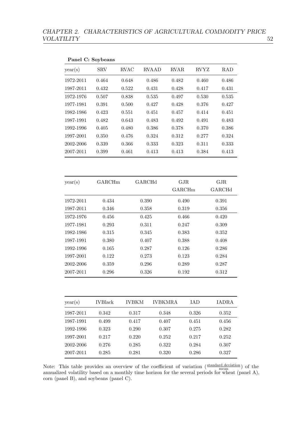|           | Panel C: Soybeans |             |              |             |       |            |
|-----------|-------------------|-------------|--------------|-------------|-------|------------|
| year(s)   | <b>SRV</b>        | <b>RVAC</b> | <b>RVAAD</b> | <b>RVAR</b> | RVYZ  | <b>RAD</b> |
| 1972-2011 | 0.464             | 0.648       | 0.486        | 0.482       | 0.460 | 0.486      |
| 1987-2011 | 0.432             | 0.522       | 0.431        | 0.428       | 0.417 | 0.431      |
| 1972-1976 | 0.507             | 0.838       | 0.535        | 0.497       | 0.530 | 0.535      |
| 1977-1981 | 0.391             | 0.500       | 0.427        | 0.428       | 0.376 | 0.427      |
| 1982-1986 | 0.423             | 0.551       | 0.451        | 0.457       | 0.414 | 0.451      |
| 1987-1991 | 0.482             | 0.643       | 0.483        | 0.492       | 0.491 | 0.483      |
| 1992-1996 | 0.405             | 0.480       | 0.386        | 0.378       | 0.370 | 0.386      |
| 1997-2001 | 0.350             | 0.476       | 0.324        | 0.312       | 0.277 | 0.324      |
| 2002-2006 | 0.339             | 0.366       | 0.333        | 0.323       | 0.311 | 0.333      |
| 2007-2011 | 0.399             | 0.461       | 0.413        | 0.413       | 0.384 | 0.413      |
| year(s)   | GARCHm            |             | GARCHd       | GJR         |       | GJR        |
|           |                   |             |              | GARCHm      |       | GARCHd     |
| 1972-2011 | 0.434             |             | 0.390        | 0.490       |       | 0.391      |
| 1987-2011 | 0.346             |             | 0.358        | 0.319       |       | 0.356      |
| 1972-1976 | 0.456             |             | 0.425        | 0.466       |       | 0.420      |
| 1977-1981 | 0.293             |             | 0.311        | 0.247       |       | 0.309      |
| 1982-1986 | 0.315             |             | 0.345        | 0.383       |       | 0.352      |
| 1987-1991 | 0.380             |             | 0.407        | 0.388       |       | 0.408      |
| 1992-1996 | 0.165             |             | 0.287        | 0.126       |       | 0.286      |
| 1997-2001 | 0.122             |             | 0.273        | 0.123       |       | 0.284      |
| 2002-2006 | 0.359             |             | 0.296        | 0.289       |       | 0.287      |
| 2007-2011 | 0.296             |             | 0.326        | 0.192       |       | 0.312      |

| year(s)   | <b>IVBlack</b> | <b>IVBKM</b> | IVBKMRA | <b>IAD</b> | IADRA |
|-----------|----------------|--------------|---------|------------|-------|
| 1987-2011 | 0.342          | 0.317        | 0.348   | 0.326      | 0.352 |
| 1987-1991 | 0.499          | 0.417        | 0.407   | 0.451      | 0.456 |
| 1992-1996 | 0.323          | 0.290        | 0.307   | 0.275      | 0.282 |
| 1997-2001 | 0.217          | 0.220        | 0.252   | 0.217      | 0.252 |
| 2002-2006 | 0.276          | 0.285        | 0.322   | 0.284      | 0.307 |
| 2007-2011 | 0.285          | 0.281        | 0.320   | 0.286      | 0.327 |

Note: This table provides an overview of the coefficient of variation  $\left(\frac{\text{standard deviation}}{\text{mean}}\right)$  of the annualized volatility based on a monthly time horizon for the several periods for wheat (panel A), corn (panel B), and soybeans (panel C).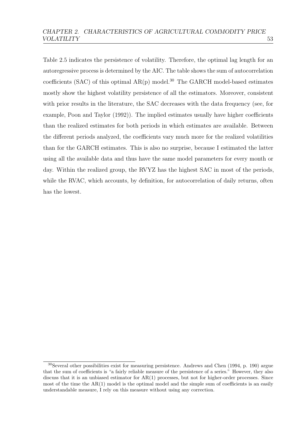Table [2.5](#page-60-0) indicates the persistence of volatility. Therefore, the optimal lag length for an autoregressive process is determined by the AIC. The table shows the sum of autocorrelation coefficients (SAC) of this optimal  $AR(p)$  model.<sup>[30](#page-59-0)</sup> The GARCH model-based estimates mostly show the highest volatility persistence of all the estimators. Moreover, consistent with prior results in the literature, the SAC decreases with the data frequency (see, for example, [Poon and Taylor](#page-159-0) [\(1992\)](#page-159-0)). The implied estimates usually have higher coefficients than the realized estimates for both periods in which estimates are available. Between the different periods analyzed, the coefficients vary much more for the realized volatilities than for the GARCH estimates. This is also no surprise, because I estimated the latter using all the available data and thus have the same model parameters for every month or day. Within the realized group, the RVYZ has the highest SAC in most of the periods, while the RVAC, which accounts, by definition, for autocorrelation of daily returns, often has the lowest.

<span id="page-59-0"></span><sup>30</sup>Several other possibilities exist for measuring persistence. [Andrews and Chen](#page-149-0) [\(1994,](#page-149-0) p. 190) argue that the sum of coefficients is "a fairly reliable measure of the persistence of a series." However, they also discuss that it is an unbiased estimator for AR(1) processes, but not for higher-order processes. Since most of the time the  $AR(1)$  model is the optimal model and the simple sum of coefficients is an easily understandable measure, I rely on this measure without using any correction.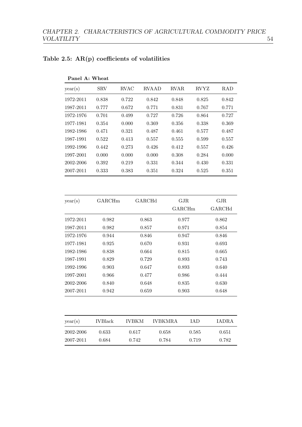| Panel A: Wheat |             |              |             |             |            |
|----------------|-------------|--------------|-------------|-------------|------------|
| <b>SRV</b>     | <b>RVAC</b> | <b>RVAAD</b> | <b>RVAR</b> | <b>RVYZ</b> | <b>RAD</b> |
| 0.838          | 0.722       | 0.842        | 0.848       | 0.825       | 0.842      |
| 0.777          | 0.672       | 0.771        | 0.831       | 0.767       | 0.771      |
| 0.701          | 0.499       | 0.727        | 0.726       | 0.864       | 0.727      |
| 0.354          | 0.000       | 0.369        | 0.356       | 0.338       | 0.369      |
| 0.471          | 0.321       | 0.487        | 0.461       | 0.577       | 0.487      |
| 0.522          | 0.413       | 0.557        | 0.555       | 0.599       | 0.557      |
| 0.442          | 0.273       | 0.426        | 0.412       | 0.557       | 0.426      |
| 0.000          | 0.000       | 0.000        | 0.308       | 0.284       | 0.000      |
| 0.392          | 0.219       | 0.331        | 0.344       | 0.430       | 0.331      |
| 0.333          | 0.383       | 0.351        | 0.324       | 0.525       | 0.351      |
|                |             |              |             |             |            |

## <span id="page-60-0"></span>Table 2.5:  $AR(p)$  coefficients of volatilities

| year(s)   | GARCHm | GARCHd | GJR.<br>GARCHm | GJR<br>GARCHd |
|-----------|--------|--------|----------------|---------------|
| 1972-2011 | 0.982  | 0.863  | 0.977          | 0.862         |
| 1987-2011 | 0.982  | 0.857  | 0.971          | 0.854         |
| 1972-1976 | 0.944  | 0.846  | 0.947          | 0.846         |
| 1977-1981 | 0.925  | 0.670  | 0.931          | 0.693         |
| 1982-1986 | 0.838  | 0.664  | 0.815          | 0.665         |
| 1987-1991 | 0.829  | 0.729  | 0.893          | 0.743         |
| 1992-1996 | 0.903  | 0.647  | 0.893          | 0.640         |
| 1997-2001 | 0.966  | 0.477  | 0.986          | 0.444         |
| 2002-2006 | 0.840  | 0.648  | 0.835          | 0.630         |
| 2007-2011 | 0.942  | 0.659  | 0.903          | 0.648         |

| year(s)   | <b>IVBlack</b> | <b>IVBKM</b> | <b>IVBKMRA</b> | <b>TAD</b> | <b>IADRA</b> |
|-----------|----------------|--------------|----------------|------------|--------------|
| 2002-2006 | 0.633          | 0.617        | 0.658          | 0.585      | 0.651        |
| 2007-2011 | 0.684          | 0.742        | 0.784          | 0.719      | 0.782        |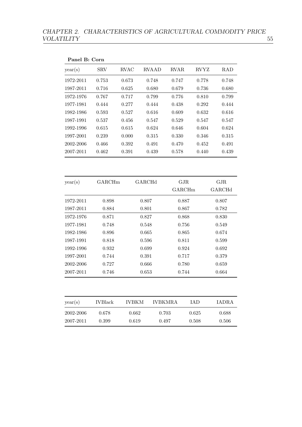| year(s)   | <b>SRV</b> | <b>RVAC</b> | <b>RVAAD</b> | <b>RVAR</b> | <b>RVYZ</b> | <b>RAD</b> |
|-----------|------------|-------------|--------------|-------------|-------------|------------|
| 1972-2011 | 0.753      | 0.673       | 0.748        | 0.747       | 0.778       | 0.748      |
| 1987-2011 | 0.716      | 0.625       | 0.680        | 0.679       | 0.736       | 0.680      |
| 1972-1976 | 0.767      | 0.717       | 0.799        | 0.776       | 0.810       | 0.799      |
| 1977-1981 | 0.444      | 0.277       | 0.444        | 0.438       | 0.292       | 0.444      |
| 1982-1986 | 0.593      | 0.527       | 0.616        | 0.609       | 0.632       | 0.616      |
| 1987-1991 | 0.537      | 0.456       | 0.547        | 0.529       | 0.547       | 0.547      |
| 1992-1996 | 0.615      | 0.615       | 0.624        | 0.646       | 0.604       | 0.624      |
| 1997-2001 | 0.239      | 0.000       | $0.315\,$    | 0.330       | 0.346       | $0.315\,$  |
| 2002-2006 | 0.466      | $\!.392$    | 0.491        | 0.470       | $\,0.452\,$ | 0.491      |
| 2007-2011 | 0.462      | 0.391       | 0.439        | 0.578       | 0.440       | 0.439      |
|           |            |             |              | GARCHm      |             | GARCHd     |
| 1972-2011 | 0.898      |             | 0.807        | 0.887       |             | 0.807      |
| 1987-2011 | 0.884      |             | 0.801        | 0.867       |             |            |
| 1972-1976 | 0.871      |             | 0.827        | 0.868       |             | 0.830      |
| 1977-1981 | 0.748      |             | 0.548        | 0.756       |             | 0.549      |
| 1982-1986 | 0.896      |             | 0.665        | 0.865       |             | 0.674      |
| 1987-1991 | 0.818      |             | 0.596        | 0.811       |             | 0.599      |
| 1992-1996 | 0.932      |             | 0.699        | 0.924       |             | 0.692      |
| 1997-2001 | 0.744      |             | 0.391        | 0.717       |             | 0.379      |
|           |            |             | 0.666        |             |             | 0.659      |
| 2002-2006 | 0.727      |             |              |             |             |            |

| year(s)                | <b>IVBlack</b> | <b>IVBKM</b>   | <b>IVBKMRA</b> | TA D           | <b>IADRA</b>   |
|------------------------|----------------|----------------|----------------|----------------|----------------|
| 2002-2006<br>2007-2011 | 0.678<br>0.399 | 0.662<br>0.619 | 0.703<br>0.497 | 0.625<br>0.508 | 0.688<br>0.506 |
|                        |                |                |                |                |                |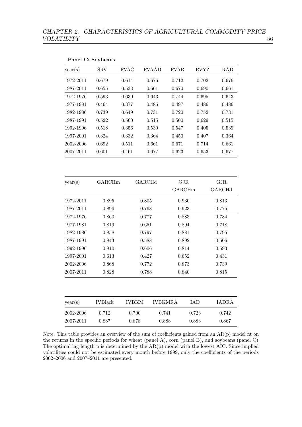|           | Panel C: Soybeans |              |              |                |             |              |
|-----------|-------------------|--------------|--------------|----------------|-------------|--------------|
| year(s)   | <b>SRV</b>        | <b>RVAC</b>  | <b>RVAAD</b> | ${\rm RVAR}$   | <b>RVYZ</b> | <b>RAD</b>   |
| 1972-2011 | 0.679             | 0.614        | 0.676        | 0.712          | 0.702       | 0.676        |
| 1987-2011 | 0.655             | 0.533        | 0.661        |                | 0.690       | 0.661        |
| 1972-1976 | 0.593             | 0.630        | 0.643        |                | 0.695       | 0.643        |
| 1977-1981 | 0.464             | 0.377        | 0.486        | 0.497          | 0.486       | 0.486        |
| 1982-1986 | 0.739             | 0.649        | 0.731        | 0.720          | 0.752       | 0.731        |
| 1987-1991 | 0.522             | 0.560        | 0.515        | 0.500          | 0.629       | 0.515        |
| 1992-1996 | 0.518             | 0.356        | 0.539        | 0.547          | 0.405       | 0.539        |
| 1997-2001 | 0.324             | 0.332        | 0.364        | 0.450          | 0.407       | 0.364        |
| 2002-2006 | 0.692             | 0.511        | 0.661        | 0.671          | 0.714       | 0.661        |
| 2007-2011 | 0.601             | 0.461        | 0.677        | 0.623          | 0.653       | 0.677        |
|           |                   |              |              |                |             |              |
| year(s)   | GARCHm            |              | GARCHd       | GJR            |             | GJR          |
|           |                   |              |              | GARCHm         |             | GARCHd       |
| 1972-2011 | 0.895             |              | 0.805        | 0.930          |             | 0.813        |
| 1987-2011 | 0.896             |              | 0.768        | 0.923          |             | 0.775        |
| 1972-1976 | 0.860             |              | 0.777        | 0.883          |             | 0.784        |
| 1977-1981 | 0.819             |              | 0.651        | 0.894          |             | 0.718        |
| 1982-1986 | 0.858             |              | 0.797        | 0.881          |             | 0.795        |
| 1987-1991 | 0.843             |              | 0.588        | 0.892          |             | 0.606        |
| 1992-1996 | 0.810             |              | 0.606        | 0.814          |             | 0.593        |
| 1997-2001 | 0.613             |              | 0.427        | 0.652          |             | 0.431        |
| 2002-2006 | 0.868             |              | 0.772        | 0.873          |             | 0.739        |
| 2007-2011 | 0.828             |              | 0.788        | 0.840          |             | 0.815        |
|           |                   |              |              |                |             |              |
| year(s)   | <b>IVBlack</b>    | <b>IVBKM</b> |              | <b>IVBKMRA</b> | IAD         | <b>IADRA</b> |
| 2002-2006 | 0.712             | 0.700        |              | 0.741          | 0.723       | 0.742        |
| 2007-2011 | 0.887             | 0.878        |              | 0.888          | 0.883       | 0.867        |

Note: This table provides an overview of the sum of coefficients gained from an  $AR(p)$  model fit on the returns in the specific periods for wheat (panel A), corn (panel B), and soybeans (panel C). The optimal lag length p is determined by the AR(p) model with the lowest AIC. Since implied volatilities could not be estimated every month before 1999, only the coefficients of the periods 2002–2006 and 2007–2011 are presented.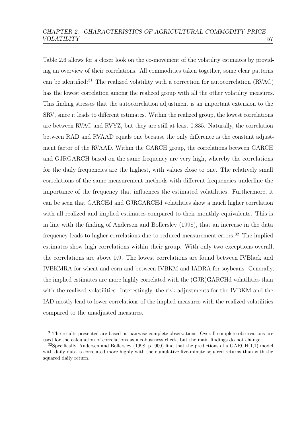Table [2.6](#page-64-0) allows for a closer look on the co-movement of the volatility estimates by providing an overview of their correlations. All commodities taken together, some clear patterns can be identified:[31](#page-63-0) The realized volatility with a correction for autocorrelation (RVAC) has the lowest correlation among the realized group with all the other volatility measures. This finding stresses that the autocorrelation adjustment is an important extension to the SRV, since it leads to different estimates. Within the realized group, the lowest correlations are between RVAC and RVYZ, but they are still at least 0.835. Naturally, the correlation between RAD and RVAAD equals one because the only difference is the constant adjustment factor of the RVAAD. Within the GARCH group, the correlations between GARCH and GJRGARCH based on the same frequency are very high, whereby the correlations for the daily frequencies are the highest, with values close to one. The relatively small correlations of the same measurement methods with different frequencies underline the importance of the frequency that influences the estimated volatilities. Furthermore, it can be seen that GARCHd and GJRGARCHd volatilities show a much higher correlation with all realized and implied estimates compared to their monthly equivalents. This is in line with the finding of [Andersen and Bollerslev](#page-149-1) [\(1998\)](#page-149-1), that an increase in the data frequency leads to higher correlations due to reduced measurement errors.<sup>[32](#page-63-1)</sup> The implied estimates show high correlations within their group. With only two exceptions overall, the correlations are above 0.9. The lowest correlations are found between IVBlack and IVBKMRA for wheat and corn and between IVBKM and IADRA for soybeans. Generally, the implied estimates are more highly correlated with the (GJR)GARCHd volatilities than with the realized volatilities. Interestingly, the risk adjustments for the IVBKM and the IAD mostly lead to lower correlations of the implied measures with the realized volatilities compared to the unadjusted measures.

<span id="page-63-0"></span><sup>&</sup>lt;sup>31</sup>The results presented are based on pairwise complete observations. Overall complete observations are used for the calculation of correlations as a robustness check, but the main findings do not change.

<span id="page-63-1"></span><sup>&</sup>lt;sup>32</sup>Specifically, [Andersen and Bollerslev](#page-149-1) [\(1998,](#page-149-1) p. 900) find that the predictions of a  $GARCH(1,1)$  model with daily data is correlated more highly with the cumulative five-minute squared returns than with the squared daily return.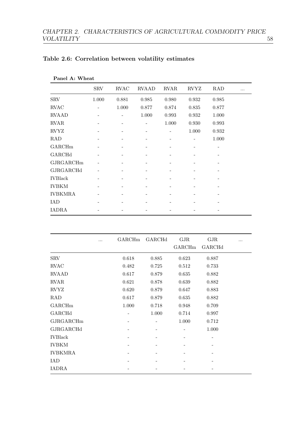| Panel A: Wheat |            |             |              |             |             |             |   |
|----------------|------------|-------------|--------------|-------------|-------------|-------------|---|
|                | <b>SRV</b> | <b>RVAC</b> | <b>RVAAD</b> | <b>RVAR</b> | <b>RVYZ</b> | <b>RAD</b>  | . |
| <b>SRV</b>     | $1.000\,$  | 0.881       | 0.985        | 0.980       | 0.932       | 0.985       |   |
| <b>RVAC</b>    |            | 1.000       | 0.877        | 0.874       | 0.835       | 0.877       |   |
| <b>RVAAD</b>   |            |             | 1.000        | 0.993       | 0.932       | 1.000       |   |
| <b>RVAR</b>    |            |             |              | 1.000       | 0.930       | 0.993       |   |
| <b>RVYZ</b>    |            |             |              |             | $1.000\,$   | $\,0.932\,$ |   |
| <b>RAD</b>     |            |             |              |             |             | $1.000\,$   |   |
| GARCHm         |            |             |              |             |             |             |   |
| GARCHd         |            |             |              |             |             |             |   |
| GJRGARCHm      |            |             |              |             |             |             |   |
| GJRGARCHd      |            |             |              |             |             |             |   |
| <b>IVBlack</b> |            |             |              |             |             |             |   |
| <b>IVBKM</b>   |            |             |              |             |             |             |   |
| <b>IVBKMRA</b> |            |             |              |             |             |             |   |
| <b>IAD</b>     |            |             |              |             |             |             |   |
| <b>IADRA</b>   |            |             |              |             |             |             |   |

## <span id="page-64-0"></span>Table 2.6: Correlation between volatility estimates

|                | GARCHm | GARCHd | $\rm GJR$<br>GARCHm | GJR<br>GARCHd | . |
|----------------|--------|--------|---------------------|---------------|---|
| <b>SRV</b>     | 0.618  | 0.885  | 0.623               | 0.887         |   |
| <b>RVAC</b>    | 0.482  | 0.725  | 0.512               | 0.733         |   |
| <b>RVAAD</b>   | 0.617  | 0.879  | 0.635               | 0.882         |   |
| <b>RVAR</b>    | 0.621  | 0.878  | 0.639               | 0.882         |   |
| <b>RVYZ</b>    | 0.620  | 0.879  | 0.647               | 0.883         |   |
| <b>RAD</b>     | 0.617  | 0.879  | 0.635               | 0.882         |   |
| GARCHm         | 1.000  | 0.718  | 0.948               | 0.709         |   |
| GARCHd         |        | 1.000  | 0.714               | 0.997         |   |
| GJRGARCHm      |        |        | 1.000               | 0.712         |   |
| GJRGARCHd      |        |        |                     | 1.000         |   |
| <b>IVBlack</b> |        |        |                     |               |   |
| <b>IVBKM</b>   |        |        |                     |               |   |
| <b>IVBKMRA</b> |        |        |                     |               |   |
| IAD            |        |        |                     |               |   |
| IADRA          |        |        |                     |               |   |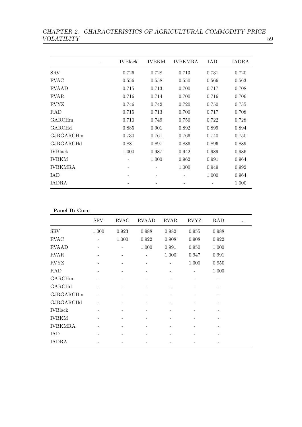CHAPTER 2. CHARACTERISTICS OF AGRICULTURAL COMMODITY PRICE VOLATILITY 59

| $\cdots$       | <b>IVBlack</b> | <b>IVBKM</b> | <b>IVBKMRA</b> | IAD                      | IADRA |
|----------------|----------------|--------------|----------------|--------------------------|-------|
| <b>SRV</b>     | 0.726          | 0.728        | 0.713          | 0.731                    | 0.720 |
| <b>RVAC</b>    | 0.556          | 0.558        | 0.550          | 0.566                    | 0.563 |
| <b>RVAAD</b>   | 0.715          | 0.713        | 0.700          | 0.717                    | 0.708 |
| <b>RVAR</b>    | 0.716          | 0.714        | 0.700          | 0.716                    | 0.706 |
| <b>RVYZ</b>    | 0.746          | 0.742        | 0.720          | 0.750                    | 0.735 |
| <b>RAD</b>     | 0.715          | 0.713        | 0.700          | 0.717                    | 0.708 |
| GARCHm         | 0.710          | 0.749        | 0.750          | 0.722                    | 0.728 |
| GARCHd         | 0.885          | 0.901        | 0.892          | 0.899                    | 0.894 |
| GJRGARCHm      | 0.730          | 0.761        | 0.766          | 0.740                    | 0.750 |
| GJRGARCHd      | 0.881          | 0.897        | 0.886          | 0.896                    | 0.889 |
| <b>IVBlack</b> | 1.000          | 0.987        | 0.942          | 0.989                    | 0.986 |
| <b>IVBKM</b>   |                | 1.000        | 0.962          | 0.991                    | 0.964 |
| <b>IVBKMRA</b> |                |              | 1.000          | 0.949                    | 0.992 |
| IAD            |                |              |                | 1.000                    | 0.964 |
| <b>IADRA</b>   |                |              |                | $\overline{\phantom{a}}$ | 1.000 |
|                |                |              |                |                          |       |

Panel B: Corn

|                | <b>SRV</b> | <b>RVAC</b> | <b>RVAAD</b> | <b>RVAR</b> | <b>RVYZ</b> | $\rm RAD$      |  |
|----------------|------------|-------------|--------------|-------------|-------------|----------------|--|
| <b>SRV</b>     | 1.000      | 0.923       | 0.988        | 0.982       | 0.955       | 0.988          |  |
| <b>RVAC</b>    |            | 1.000       | 0.922        | 0.908       | 0.908       | $0.922\,$      |  |
| <b>RVAAD</b>   |            |             | 1.000        | 0.991       | 0.950       | 1.000          |  |
| <b>RVAR</b>    |            |             |              | 1.000       | 0.947       | 0.991          |  |
| <b>RVYZ</b>    |            |             |              |             | 1.000       | 0.950          |  |
| $\rm RAD$      |            |             |              |             |             | $1.000\,$      |  |
| GARCHm         |            |             |              |             |             | $\overline{a}$ |  |
| GARCHd         |            |             |              |             |             |                |  |
| GJRGARCHm      |            |             |              |             |             |                |  |
| GJRGARCHd      |            |             |              |             |             |                |  |
| <b>IVBlack</b> |            |             |              |             |             |                |  |
| <b>IVBKM</b>   |            |             |              |             |             |                |  |
| <b>IVBKMRA</b> |            |             |              |             |             |                |  |
| <b>IAD</b>     |            |             |              |             |             |                |  |
| <b>IADRA</b>   |            |             |              |             |             |                |  |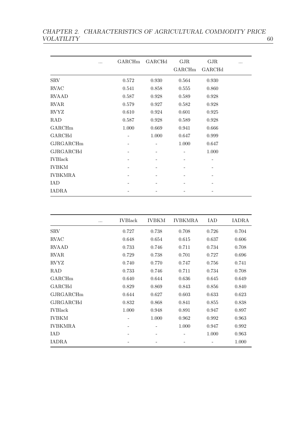CHAPTER 2. CHARACTERISTICS OF AGRICULTURAL COMMODITY PRICE VOLATILITY  $\qquad \qquad \qquad 60$ VOLATILITY

|                | GARCHm | GARCHd | $\rm GJR$<br>GARCHm | GJR<br>GARCHd |  |
|----------------|--------|--------|---------------------|---------------|--|
| <b>SRV</b>     | 0.572  | 0.930  | 0.564               | 0.930         |  |
| <b>RVAC</b>    | 0.541  | 0.858  | 0.555               | 0.860         |  |
| <b>RVAAD</b>   | 0.587  | 0.928  | 0.589               | 0.928         |  |
| <b>RVAR</b>    | 0.579  | 0.927  | 0.582               | 0.928         |  |
| <b>RVYZ</b>    | 0.610  | 0.924  | 0.601               | 0.925         |  |
| $\rm RAD$      | 0.587  | 0.928  | 0.589               | 0.928         |  |
| GARCHm         | 1.000  | 0.669  | 0.941               | 0.666         |  |
| GARCHd         |        | 1.000  | 0.647               | 0.999         |  |
| GJRGARCHm      |        |        | 1.000               | 0.647         |  |
| GJRGARCHd      |        |        |                     | 1.000         |  |
| <b>IVBlack</b> |        |        |                     | -             |  |
| <b>IVBKM</b>   |        |        |                     |               |  |
| <b>IVBKMRA</b> |        |        |                     |               |  |
| <b>IAD</b>     |        |        |                     |               |  |
| IADRA          |        |        |                     |               |  |

| .              | <b>IVBlack</b> | <b>IVBKM</b> | <b>IVBKMRA</b> | IAD   | IADRA |
|----------------|----------------|--------------|----------------|-------|-------|
| <b>SRV</b>     | 0.727          | 0.738        | 0.708          | 0.726 | 0.704 |
| <b>RVAC</b>    | 0.648          | 0.654        | 0.615          | 0.637 | 0.606 |
| <b>RVAAD</b>   | 0.733          | 0.746        | 0.711          | 0.734 | 0.708 |
| <b>RVAR</b>    | 0.729          | 0.738        | 0.701          | 0.727 | 0.696 |
| <b>RVYZ</b>    | 0.740          | 0.770        | 0.747          | 0.756 | 0.741 |
| <b>RAD</b>     | 0.733          | 0.746        | 0.711          | 0.734 | 0.708 |
| GARCHm         | 0.640          | 0.644        | 0.636          | 0.645 | 0.649 |
| GARCHd         | 0.829          | 0.869        | 0.843          | 0.856 | 0.840 |
| GJRGARCHm      | 0.644          | 0.627        | 0.603          | 0.633 | 0.623 |
| GJRGARCHd      | 0.832          | 0.868        | 0.841          | 0.855 | 0.838 |
| <b>IVBlack</b> | 1.000          | 0.948        | 0.891          | 0.947 | 0.897 |
| <b>IVBKM</b>   |                | 1.000        | 0.962          | 0.992 | 0.963 |
| <b>IVBKMRA</b> |                |              | 1.000          | 0.947 | 0.992 |
| IAD            |                |              |                | 1.000 | 0.963 |
| IADRA          |                |              |                |       | 1.000 |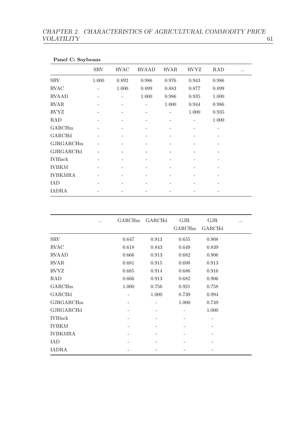| Panel C: Soybeans |            |                 |              |             |             |             |  |
|-------------------|------------|-----------------|--------------|-------------|-------------|-------------|--|
|                   | <b>SRV</b> | <b>RVAC</b>     | <b>RVAAD</b> | <b>RVAR</b> | <b>RVYZ</b> | <b>RAD</b>  |  |
| <b>SRV</b>        | 1.000      | 0.892           | 0.986        | 0.976       | 0.943       | 0.986       |  |
| <b>RVAC</b>       |            | 1.000           | 0.899        | 0.883       | 0.877       | 0.899       |  |
| <b>RVAAD</b>      |            |                 | $1.000\,$    | 0.986       | 0.935       | $1.000\,$   |  |
| <b>RVAR</b>       |            | $\qquad \qquad$ |              | 1.000       | 0.944       | $\,0.986\,$ |  |
| <b>RVYZ</b>       |            |                 |              |             | $1.000\,$   | 0.935       |  |
| RAD               |            |                 |              |             |             | $1.000\,$   |  |
| GARCHm            |            |                 |              |             |             |             |  |
| GARCHd            |            |                 |              |             |             |             |  |
| GJRGARCHm         |            |                 |              |             |             |             |  |
| GJRGARCHd         |            |                 |              |             |             |             |  |
| <b>IVBlack</b>    |            |                 |              |             |             |             |  |
| <b>IVBKM</b>      |            |                 |              |             |             |             |  |
| <b>IVBKMRA</b>    |            |                 |              |             |             |             |  |
| <b>IAD</b>        |            |                 |              |             |             |             |  |
| IADRA             |            |                 |              |             |             |             |  |

|                | GARCHm | GARCHd | GJR    | GJR    |  |
|----------------|--------|--------|--------|--------|--|
|                |        |        | GARCHm | GARCHd |  |
| <b>SRV</b>     | 0.647  | 0.913  | 0.655  | 0.908  |  |
| <b>RVAC</b>    | 0.618  | 0.843  | 0.649  | 0.839  |  |
| <b>RVAAD</b>   | 0.666  | 0.913  | 0.682  | 0.906  |  |
| <b>RVAR</b>    | 0.681  | 0.915  | 0.698  | 0.913  |  |
| <b>RVYZ</b>    | 0.685  | 0.914  | 0.686  | 0.916  |  |
| RAD            | 0.666  | 0.913  | 0.682  | 0.906  |  |
| GARCHm         | 1.000  | 0.756  | 0.921  | 0.758  |  |
| GARCHd         |        | 1.000  | 0.739  | 0.994  |  |
| GJRGARCHm      |        |        | 1.000  | 0.749  |  |
| GJRGARCHd      |        |        |        | 1.000  |  |
| <b>IVBlack</b> |        |        |        |        |  |
| <b>IVBKM</b>   |        |        |        |        |  |
| <b>IVBKMRA</b> |        |        |        |        |  |
| IAD            |        |        |        |        |  |
| IADRA          |        |        |        |        |  |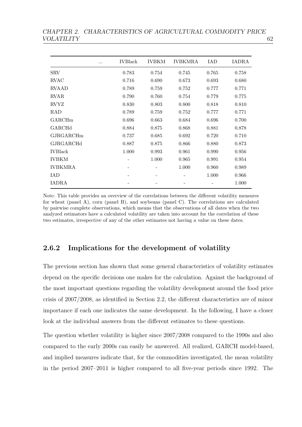|                | $\cdots$ | <b>IVBlack</b> | <b>IVBKM</b> | <b>IVBKMRA</b> | IAD                      | IADRA |
|----------------|----------|----------------|--------------|----------------|--------------------------|-------|
| <b>SRV</b>     |          | 0.783          | 0.754        | 0.745          | 0.765                    | 0.758 |
| <b>RVAC</b>    |          | 0.716          | 0.690        | 0.673          | 0.693                    | 0.680 |
| <b>RVAAD</b>   |          | 0.789          | 0.759        | 0.752          | 0.777                    | 0.771 |
| <b>RVAR</b>    |          | 0.790          | 0.760        | 0.754          | 0.779                    | 0.775 |
| <b>RVYZ</b>    |          | 0.830          | 0.803        | 0.800          | 0.818                    | 0.810 |
| <b>RAD</b>     |          | 0.789          | 0.759        | 0.752          | 0.777                    | 0.771 |
| <b>GARCHm</b>  |          | 0.696          | 0.663        | 0.684          | 0.696                    | 0.700 |
| GARCHd         |          | 0.884          | 0.875        | 0.868          | 0.881                    | 0.878 |
| GJRGARCHm      |          | 0.737          | 0.685        | 0.692          | 0.720                    | 0.710 |
| GJRGARCHd      |          | 0.887          | 0.875        | 0.866          | 0.880                    | 0.873 |
| <b>IVBlack</b> |          | 1.000          | 0.993        | 0.961          | 0.990                    | 0.956 |
| <b>IVBKM</b>   |          |                | 1.000        | 0.965          | 0.991                    | 0.954 |
| <b>IVBKMRA</b> |          |                |              | 1.000          | 0.960                    | 0.989 |
| IAD            |          |                |              |                | 1.000                    | 0.966 |
| <b>IADRA</b>   |          |                |              |                | $\overline{\phantom{a}}$ | 1.000 |
|                |          |                |              |                |                          |       |

Note: This table provides an overview of the correlations between the different volatility measures for wheat (panel A), corn (panel B), and soybeans (panel C). The correlations are calculated by pairwise complete observations, which means that the observations of all dates when the two analyzed estimators have a calculated volatility are taken into account for the correlation of these two estimates, irrespective of any of the other estimates not having a value on these dates.

## 2.6.2 Implications for the development of volatility

The previous section has shown that some general characteristics of volatility estimates depend on the specific decisions one makes for the calculation. Against the background of the most important questions regarding the volatility development around the food price crisis of 2007/2008, as identified in Section [2.2,](#page-17-0) the different characteristics are of minor importance if each one indicates the same development. In the following, I have a closer look at the individual answers from the different estimates to these questions.

The question whether volatility is higher since 2007/2008 compared to the 1990s and also compared to the early 2000s can easily be answered. All realized, GARCH model-based, and implied measures indicate that, for the commodities investigated, the mean volatility in the period 2007–2011 is higher compared to all five-year periods since 1992. The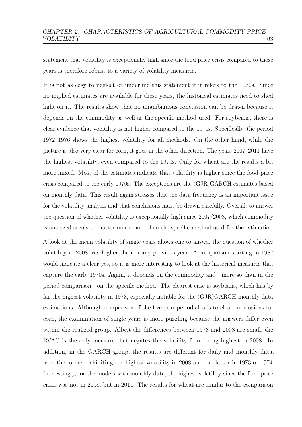statement that volatility is exceptionally high since the food price crisis compared to those years is therefore robust to a variety of volatility measures.

It is not as easy to neglect or underline this statement if it refers to the 1970s. Since no implied estimates are available for these years, the historical estimates need to shed light on it. The results show that no unambiguous conclusion can be drawn because it depends on the commodity as well as the specific method used. For soybeans, there is clear evidence that volatility is not higher compared to the 1970s. Specifically, the period 1972–1976 shows the highest volatility for all methods. On the other hand, while the picture is also very clear for corn, it goes in the other direction. The years 2007–2011 have the highest volatility, even compared to the 1970s. Only for wheat are the results a bit more mixed. Most of the estimates indicate that volatility is higher since the food price crisis compared to the early 1970s. The exceptions are the (GJR)GARCH estimates based on monthly data. This result again stresses that the data frequency is an important issue for the volatility analysis and that conclusions must be drawn carefully. Overall, to answer the question of whether volatility is exceptionally high since 2007/2008, which commodity is analyzed seems to matter much more than the specific method used for the estimation.

A look at the mean volatility of single years allows one to answer the question of whether volatility in 2008 was higher than in any previous year. A comparison starting in 1987 would indicate a clear yes, so it is more interesting to look at the historical measures that capture the early 1970s. Again, it depends on the commodity and—more so than in the period comparison—on the specific method. The clearest case is soybeans, which has by far the highest volatility in 1973, especially notable for the (GJR)GARCH monthly data estimations. Although comparison of the five-year periods leads to clear conclusions for corn, the examination of single years is more puzzling because the answers differ even within the realized group. Albeit the differences between 1973 and 2008 are small, the RVAC is the only measure that negates the volatility from being highest in 2008. In addition, in the GARCH group, the results are different for daily and monthly data, with the former exhibiting the highest volatility in 2008 and the latter in 1973 or 1974. Interestingly, for the models with monthly data, the highest volatility since the food price crisis was not in 2008, but in 2011. The results for wheat are similar to the comparison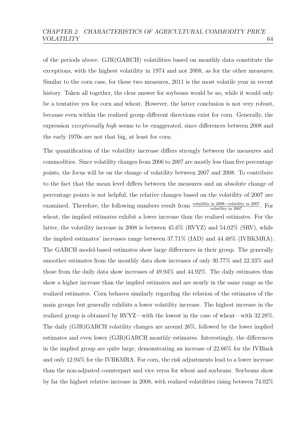of the periods above. GJR(GARCH) volatilities based on monthly data constitute the exceptions, with the highest volatility in 1974 and not 2008, as for the other measures. Similar to the corn case, for these two measures, 2011 is the most volatile year in recent history. Taken all together, the clear answer for soybeans would be no, while it would only be a tentative yes for corn and wheat. However, the latter conclusion is not very robust, because even within the realized group different directions exist for corn. Generally, the expression exceptionally high seems to be exaggerated, since differences between 2008 and the early 1970s are not that big, at least for corn.

The quantification of the volatility increase differs strongly between the measures and commodities. Since volatility changes from 2006 to 2007 are mostly less than five percentage points, the focus will be on the change of volatility between 2007 and 2008. To contribute to the fact that the mean level differs between the measures and an absolute change of percentage points is not helpful, the relative changes based on the volatility of 2007 are examined. Therefore, the following numbers result from  $\frac{\text{volatility in } 2008-\text{volatility in } 2007}{\text{volatility in } 2007}$ . For wheat, the implied estimates exhibit a lower increase than the realized estimates. For the latter, the volatility increase in 2008 is between  $45.6\%$  (RVYZ) and  $54.02\%$  (SRV), while the implied estimates' increases range between 37.71% (IAD) and 44.48% (IVBKMRA). The GARCH model-based estimates show large differences in their group. The generally smoother estimates from the monthly data show increases of only 30.77% and 22.33% and those from the daily data show increases of 49.94% and 44.92%. The daily estimates thus show a higher increase than the implied estimates and are nearly in the same range as the realized estimates. Corn behaves similarly regarding the relation of the estimates of the main groups but generally exhibits a lower volatility increase. The highest increase in the realized group is obtained by RVYZ—with the lowest in the case of wheat—with 32.28%. The daily (GJR)GARCH volatility changes are around 26%, followed by the lower implied estimates and even lower (GJR)GARCH monthly estimates. Interestingly, the differences in the implied group are quite large, demonstrating an increase of 22.66% for the IVBlack and only 12.94% for the IVBKMRA. For corn, the risk adjustments lead to a lower increase than the non-adjusted counterpart and vice versa for wheat and soybeans. Soybeans show by far the highest relative increase in 2008, with realized volatilities rising between 74.02%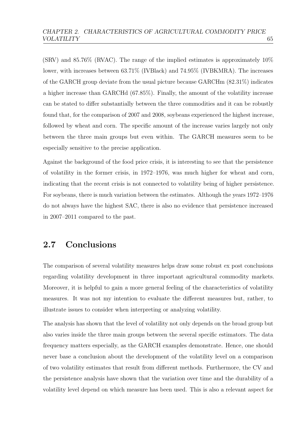$(SRV)$  and  $85.76\%$  (RVAC). The range of the implied estimates is approximately  $10\%$ lower, with increases between 63.71% (IVBlack) and 74.95% (IVBKMRA). The increases of the GARCH group deviate from the usual picture because GARCHm (82.31%) indicates a higher increase than GARCHd (67.85%). Finally, the amount of the volatility increase can be stated to differ substantially between the three commodities and it can be robustly found that, for the comparison of 2007 and 2008, soybeans experienced the highest increase, followed by wheat and corn. The specific amount of the increase varies largely not only between the three main groups but even within. The GARCH measures seem to be especially sensitive to the precise application.

Against the background of the food price crisis, it is interesting to see that the persistence of volatility in the former crisis, in 1972–1976, was much higher for wheat and corn, indicating that the recent crisis is not connected to volatility being of higher persistence. For soybeans, there is much variation between the estimates. Although the years 1972–1976 do not always have the highest SAC, there is also no evidence that persistence increased in 2007–2011 compared to the past.

# 2.7 Conclusions

The comparison of several volatility measures helps draw some robust ex post conclusions regarding volatility development in three important agricultural commodity markets. Moreover, it is helpful to gain a more general feeling of the characteristics of volatility measures. It was not my intention to evaluate the different measures but, rather, to illustrate issues to consider when interpreting or analyzing volatility.

The analysis has shown that the level of volatility not only depends on the broad group but also varies inside the three main groups between the several specific estimators. The data frequency matters especially, as the GARCH examples demonstrate. Hence, one should never base a conclusion about the development of the volatility level on a comparison of two volatility estimates that result from different methods. Furthermore, the CV and the persistence analysis have shown that the variation over time and the durability of a volatility level depend on which measure has been used. This is also a relevant aspect for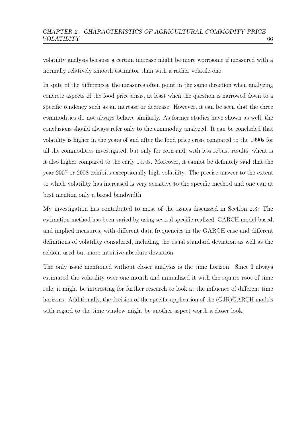volatility analysis because a certain increase might be more worrisome if measured with a normally relatively smooth estimator than with a rather volatile one.

In spite of the differences, the measures often point in the same direction when analyzing concrete aspects of the food price crisis, at least when the question is narrowed down to a specific tendency such as an increase or decrease. However, it can be seen that the three commodities do not always behave similarly. As former studies have shown as well, the conclusions should always refer only to the commodity analyzed. It can be concluded that volatility is higher in the years of and after the food price crisis compared to the 1990s for all the commodities investigated, but only for corn and, with less robust results, wheat is it also higher compared to the early 1970s. Moreover, it cannot be definitely said that the year 2007 or 2008 exhibits exceptionally high volatility. The precise answer to the extent to which volatility has increased is very sensitive to the specific method and one can at best mention only a broad bandwidth.

My investigation has contributed to most of the issues discussed in Section [2.3:](#page-20-0) The estimation method has been varied by using several specific realized, GARCH model-based, and implied measures, with different data frequencies in the GARCH case and different definitions of volatility considered, including the usual standard deviation as well as the seldom used but more intuitive absolute deviation.

The only issue mentioned without closer analysis is the time horizon. Since I always estimated the volatility over one month and annualized it with the square root of time rule, it might be interesting for further research to look at the influence of different time horizons. Additionally, the decision of the specific application of the  $(GJR)GARCH$  models with regard to the time window might be another aspect worth a closer look.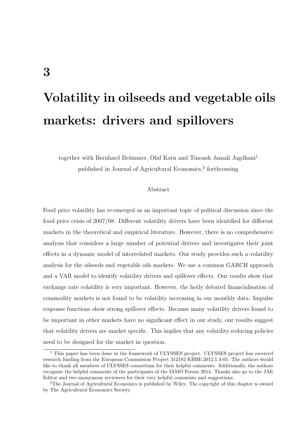# Volatility in oilseeds and vegetable oils markets: drivers and spillovers

together with Bernhard Brümmer, Olaf Korn and Tinoush Jamali Jagdhani<sup>[1](#page-73-0)</sup> published in Journal of Agricultural Economics,<sup>[2](#page-73-1)</sup> forthcoming

#### Abstract

Food price volatility has re-emerged as an important topic of political discussion since the food price crisis of 2007/08. Different volatility drivers have been identified for different markets in the theoretical and empirical literature. However, there is no comprehensive analysis that considers a large number of potential drivers and investigates their joint effects in a dynamic model of interrelated markets. Our study provides such a volatility analysis for the oilseeds and vegetable oils markets. We use a common GARCH approach and a VAR model to identify volatility drivers and spillover effects. Our results show that exchange rate volatility is very important. However, the hotly debated financialisation of commodity markets is not found to be volatility increasing in our monthly data. Impulse response functions show strong spillover effects. Because many volatility drivers found to be important in other markets have no significant effect in our study, our results suggest that volatility drivers are market specific. This implies that any volatility-reducing policies need to be designed for the market in question.

<span id="page-73-0"></span><sup>&</sup>lt;sup>1</sup> This paper has been done in the framework of ULYSSES project. ULYSSES project has received research funding from the European Commission Project 312182 KBBE.2012.1.4-05. The authors would like to thank all members of ULYSSES consortium for their helpful comments. Additionally, the authors recognize the helpful comments of the participants of the IAMO Forum 2014. Thanks also go to the JAE Editor and two anonymous reviewers for their very helpful comments and suggestions.

<span id="page-73-1"></span><sup>&</sup>lt;sup>2</sup>The Journal of Agricultural Economics is published by Wiley. The copyright of this chapter is owned by The Agricultural Economics Society.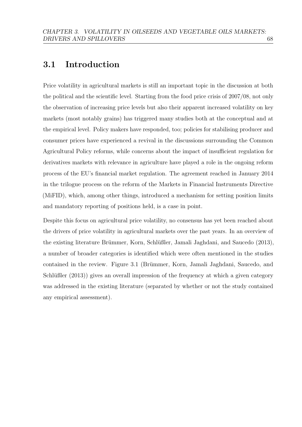## 3.1 Introduction

Price volatility in agricultural markets is still an important topic in the discussion at both the political and the scientific level. Starting from the food price crisis of 2007/08, not only the observation of increasing price levels but also their apparent increased volatility on key markets (most notably grains) has triggered many studies both at the conceptual and at the empirical level. Policy makers have responded, too; policies for stabilising producer and consumer prices have experienced a revival in the discussions surrounding the Common Agricultural Policy reforms, while concerns about the impact of insufficient regulation for derivatives markets with relevance in agriculture have played a role in the ongoing reform process of the EU's financial market regulation. The agreement reached in January 2014 in the trilogue process on the reform of the Markets in Financial Instruments Directive (MiFID), which, among other things, introduced a mechanism for setting position limits and mandatory reporting of positions held, is a case in point.

Despite this focus on agricultural price volatility, no consensus has yet been reached about the drivers of price volatility in agricultural markets over the past years. In an overview of the existing literature Brümmer, Korn, Schlüßler, Jamali Jaghdani, and Saucedo [\(2013\)](#page-152-0), a number of broader categories is identified which were often mentioned in the studies contained in the review. Figure [3.1](#page-75-0) (Brümmer, Korn, Jamali Jaghdani, Saucedo, and Schlüßler  $(2013)$ ) gives an overall impression of the frequency at which a given category was addressed in the existing literature (separated by whether or not the study contained any empirical assessment).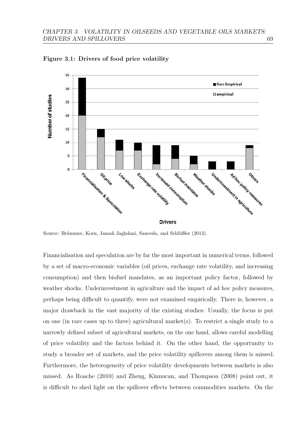

<span id="page-75-0"></span>Figure 3.1: Drivers of food price volatility

Source: Brümmer, Korn, Jamali Jaghdani, Saucedo, and Schlüßler [\(2013\)](#page-151-0).

Financialisation and speculation are by far the most important in numerical terms, followed by a set of macro-economic variables (oil prices, exchange rate volatility, and increasing consumption) and then biofuel mandates, as an important policy factor, followed by weather shocks. Underinvestment in agriculture and the impact of ad hoc policy measures, perhaps being difficult to quantify, were not examined empirically. There is, however, a major drawback in the vast majority of the existing studies: Usually, the focus is put on one (in rare cases up to three) agricultural market(s). To restrict a single study to a narrowly defined subset of agricultural markets, on the one hand, allows careful modelling of price volatility and the factors behind it. On the other hand, the opportunity to study a broader set of markets, and the price volatility spillovers among them is missed. Furthermore, the heterogeneity of price volatility developments between markets is also missed. As [Roache](#page-159-0) [\(2010\)](#page-159-0) and [Zheng, Kinnucan, and Thompson](#page-161-0) [\(2008\)](#page-161-0) point out, it is difficult to shed light on the spillover effects between commodities markets. On the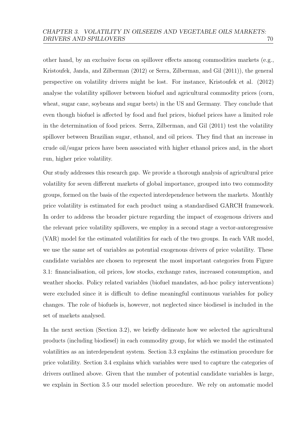other hand, by an exclusive focus on spillover effects among commodities markets (e.g., [Kristoufek, Janda, and Zilberman](#page-157-0) [\(2012\)](#page-157-0) or [Serra, Zilberman, and Gil](#page-159-1) [\(2011\)](#page-159-1)), the general perspective on volatility drivers might be lost. For instance, Kristoufek et al. (2012) analyse the volatility spillover between biofuel and agricultural commodity prices (corn, wheat, sugar cane, soybeans and sugar beets) in the US and Germany. They conclude that even though biofuel is affected by food and fuel prices, biofuel prices have a limited role in the determination of food prices. [Serra, Zilberman, and Gil](#page-159-1) [\(2011\)](#page-159-1) test the volatility spillover between Brazilian sugar, ethanol, and oil prices. They find that an increase in crude oil/sugar prices have been associated with higher ethanol prices and, in the short run, higher price volatility.

Our study addresses this research gap. We provide a thorough analysis of agricultural price volatility for seven different markets of global importance, grouped into two commodity groups, formed on the basis of the expected interdependence between the markets. Monthly price volatility is estimated for each product using a standardised GARCH framework. In order to address the broader picture regarding the impact of exogenous drivers and the relevant price volatility spillovers, we employ in a second stage a vector-autoregressive (VAR) model for the estimated volatilities for each of the two groups. In each VAR model, we use the same set of variables as potential exogenous drivers of price volatility. These candidate variables are chosen to represent the most important categories from Figure [3.1:](#page-75-0) financialisation, oil prices, low stocks, exchange rates, increased consumption, and weather shocks. Policy related variables (biofuel mandates, ad-hoc policy interventions) were excluded since it is difficult to define meaningful continuous variables for policy changes. The role of biofuels is, however, not neglected since biodiesel is included in the set of markets analysed.

In the next section (Section [3.2\)](#page-77-0), we briefly delineate how we selected the agricultural products (including biodiesel) in each commodity group, for which we model the estimated volatilities as an interdependent system. Section [3.3](#page-78-0) explains the estimation procedure for price volatility. Section [3.4](#page-80-0) explains which variables were used to capture the categories of drivers outlined above. Given that the number of potential candidate variables is large, we explain in Section [3.5](#page-87-0) our model selection procedure. We rely on automatic model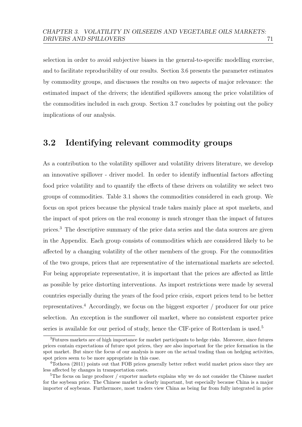selection in order to avoid subjective biases in the general-to-specific modelling exercise, and to facilitate reproducibility of our results. Section [3.6](#page-88-0) presents the parameter estimates by commodity groups, and discusses the results on two aspects of major relevance: the estimated impact of the drivers; the identified spillovers among the price volatilities of the commodities included in each group. Section [3.7](#page-96-0) concludes by pointing out the policy implications of our analysis.

## <span id="page-77-0"></span>3.2 Identifying relevant commodity groups

As a contribution to the volatility spillover and volatility drivers literature, we develop an innovative spillover - driver model. In order to identify influential factors affecting food price volatility and to quantify the effects of these drivers on volatility we select two groups of commodities. Table [3.1](#page-78-1) shows the commodities considered in each group. We focus on spot prices because the physical trade takes mainly place at spot markets, and the impact of spot prices on the real economy is much stronger than the impact of futures prices.[3](#page-77-1) The descriptive summary of the price data series and the data sources are given in the Appendix. Each group consists of commodities which are considered likely to be affected by a changing volatility of the other members of the group. For the commodities of the two groups, prices that are representative of the international markets are selected. For being appropriate representative, it is important that the prices are affected as little as possible by price distorting interventions. As import restrictions were made by several countries especially during the years of the food price crisis, export prices tend to be better representatives.[4](#page-77-2) Accordingly, we focus on the biggest exporter / producer for our price selection. An exception is the sunflower oil market, where no consistent exporter price series is available for our period of study, hence the CIF-price of Rotterdam is used.<sup>[5](#page-77-3)</sup>

<span id="page-77-1"></span><sup>3</sup>Futures markets are of high importance for market participants to hedge risks. Moreover, since futures prices contain expectations of future spot prices, they are also important for the price formation in the spot market. But since the focus of our analysis is more on the actual trading than on hedging activities, spot prices seem to be more appropriate in this case.

<span id="page-77-2"></span><sup>4</sup>[Tothova](#page-160-0) [\(2011\)](#page-160-0) points out that FOB prices generally better reflect world market prices since they are less affected by changes in transportation costs.

<span id="page-77-3"></span><sup>&</sup>lt;sup>5</sup>The focus on large producer / exporter markets explains why we do not consider the Chinese market for the soybean price. The Chinese market is clearly important, but especially because China is a major importer of soybeans. Furthermore, most traders view China as being far from fully integrated in price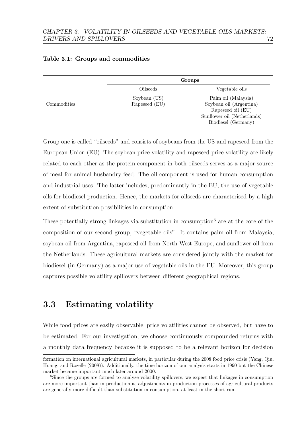|             | Groups        |                             |  |  |
|-------------|---------------|-----------------------------|--|--|
|             | Oilseeds      | Vegetable oils              |  |  |
| Commodities | Soybean (US)  | Palm oil (Malaysia)         |  |  |
|             | Rapeseed (EU) | Soybean oil (Argentina)     |  |  |
|             |               | Rapeseed oil (EU)           |  |  |
|             |               | Sunflower oil (Netherlands) |  |  |
|             |               | Biodiesel (Germany)         |  |  |

#### <span id="page-78-1"></span>Table 3.1: Groups and commodities

Group one is called "oilseeds" and consists of soybeans from the US and rapeseed from the European Union (EU). The soybean price volatility and rapeseed price volatility are likely related to each other as the protein component in both oilseeds serves as a major source of meal for animal husbandry feed. The oil component is used for human consumption and industrial uses. The latter includes, predominantly in the EU, the use of vegetable oils for biodiesel production. Hence, the markets for oilseeds are characterised by a high extent of substitution possibilities in consumption.

These potentially strong linkages via substitution in consumption<sup>[6](#page-78-2)</sup> are at the core of the composition of our second group, "vegetable oils". It contains palm oil from Malaysia, soybean oil from Argentina, rapeseed oil from North West Europe, and sunflower oil from the Netherlands. These agricultural markets are considered jointly with the market for biodiesel (in Germany) as a major use of vegetable oils in the EU. Moreover, this group captures possible volatility spillovers between different geographical regions.

## <span id="page-78-0"></span>3.3 Estimating volatility

While food prices are easily observable, price volatilities cannot be observed, but have to be estimated. For our investigation, we choose continuously compounded returns with a monthly data frequency because it is supposed to be a relevant horizon for decision

formation on international agricultural markets, in particular during the 2008 food price crisis [\(Yang, Qiu,](#page-161-1) [Huang, and Rozelle](#page-161-1) [\(2008\)](#page-161-1)). Additionally, the time horizon of our analysis starts in 1990 but the Chinese market became important much later around 2000.

<span id="page-78-2"></span><sup>&</sup>lt;sup>6</sup>Since the groups are formed to analyse volatility spillovers, we expect that linkages in consumption are more important than in production as adjustments in production processes of agricultural products are generally more difficult than substitution in consumption, at least in the short run.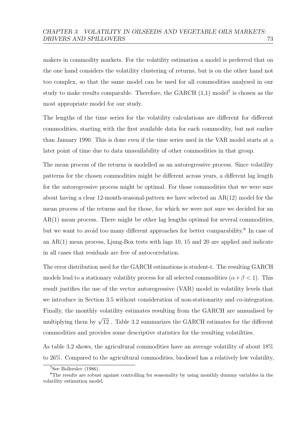makers in commodity markets. For the volatility estimation a model is preferred that on the one hand considers the volatility clustering of returns, but is on the other hand not too complex, so that the same model can be used for all commodities analysed in our study to make results comparable. Therefore, the GARCH  $(1,1)$  model<sup>[7](#page-79-0)</sup> is chosen as the most appropriate model for our study.

The lengths of the time series for the volatility calculations are different for different commodities, starting with the first available data for each commodity, but not earlier than January 1990. This is done even if the time series used in the VAR model starts at a later point of time due to data unavailability of other commodities in that group.

The mean process of the returns is modelled as an autoregressive process. Since volatility patterns for the chosen commodities might be different across years, a different lag length for the autoregressive process might be optimal. For those commodities that we were sure about having a clear 12-month-seasonal-pattern we have selected an AR(12) model for the mean process of the returns and for those, for which we were not sure we decided for an  $AR(1)$  mean process. There might be other lag lengths optimal for several commodities, but we want to avoid too many different approaches for better comparability.<sup>[8](#page-79-1)</sup> In case of an  $AR(1)$  mean process, Ljung-Box tests with lags 10, 15 and 20 are applied and indicate in all cases that residuals are free of autocorrelation.

The error distribution used for the GARCH estimations is student-t. The resulting GARCH models lead to a stationary volatility process for all selected commodities  $(\alpha + \beta < 1)$ . This result justifies the use of the vector autoregressive (VAR) model in volatility levels that we introduce in Section [3.5](#page-87-0) without consideration of non-stationarity and co-integration. Finally, the monthly volatility estimates resulting from the GARCH are annualised by multiplying them by  $\sqrt{12}$ . Table [3.2](#page-80-1) summarizes the GARCH estimates for the different commodities and provides some descriptive statistics for the resulting volatilities.

As table [3.2](#page-80-1) shows, the agricultural commodities have an average volatility of about 18% to 26%. Compared to the agricultural commodities, biodiesel has a relatively low volatility,

<span id="page-79-1"></span><span id="page-79-0"></span><sup>7</sup>See [Bollerslev](#page-151-1) [\(1986\)](#page-151-1).

<sup>&</sup>lt;sup>8</sup>The results are robust against controlling for seasonality by using monthly dummy variables in the volatility estimation model.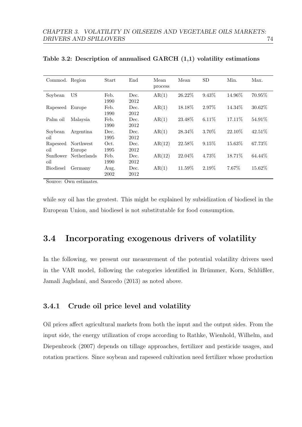| Commod. Region   |                     | Start        | End          | Mean<br>process | Mean      | <b>SD</b> | Min.    | Max.    |
|------------------|---------------------|--------------|--------------|-----------------|-----------|-----------|---------|---------|
| Soybean          | US                  | Feb.<br>1990 | Dec.<br>2012 | AR(1)           | 26.22%    | 9.43%     | 14.96%  | 70.95%  |
| Rapeseed         | Europe              | Feb.<br>1990 | Dec.<br>2012 | AR(1)           | 18.18%    | 2.97%     | 14.34\% | 30.62%  |
| Palm oil         | Malaysia            | Feb.<br>1990 | Dec.<br>2012 | AR(1)           | 23.48\%   | $6.11\%$  | 17.11\% | 54.91%  |
| Soybean<br>oil   | Argentina           | Dec.<br>1995 | Dec.<br>2012 | AR(1)           | 28.34\%   | 3.70%     | 22.10\% | 42.51\% |
| Rapeseed<br>oil  | Northwest<br>Europe | Oct.<br>1995 | Dec.<br>2012 | AR(12)          | 22.58%    | 9.15%     | 15.63%  | 67.73%  |
| Sunflower<br>oil | <b>Netherlands</b>  | Feb.<br>1990 | Dec.<br>2012 | AR(12)          | $22.04\%$ | 4.73%     | 18.71\% | 64.44\% |
| <b>Biodiesel</b> | Germany             | Aug.<br>2002 | Dec.<br>2012 | AR(1)           | 11.59%    | 2.19%     | 7.67%   | 15.62%  |

<span id="page-80-1"></span>Table 3.2: Description of annualised GARCH (1,1) volatility estimations

Source: Own estimates.

while soy oil has the greatest. This might be explained by subsidization of biodiesel in the European Union, and biodiesel is not substitutable for food consumption.

## <span id="page-80-0"></span>3.4 Incorporating exogenous drivers of volatility

In the following, we present our measurement of the potential volatility drivers used in the VAR model, following the categories identified in Brümmer, Korn, Schlüßler, [Jamali Jaghdani, and Saucedo](#page-152-0) [\(2013\)](#page-152-0) as noted above.

## 3.4.1 Crude oil price level and volatility

Oil prices affect agricultural markets from both the input and the output sides. From the input side, the energy utilization of crops according to [Rathke, Wienhold, Wilhelm, and](#page-159-2) [Diepenbrock](#page-159-2) [\(2007\)](#page-159-2) depends on tillage approaches, fertilizer and pesticide usages, and rotation practices. Since soybean and rapeseed cultivation need fertilizer whose production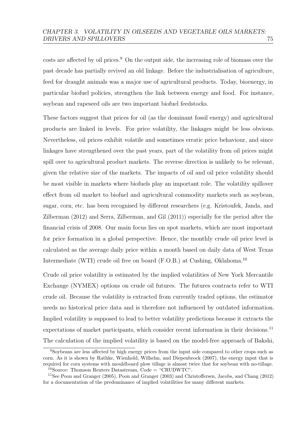costs are affected by oil prices.<sup>[9](#page-81-0)</sup> On the output side, the increasing role of biomass over the past decade has partially revived an old linkage. Before the industrialisation of agriculture, feed for draught animals was a major use of agricultural products. Today, bioenergy, in particular biofuel policies, strengthen the link between energy and food. For instance, soybean and rapeseed oils are two important biofuel feedstocks.

These factors suggest that prices for oil (as the dominant fossil energy) and agricultural products are linked in levels. For price volatility, the linkages might be less obvious. Nevertheless, oil prices exhibit volatile and sometimes erratic price behaviour, and since linkages have strengthened over the past years, part of the volatility from oil prices might spill over to agricultural product markets. The reverse direction is unlikely to be relevant, given the relative size of the markets. The impacts of oil and oil price volatility should be most visible in markets where biofuels play an important role. The volatility spillover effect from oil market to biofuel and agricultural commodity markets such as soybean, sugar, corn, etc. has been recognised by different researchers (e.g. [Kristoufek, Janda, and](#page-157-0) [Zilberman](#page-157-0) [\(2012\)](#page-157-0) and [Serra, Zilberman, and Gil](#page-159-1) [\(2011\)](#page-159-1)) especially for the period after the financial crisis of 2008. Our main focus lies on spot markets, which are most important for price formation in a global perspective. Hence, the monthly crude oil price level is calculated as the average daily price within a month based on daily data of West Texas Intermediate (WTI) crude oil free on board  $(F.O.B.)$  at Cushing, Oklahoma.<sup>[10](#page-81-1)</sup>

Crude oil price volatility is estimated by the implied volatilities of New York Mercantile Exchange (NYMEX) options on crude oil futures. The futures contracts refer to WTI crude oil. Because the volatility is extracted from currently traded options, the estimator needs no historical price data and is therefore not influenced by outdated information. Implied volatility is supposed to lead to better volatility predictions because it extracts the expectations of market participants, which consider recent information in their decisions.<sup>[11](#page-81-2)</sup> The calculation of the implied volatility is based on the model-free approach of [Bakshi,](#page-150-0)

<span id="page-81-0"></span><sup>&</sup>lt;sup>9</sup>[Soybeans are less affected by high energy prices from the input side compared to other crops such as](#page-150-0) corn. As it is shown by [Rathke, Wienhold, Wilhelm, and Diepenbrock](#page-150-0) [\(2007\)](#page-159-2), the energy input that is [required for corn systems with mouldboard plow tillage is almost twice that for soybean with no-tillage.](#page-150-0) <sup>10</sup>[Source: Thomson Reuters Datastream, Code = "CRUDWTC".](#page-150-0)

<span id="page-81-2"></span><span id="page-81-1"></span><sup>11</sup>See [Poon and Granger](#page-158-0) [\(2005\)](#page-158-0), [Poon and Granger](#page-158-1) [\(2003\)](#page-158-1) and [Christoffersen, Jacobs, and Chang](#page-150-0) [\(2012\)](#page-152-1) [for a documentation of the predominance of implied volatilities for many different markets.](#page-150-0)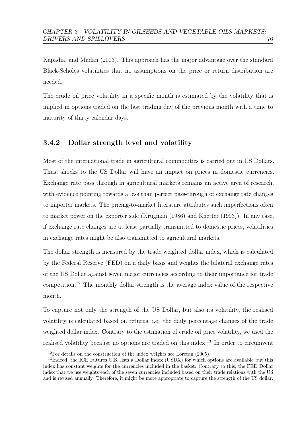[Kapadia, and Madan](#page-150-0) [\(2003\)](#page-150-0). This approach has the major advantage over the standard Black-Scholes volatilities that no assumptions on the price or return distribution are needed.

The crude oil price volatility in a specific month is estimated by the volatility that is implied in options traded on the last trading day of the previous month with a time to maturity of thirty calendar days.

## 3.4.2 Dollar strength level and volatility

Most of the international trade in agricultural commodities is carried out in US Dollars. Thus, shocks to the US Dollar will have an impact on prices in domestic currencies. Exchange rate pass through in agricultural markets remains an active area of research, with evidence pointing towards a less than perfect pass-through of exchange rate changes to importer markets. The pricing-to-market literature attributes such imperfections often to market power on the exporter side [\(Krugman](#page-157-1) [\(1986\)](#page-157-1) and [Knetter](#page-157-2) [\(1993\)](#page-157-2)). In any case, if exchange rate changes are at least partially transmitted to domestic prices, volatilities in exchange rates might be also transmitted to agricultural markets.

The dollar strength is measured by the trade weighted dollar index, which is calculated by the Federal Reserve (FED) on a daily basis and weights the bilateral exchange rates of the US Dollar against seven major currencies according to their importance for trade competition.<sup>[12](#page-82-0)</sup> The monthly dollar strength is the average index value of the respective month.

To capture not only the strength of the US Dollar, but also its volatility, the realised volatility is calculated based on returns, i.e. the daily percentage changes of the trade weighted dollar index. Contrary to the estimation of crude oil price volatility, we used the realised volatility because no options are traded on this index.[13](#page-82-1) In order to circumvent

<span id="page-82-1"></span><span id="page-82-0"></span> $12$ For details on the construction of the index weights see [Loretan](#page-157-3) [\(2005\)](#page-157-3).

<sup>&</sup>lt;sup>13</sup>Indeed, the ICE Futures U.S. lists a Dollar index (USDX) for which options are available but this index has constant weights for the currencies included in the basket. Contrary to this, the FED Dollar index that we use weights each of the seven currencies included based on their trade relations with the US and is revised annually. Therefore, it might be more appropriate to capture the strength of the US dollar.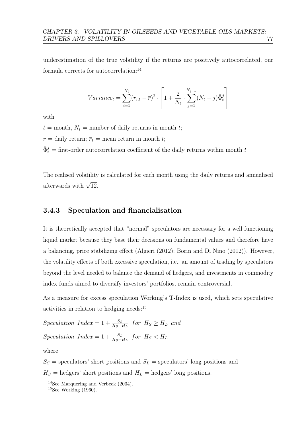underestimation of the true volatility if the returns are positively autocorrelated, our formula corrects for autocorrelation:<sup>[14](#page-83-0)</sup>

$$
Variance_t = \sum_{i=1}^{N_t} (r_{i,t} - \overline{r})^2 \cdot \left[1 + \frac{2}{N_t} \cdot \sum_{j=1}^{N_{t-1}} (N_t - j) \hat{\Phi}_t^j\right]
$$

with

 $t =$  month,  $N_t$  = number of daily returns in month t;  $r =$  daily return;  $\overline{r}_t$  = mean return in month t;

 $\hat{\Phi}_t^j$  = first-order autocorrelation coefficient of the daily returns within month t

The realised volatility is calculated for each month using the daily returns and annualised afterwards with  $\sqrt{12}$ .

#### 3.4.3 Speculation and financialisation

It is theoretically accepted that "normal" speculators are necessary for a well functioning liquid market because they base their decisions on fundamental values and therefore have a balancing, price stabilizing effect [\(Algieri](#page-149-0) [\(2012\)](#page-149-0); [Borin and Di Nino](#page-151-2) [\(2012\)](#page-151-2)). However, the volatility effects of both excessive speculation, i.e., an amount of trading by speculators beyond the level needed to balance the demand of hedgers, and investments in commodity index funds aimed to diversify investors' portfolios, remain controversial.

As a measure for excess speculation Working's T-Index is used, which sets speculative activities in relation to hedging needs:<sup>[15](#page-83-1)</sup>

 $Speculation$   $Index = 1 + \frac{S_S}{H_S + H_L}$  for  $H_S \ge H_L$  and  $Speculation$   $Index = 1 + \frac{S_L}{H_S + H_L}$  for  $H_S < H_L$ 

where

 $S_S$  = speculators' short positions and  $S_L$  = speculators' long positions and  $H_S$  = hedgers' short positions and  $H_L$  = hedgers' long positions.

<span id="page-83-0"></span><sup>14</sup>See [Marquering and Verbeek](#page-158-2) [\(2004\)](#page-158-2).

<span id="page-83-1"></span> $15$ See [Working](#page-160-1) [\(1960\)](#page-160-1).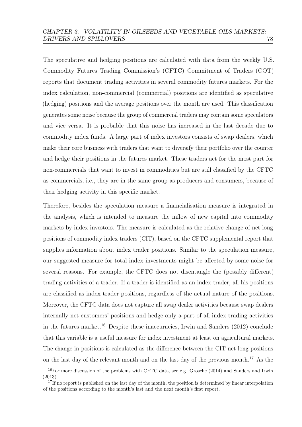The speculative and hedging positions are calculated with data from the weekly U.S. Commodity Futures Trading Commission's (CFTC) Commitment of Traders (COT) reports that document trading activities in several commodity futures markets. For the index calculation, non-commercial (commercial) positions are identified as speculative (hedging) positions and the average positions over the month are used. This classification generates some noise because the group of commercial traders may contain some speculators and vice versa. It is probable that this noise has increased in the last decade due to commodity index funds. A large part of index investors consists of swap dealers, which make their core business with traders that want to diversify their portfolio over the counter and hedge their positions in the futures market. These traders act for the most part for non-commercials that want to invest in commodities but are still classified by the CFTC as commercials, i.e., they are in the same group as producers and consumers, because of their hedging activity in this specific market.

Therefore, besides the speculation measure a financialisation measure is integrated in the analysis, which is intended to measure the inflow of new capital into commodity markets by index investors. The measure is calculated as the relative change of net long positions of commodity index traders (CIT), based on the CFTC supplemental report that supplies information about index trader positions. Similar to the speculation measure, our suggested measure for total index investments might be affected by some noise for several reasons. For example, the CFTC does not disentangle the (possibly different) trading activities of a trader. If a trader is identified as an index trader, all his positions are classified as index trader positions, regardless of the actual nature of the positions. Moreover, the CFTC data does not capture all swap dealer activities because swap dealers internally net customers' positions and hedge only a part of all index-trading activities in the futures market.<sup>[16](#page-84-0)</sup> Despite these inaccuracies, [Irwin and Sanders](#page-156-0)  $(2012)$  conclude that this variable is a useful measure for index investment at least on agricultural markets. The change in positions is calculated as the difference between the CIT net long positions on the last day of the relevant month and on the last day of the previous month.<sup>[17](#page-84-1)</sup> As the

<span id="page-84-0"></span><sup>&</sup>lt;sup>16</sup>For more discussion of the problems with CFTC data, see e.g. [Grosche](#page-155-0) [\(2014\)](#page-155-0) and [Sanders and Irwin](#page-159-3) [\(2013\)](#page-159-3).

<span id="page-84-1"></span> $17$ If no report is published on the last day of the month, the position is determined by linear interpolation of the positions according to the month's last and the next month's first report.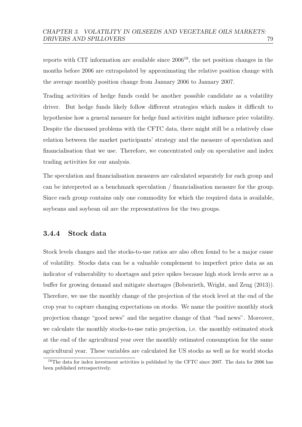reports with CIT information are available since 2006[18](#page-85-0), the net position changes in the months before 2006 are extrapolated by approximating the relative position change with the average monthly position change from January 2006 to January 2007.

Trading activities of hedge funds could be another possible candidate as a volatility driver. But hedge funds likely follow different strategies which makes it difficult to hypothesise how a general measure for hedge fund activities might influence price volatility. Despite the discussed problems with the CFTC data, there might still be a relatively close relation between the market participants' strategy and the measure of speculation and financialisation that we use. Therefore, we concentrated only on speculative and index trading activities for our analysis.

The speculation and financialisation measures are calculated separately for each group and can be interpreted as a benchmark speculation / financialisation measure for the group. Since each group contains only one commodity for which the required data is available, soybeans and soybean oil are the representatives for the two groups.

#### 3.4.4 Stock data

Stock levels changes and the stocks-to-use ratios are also often found to be a major cause of volatility. Stocks data can be a valuable complement to imperfect price data as an indicator of vulnerability to shortages and price spikes because high stock levels serve as a buffer for growing demand and mitigate shortages [\(Bobenrieth, Wright, and Zeng](#page-151-3) [\(2013\)](#page-151-3)). Therefore, we use the monthly change of the projection of the stock level at the end of the crop year to capture changing expectations on stocks. We name the positive monthly stock projection change "good news" and the negative change of that "bad news". Moreover, we calculate the monthly stocks-to-use ratio projection, i.e. the monthly estimated stock at the end of the agricultural year over the monthly estimated consumption for the same agricultural year. These variables are calculated for US stocks as well as for world stocks

<span id="page-85-0"></span><sup>&</sup>lt;sup>18</sup>The data for index investment activities is published by the CFTC since 2007. The data for 2006 has been published retrospectively.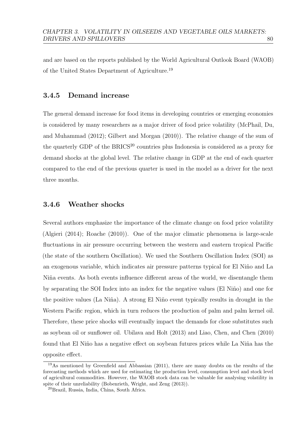and are based on the reports published by the World Agricultural Outlook Board (WAOB) of the United States Department of Agriculture.[19](#page-86-0)

#### 3.4.5 Demand increase

The general demand increase for food items in developing countries or emerging economies is considered by many researchers as a major driver of food price volatility [\(McPhail, Du,](#page-158-3) [and Muhammad](#page-158-3) [\(2012\)](#page-158-3); [Gilbert and Morgan](#page-155-1) [\(2010\)](#page-155-1)). The relative change of the sum of the quarterly GDP of the BRICS<sup>[20](#page-86-1)</sup> countries plus Indonesia is considered as a proxy for demand shocks at the global level. The relative change in GDP at the end of each quarter compared to the end of the previous quarter is used in the model as a driver for the next three months.

### 3.4.6 Weather shocks

Several authors emphasize the importance of the climate change on food price volatility [\(Algieri](#page-149-1) [\(2014\)](#page-149-1); [Roache](#page-159-0) [\(2010\)](#page-159-0)). One of the major climatic phenomena is large-scale fluctuations in air pressure occurring between the western and eastern tropical Pacific (the state of the southern Oscillation). We used the Southern Oscillation Index (SOI) as an exogenous variable, which indicates air pressure patterns typical for El Niño and La Niña events. As both events influence different areas of the world, we disentangle them by separating the SOI Index into an index for the negative values (El Niño) and one for the positive values (La Niña). A strong El Niño event typically results in drought in the Western Pacific region, which in turn reduces the production of palm and palm kernel oil. Therefore, these price shocks will eventually impact the demands for close substitutes such as soybean oil or sunflower oil. [Ubilava and Holt](#page-160-2) [\(2013\)](#page-160-2) and [Liao, Chen, and Chen](#page-157-4) [\(2010\)](#page-157-4) found that El Niño has a negative effect on soybean futures prices while La Niña has the opposite effect.

<span id="page-86-0"></span><sup>&</sup>lt;sup>19</sup>As mentioned by [Greenfield and Abbassian](#page-155-2) [\(2011\)](#page-155-2), there are many doubts on the results of the forecasting methods which are used for estimating the production level, consumption level and stock level of agricultural commodities. However, the WAOB stock data can be valuable for analysing volatility in spite of their unreliability [\(Bobenrieth, Wright, and Zeng](#page-151-3) [\(2013\)](#page-151-3)).

<span id="page-86-1"></span><sup>20</sup>Brazil, Russia, India, China, South Africa.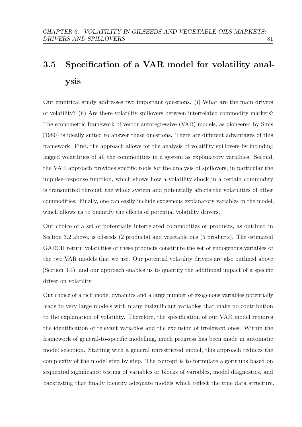## <span id="page-87-0"></span>3.5 Specification of a VAR model for volatility analysis

Our empirical study addresses two important questions. (i) What are the main drivers of volatility? (ii) Are there volatility spillovers between interrelated commodity markets? The econometric framework of vector autoregressive (VAR) models, as pioneered by [Sims](#page-159-4) [\(1980\)](#page-159-4) is ideally suited to answer these questions. There are different advantages of this framework. First, the approach allows for the analysis of volatility spillovers by including lagged volatilities of all the commodities in a system as explanatory variables. Second, the VAR approach provides specific tools for the analysis of spillovers, in particular the impulse-response function, which shows how a volatility shock in a certain commodity is transmitted through the whole system and potentially affects the volatilities of other commodities. Finally, one can easily include exogenous explanatory variables in the model, which allows us to quantify the effects of potential volatility drivers.

Our choice of a set of potentially interrelated commodities or products, as outlined in Section [3.2](#page-77-0) above, is oilseeds (2 products) and vegetable oils (5 products). The estimated GARCH return volatilities of these products constitute the set of endogenous variables of the two VAR models that we use. Our potential volatility drivers are also outlined above (Section [3.4\)](#page-80-0), and our approach enables us to quantify the additional impact of a specific driver on volatility.

Our choice of a rich model dynamics and a large number of exogenous variables potentially leads to very large models with many insignificant variables that make no contribution to the explanation of volatility. Therefore, the specification of our VAR model requires the identification of relevant variables and the exclusion of irrelevant ones. Within the framework of general-to-specific modelling, much progress has been made in automatic model selection. Starting with a general unrestricted model, this approach reduces the complexity of the model step by step. The concept is to formulate algorithms based on sequential significance testing of variables or blocks of variables, model diagnostics, and backtesting that finally identify adequate models which reflect the true data structure.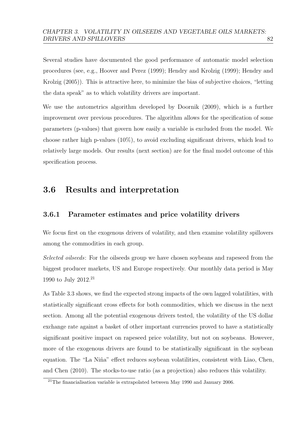Several studies have documented the good performance of automatic model selection procedures (see, e.g., [Hoover and Perez](#page-156-1) [\(1999\)](#page-156-1); [Hendry and Krolzig](#page-155-3) [\(1999\)](#page-155-3); [Hendry and](#page-156-2) [Krolzig](#page-156-2) [\(2005\)](#page-156-2)). This is attractive here, to minimize the bias of subjective choices, "letting the data speak" as to which volatility drivers are important.

We use the autometrics algorithm developed by [Doornik](#page-153-0) [\(2009\)](#page-153-0), which is a further improvement over previous procedures. The algorithm allows for the specification of some parameters (p-values) that govern how easily a variable is excluded from the model. We choose rather high p-values  $(10\%)$ , to avoid excluding significant drivers, which lead to relatively large models. Our results (next section) are for the final model outcome of this specification process.

## <span id="page-88-0"></span>3.6 Results and interpretation

## 3.6.1 Parameter estimates and price volatility drivers

We focus first on the exogenous drivers of volatility, and then examine volatility spillovers among the commodities in each group.

Selected oilseeds: For the oilseeds group we have chosen soybeans and rapeseed from the biggest producer markets, US and Europe respectively. Our monthly data period is May 1990 to July 2012.[21](#page-88-1)

As Table [3.3](#page-89-0) shows, we find the expected strong impacts of the own lagged volatilities, with statistically significant cross effects for both commodities, which we discuss in the next section. Among all the potential exogenous drivers tested, the volatility of the US dollar exchange rate against a basket of other important currencies proved to have a statistically significant positive impact on rapeseed price volatility, but not on soybeans. However, more of the exogenous drivers are found to be statistically significant in the soybean equation. The "La Niña" effect reduces soybean volatilities, consistent with [Liao, Chen,](#page-157-4) [and Chen](#page-157-4) [\(2010\)](#page-157-4). The stocks-to-use ratio (as a projection) also reduces this volatility.

<span id="page-88-1"></span><sup>&</sup>lt;sup>21</sup>The financialisation variable is extrapolated between May 1990 and January 2006.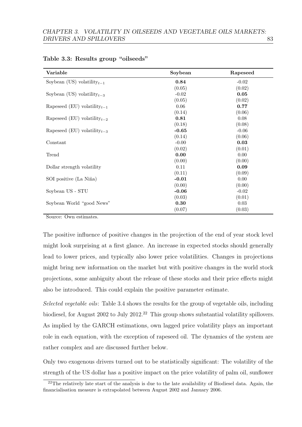| Variable                                | Soybean | Rapeseed |
|-----------------------------------------|---------|----------|
| Soybean (US) volatility <sub>t-1</sub>  | 0.84    | $-0.02$  |
|                                         | (0.05)  | (0.02)   |
| Soybean (US) volatility <sub>t-3</sub>  | $-0.02$ | 0.05     |
|                                         | (0.05)  | (0.02)   |
| Rapeseed (EU) volatility <sub>t-1</sub> | 0.06    | 0.77     |
|                                         | (0.14)  | (0.06)   |
| Rapeseed (EU) volatility <sub>t-2</sub> | 0.81    | 0.08     |
|                                         | (0.18)  | (0.08)   |
| Rapeseed (EU) volatility <sub>t-3</sub> | $-0.65$ | $-0.06$  |
|                                         | (0.14)  | (0.06)   |
| Constant                                | $-0.00$ | 0.03     |
|                                         | (0.02)  | (0.01)   |
| Trend                                   | 0.00    | 0.00     |
|                                         | (0.00)  | (0.00)   |
| Dollar strength volatility              | 0.11    | 0.09     |
|                                         | (0.11)  | (0.09)   |
| SOI positive (La Niña)                  | $-0.01$ | 0.00     |
|                                         | (0.00)  | (0.00)   |
| Soybean US - STU                        | $-0.06$ | $-0.02$  |
|                                         | (0.03)  | (0.01)   |
| Soybean World "good News"               | 0.30    | $0.03\,$ |
|                                         | (0.07)  | (0.03)   |

<span id="page-89-0"></span>

|  |  |  |  | Table 3.3: Results group "oilseeds" |
|--|--|--|--|-------------------------------------|
|--|--|--|--|-------------------------------------|

Source: Own estimates.

The positive influence of positive changes in the projection of the end of year stock level might look surprising at a first glance. An increase in expected stocks should generally lead to lower prices, and typically also lower price volatilities. Changes in projections might bring new information on the market but with positive changes in the world stock projections, some ambiguity about the release of these stocks and their price effects might also be introduced. This could explain the positive parameter estimate.

Selected vegetable oils: Table [3.4](#page-90-0) shows the results for the group of vegetable oils, including biodiesel, for August 2002 to July 2012.<sup>[22](#page-89-1)</sup> This group shows substantial volatility spillovers. As implied by the GARCH estimations, own lagged price volatility plays an important role in each equation, with the exception of rapeseed oil. The dynamics of the system are rather complex and are discussed further below.

Only two exogenous drivers turned out to be statistically significant: The volatility of the strength of the US dollar has a positive impact on the price volatility of palm oil, sunflower

<span id="page-89-1"></span><sup>&</sup>lt;sup>22</sup>The relatively late start of the analysis is due to the late availability of Biodiesel data. Again, the financialisation measure is extrapolated between August 2002 and January 2006.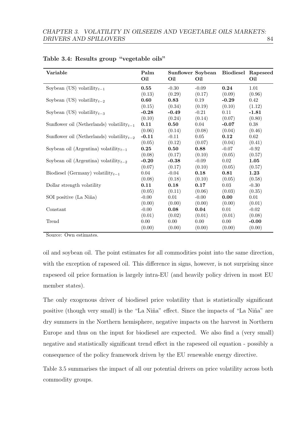| Variable                                        | Palm<br>Oil | Sunflower Soybean<br>Oil | Oil     |         | <b>Biodiesel Rapeseed</b><br>Oil |
|-------------------------------------------------|-------------|--------------------------|---------|---------|----------------------------------|
| Soybean (US) volatility <sub>t-1</sub>          | 0.55        | $-0.30$                  | $-0.09$ | 0.24    | 1.01                             |
|                                                 | (0.13)      | (0.29)                   | (0.17)  | (0.09)  | (0.96)                           |
| Soybean (US) volatility <sub>t-2</sub>          | 0.60        | 0.83                     | 0.19    | $-0.29$ | 0.42                             |
|                                                 | (0.15)      | (0.34)                   | (0.19)  | (0.10)  | (1.12)                           |
| Soybean (US) volatility <sub>t-3</sub>          | $-0.28$     | $-0.49$                  | $-0.21$ | 0.11    | $-1.81$                          |
|                                                 | (0.10)      | (0.24)                   | (0.14)  | (0.07)  | (0.80)                           |
| Sunflower oil (Netherlands) volatility $_{t-1}$ | 0.11        | 0.50                     | 0.04    | $-0.07$ | 0.38                             |
|                                                 | (0.06)      | (0.14)                   | (0.08)  | (0.04)  | (0.46)                           |
| Sunflower oil (Netherlands) volatility $_{t-2}$ | $-0.11$     | $-0.11$                  | 0.05    | 0.12    | 0.62                             |
|                                                 | (0.05)      | (0.12)                   | (0.07)  | (0.04)  | (0.41)                           |
| Soybean oil (Argentina) volatility $_{t-1}$     | 0.25        | 0.50                     | 0.88    | $-0.07$ | $-0.92$                          |
|                                                 | (0.08)      | (0.17)                   | (0.10)  | (0.05)  | (0.57)                           |
| Soybean oil (Argentina) volatility $_{t-2}$     | $-0.20$     | $-0.38$                  | $-0.09$ | 0.02    | 1.05                             |
|                                                 | (0.07)      | (0.17)                   | (0.10)  | (0.05)  | (0.57)                           |
| Biodiesel (Germany) volatility <sub>t-1</sub>   | 0.04        | $-0.04$                  | 0.18    | 0.81    | 1.23                             |
|                                                 | (0.08)      | (0.18)                   | (0.10)  | (0.05)  | (0.58)                           |
| Dollar strength volatility                      | 0.11        | 0.18                     | 0.17    | 0.03    | $-0.30$                          |
|                                                 | (0.05)      | (0.11)                   | (0.06)  | (0.03)  | (0.35)                           |
| SOI positive (La Niña)                          | $-0.00$     | 0.01                     | $-0.00$ | 0.00    | 0.01                             |
|                                                 | (0.00)      | (0.00)                   | (0.00)  | (0.00)  | (0.01)                           |
| Constant                                        | $-0.00$     | 0.08                     | 0.04    | 0.01    | $-0.02$                          |
|                                                 | (0.01)      | (0.02)                   | (0.01)  | (0.01)  | (0.08)                           |
| Trend                                           | 0.00        | 0.00                     | 0.00    | 0.00    | $-0.00$                          |
|                                                 | (0.00)      | (0.00)                   | (0.00)  | (0.00)  | (0.00)                           |

<span id="page-90-0"></span>Table 3.4: Results group "vegetable oils"

Source: Own estimates.

oil and soybean oil. The point estimates for all commodities point into the same direction, with the exception of rapeseed oil. This difference in signs, however, is not surprising since rapeseed oil price formation is largely intra-EU (and heavily policy driven in most EU member states).

The only exogenous driver of biodiesel price volatility that is statistically significant positive (though very small) is the "La Niña" effect. Since the impacts of "La Niña" are dry summers in the Northern hemisphere, negative impacts on the harvest in Northern Europe and thus on the input for biodiesel are expected. We also find a (very small) negative and statistically significant trend effect in the rapeseed oil equation - possibly a consequence of the policy framework driven by the EU renewable energy directive.

Table [3.5](#page-91-0) summarises the impact of all our potential drivers on price volatility across both commodity groups.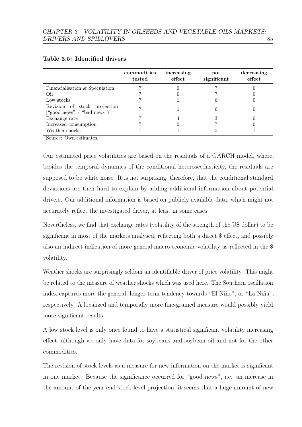|                                                            | commodities<br>tested | increasing<br>effect | not<br>significant | decreasing<br>effect |
|------------------------------------------------------------|-----------------------|----------------------|--------------------|----------------------|
| Financialisation & Speculation                             |                       |                      |                    |                      |
| Oil                                                        |                       |                      |                    |                      |
| Low stocks                                                 |                       |                      |                    |                      |
| Revision of stock projection<br>("good news" / "bad news") |                       |                      |                    |                      |
| Exchange rate                                              |                       |                      |                    |                      |
| Increased consumption                                      |                       |                      |                    |                      |
| Weather shocks                                             |                       |                      |                    |                      |

#### <span id="page-91-0"></span>Table 3.5: Identified drivers

Source: Own estimates.

Our estimated price volatilities are based on the residuals of a GARCH model, where, besides the temporal dynamics of the conditional heteroscedasticity, the residuals are supposed to be white noise. It is not surprising, therefore, that the conditional standard deviations are then hard to explain by adding additional information about potential drivers. Our additional information is based on publicly available data, which might not accurately reflect the investigated driver, at least in some cases.

Nevertheless, we find that exchange rates (volatility of the strength of the US dollar) to be significant in most of the markets analysed, reflecting both a direct \$ effect, and possibly also an indirect indication of more general macro-economic volatility as reflected in the \$ volatility.

Weather shocks are surprisingly seldom an identifiable driver of price volatility. This might be related to the measure of weather shocks which was used here. The Southern oscillation index captures more the general, longer term tendency towards "El Niño", or "La Niña", respectively. A localized and temporally more fine-grained measure would possibly yield more significant results.

A low stock level is only once found to have a statistical significant volatility increasing effect, although we only have data for soybeans and soybean oil and not for the other commodities.

The revision of stock levels as a measure for new information on the market is significant in one market. Because the significance occurred for "good news", i.e. an increase in the amount of the year-end stock level projection, it seems that a huge amount of new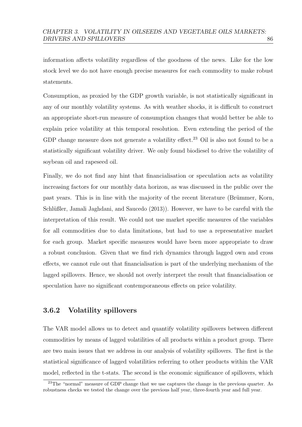information affects volatility regardless of the goodness of the news. Like for the low stock level we do not have enough precise measures for each commodity to make robust statements.

Consumption, as proxied by the GDP growth variable, is not statistically significant in any of our monthly volatility systems. As with weather shocks, it is difficult to construct an appropriate short-run measure of consumption changes that would better be able to explain price volatility at this temporal resolution. Even extending the period of the GDP change measure does not generate a volatility effect.<sup>[23](#page-92-0)</sup> Oil is also not found to be a statistically significant volatility driver. We only found biodiesel to drive the volatility of soybean oil and rapeseed oil.

Finally, we do not find any hint that financialisation or speculation acts as volatility increasing factors for our monthly data horizon, as was discussed in the public over the past years. This is in line with the majority of the recent literature (Brümmer, Korn, Schlüßler, Jamali Jaghdani, and Saucedo [\(2013\)](#page-152-0)). However, we have to be careful with the interpretation of this result. We could not use market specific measures of the variables for all commodities due to data limitations, but had to use a representative market for each group. Market specific measures would have been more appropriate to draw a robust conclusion. Given that we find rich dynamics through lagged own and cross effects, we cannot rule out that financialisation is part of the underlying mechanism of the lagged spillovers. Hence, we should not overly interpret the result that financialisation or speculation have no significant contemporaneous effects on price volatility.

## 3.6.2 Volatility spillovers

The VAR model allows us to detect and quantify volatility spillovers between different commodities by means of lagged volatilities of all products within a product group. There are two main issues that we address in our analysis of volatility spillovers. The first is the statistical significance of lagged volatilities referring to other products within the VAR model, reflected in the t-stats. The second is the economic significance of spillovers, which

<span id="page-92-0"></span><sup>&</sup>lt;sup>23</sup>The "normal" measure of GDP change that we use captures the change in the previous quarter. As robustness checks we tested the change over the previous half year, three-fourth year and full year.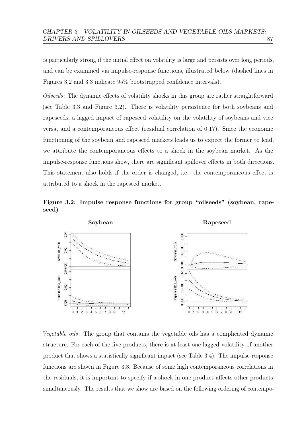is particularly strong if the initial effect on volatility is large and persists over long periods, and can be examined via impulse-response functions, illustrated below (dashed lines in Figures [3.2](#page-93-0) and [3.3](#page-95-0) indicate 95% bootstrapped confidence intervals).

Oilseeds: The dynamic effects of volatility shocks in this group are rather straightforward (see Table [3.3](#page-89-0) and Figure [3.2\)](#page-93-0). There is volatility persistence for both soybeans and rapeseeds, a lagged impact of rapeseed volatility on the volatility of soybeans and vice versa, and a contemporaneous effect (residual correlation of 0.17). Since the economic functioning of the soybean and rapeseed markets leads us to expect the former to lead, we attribute the contemporaneous effects to a shock in the soybean market. As the impulse-response functions show, there are significant spillover effects in both directions. This statement also holds if the order is changed, i.e. the contemporaneous effect is attributed to a shock in the rapeseed market.

<span id="page-93-0"></span>Figure 3.2: Impulse response functions for group "oilseeds" (soybean, rapeseed)



Vegetable oils: The group that contains the vegetable oils has a complicated dynamic structure. For each of the five products, there is at least one lagged volatility of another product that shows a statistically significant impact (see Table [3.4\)](#page-90-0). The impulse-response functions are shown in Figure [3.3.](#page-95-0) Because of some high contemporaneous correlations in the residuals, it is important to specify if a shock in one product affects other products simultaneously. The results that we show are based on the following ordering of contempo-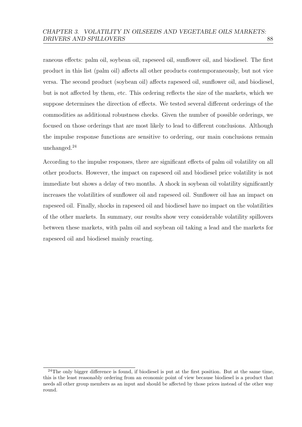raneous effects: palm oil, soybean oil, rapeseed oil, sunflower oil, and biodiesel. The first product in this list (palm oil) affects all other products contemporaneously, but not vice versa. The second product (soybean oil) affects rapeseed oil, sunflower oil, and biodiesel, but is not affected by them, etc. This ordering reflects the size of the markets, which we suppose determines the direction of effects. We tested several different orderings of the commodities as additional robustness checks. Given the number of possible orderings, we focused on those orderings that are most likely to lead to different conclusions. Although the impulse response functions are sensitive to ordering, our main conclusions remain unchanged.<sup>[24](#page-94-0)</sup>

According to the impulse responses, there are significant effects of palm oil volatility on all other products. However, the impact on rapeseed oil and biodiesel price volatility is not immediate but shows a delay of two months. A shock in soybean oil volatility significantly increases the volatilities of sunflower oil and rapeseed oil. Sunflower oil has an impact on rapeseed oil. Finally, shocks in rapeseed oil and biodiesel have no impact on the volatilities of the other markets. In summary, our results show very considerable volatility spillovers between these markets, with palm oil and soybean oil taking a lead and the markets for rapeseed oil and biodiesel mainly reacting.

<span id="page-94-0"></span><sup>&</sup>lt;sup>24</sup>The only bigger difference is found, if biodiesel is put at the first position. But at the same time, this is the least reasonably ordering from an economic point of view because biodiesel is a product that needs all other group members as an input and should be affected by those prices instead of the other way round.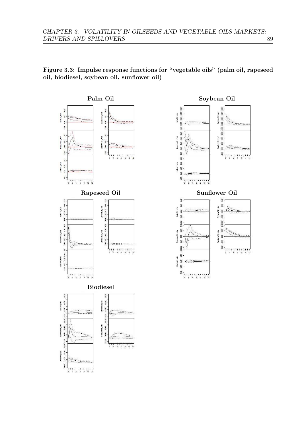<span id="page-95-0"></span>Figure 3.3: Impulse response functions for "vegetable oils" (palm oil, rapeseed oil, biodiesel, soybean oil, sunflower oil)



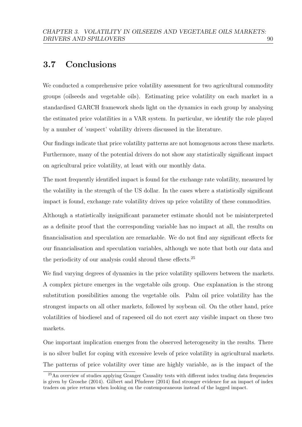## <span id="page-96-0"></span>3.7 Conclusions

We conducted a comprehensive price volatility assessment for two agricultural commodity groups (oilseeds and vegetable oils). Estimating price volatility on each market in a standardised GARCH framework sheds light on the dynamics in each group by analysing the estimated price volatilities in a VAR system. In particular, we identify the role played by a number of 'suspect' volatility drivers discussed in the literature.

Our findings indicate that price volatility patterns are not homogenous across these markets. Furthermore, many of the potential drivers do not show any statistically significant impact on agricultural price volatility, at least with our monthly data.

The most frequently identified impact is found for the exchange rate volatility, measured by the volatility in the strength of the US dollar. In the cases where a statistically significant impact is found, exchange rate volatility drives up price volatility of these commodities.

Although a statistically insignificant parameter estimate should not be misinterpreted as a definite proof that the corresponding variable has no impact at all, the results on financialisation and speculation are remarkable. We do not find any significant effects for our financialisation and speculation variables, although we note that both our data and the periodicity of our analysis could shroud these effects.<sup>[25](#page-96-1)</sup>

We find varying degrees of dynamics in the price volatility spillovers between the markets. A complex picture emerges in the vegetable oils group. One explanation is the strong substitution possibilities among the vegetable oils. Palm oil price volatility has the strongest impacts on all other markets, followed by soybean oil. On the other hand, price volatilities of biodiesel and of rapeseed oil do not exert any visible impact on these two markets.

One important implication emerges from the observed heterogeneity in the results. There is no silver bullet for coping with excessive levels of price volatility in agricultural markets. The patterns of price volatility over time are highly variable, as is the impact of the

<span id="page-96-1"></span><sup>25</sup>An overview of studies applying Granger Causality tests with different index trading data frequencies is given by [Grosche](#page-155-0) [\(2014\)](#page-155-0). [Gilbert and Pfuderer](#page-155-4) [\(2014\)](#page-155-4) find stronger evidence for an impact of index traders on price returns when looking on the contemporaneous instead of the lagged impact.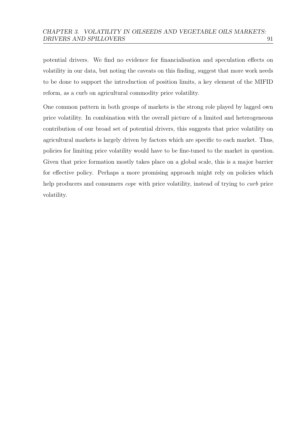potential drivers. We find no evidence for financialisation and speculation effects on volatility in our data, but noting the caveats on this finding, suggest that more work needs to be done to support the introduction of position limits, a key element of the MIFID reform, as a curb on agricultural commodity price volatility.

One common pattern in both groups of markets is the strong role played by lagged own price volatility. In combination with the overall picture of a limited and heterogeneous contribution of our broad set of potential drivers, this suggests that price volatility on agricultural markets is largely driven by factors which are specific to each market. Thus, policies for limiting price volatility would have to be fine-tuned to the market in question. Given that price formation mostly takes place on a global scale, this is a major barrier for effective policy. Perhaps a more promising approach might rely on policies which help producers and consumers *cope* with price volatility, instead of trying to *curb* price volatility.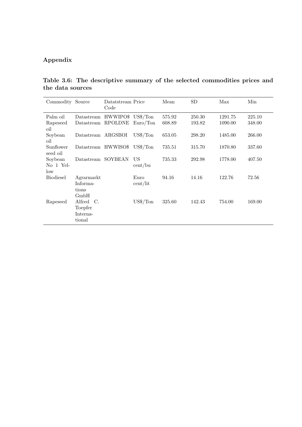## Appendix

Table 3.6: The descriptive summary of the selected commodities prices and the data sources

| Commodity Source            |                                                         | Datatstream Price<br>Code  |                                 | Mean             | SD               | Max                | Min              |
|-----------------------------|---------------------------------------------------------|----------------------------|---------------------------------|------------------|------------------|--------------------|------------------|
| Palm oil<br>Rapeseed<br>oil | Datastream<br>Datastream                                | HWWIPO\$<br><b>RPOLDNE</b> | $US\frac{4}{T}$ on<br>Euro/ Ton | 575.92<br>608.89 | 250.30<br>193.82 | 1291.75<br>1090.00 | 225.10<br>348.00 |
| Soybean<br>oil              | Datastream ARGSBOI                                      |                            | $US\$/\mathrm{Ton}$             | 653.05           | 298.20           | 1485.00            | 266.00           |
| Sunflower<br>seed oil       |                                                         | Datastream HWWISO\$        | $US\$/\mathrm{Tor}$             | 735.51           | 315.70           | 1870.80            | 337.60           |
| Soybean<br>No 1 Yel-<br>low | Datastream                                              | SOYBEAN                    | US<br>cent/bu                   | 735.33           | 292.98           | 1778.00            | 407.50           |
| <b>Biodiesel</b>            | Agramarkt<br>Informa-<br>tions                          |                            | Euro<br>cent/lit                | 94.16            | 14.16            | 122.76             | 72.56            |
| Rapeseed                    | GmbH<br>Alfred<br>- C.<br>Toepfer<br>Interna-<br>tional |                            | $\mathrm{US}\frac{4}{3}$ /Ton   | 325.60           | 142.43           | 754.00             | 169.00           |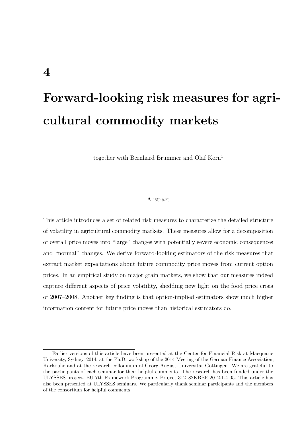## Forward-looking risk measures for agricultural commodity markets

together with Bernhard Brümmer and Olaf Korn<sup>[1](#page-99-0)</sup>

#### Abstract

This article introduces a set of related risk measures to characterize the detailed structure of volatility in agricultural commodity markets. These measures allow for a decomposition of overall price moves into "large" changes with potentially severe economic consequences and "normal" changes. We derive forward-looking estimators of the risk measures that extract market expectations about future commodity price moves from current option prices. In an empirical study on major grain markets, we show that our measures indeed capture different aspects of price volatility, shedding new light on the food price crisis of 2007–2008. Another key finding is that option-implied estimators show much higher information content for future price moves than historical estimators do.

<span id="page-99-0"></span><sup>1</sup>Earlier versions of this article have been presented at the Center for Financial Risk at Macquarie University, Sydney, 2014, at the Ph.D. workshop of the 2014 Meeting of the German Finance Association, Karlsruhe and at the research colloquium of Georg-August-Universität Göttingen. We are grateful to the participants of each seminar for their helpful comments. The research has been funded under the ULYSSES project, EU 7th Framework Programme, Project 312182KBBE.2012.1.4-05. This article has also been presented at ULYSSES seminars. We particularly thank seminar participants and the members of the consortium for helpful comments.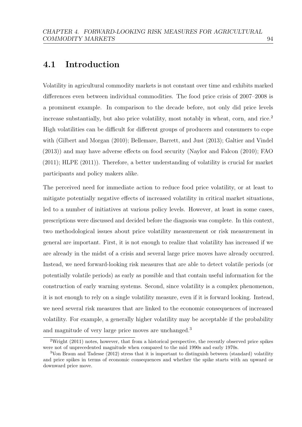## 4.1 Introduction

Volatility in agricultural commodity markets is not constant over time and exhibits marked differences even between individual commodities. The food price crisis of 2007–2008 is a prominent example. In comparison to the decade before, not only did price levels increase substantially, but also price volatility, most notably in wheat, corn, and rice.[2](#page-100-0) High volatilities can be difficult for different groups of producers and consumers to cope with [\(Gilbert and Morgan](#page-155-1) [\(2010\)](#page-155-1); [Bellemare, Barrett, and Just](#page-150-1) [\(2013\)](#page-150-1); [Galtier and Vindel](#page-154-0) [\(2013\)](#page-154-0)) and may have adverse effects on food security [\(Naylor and Falcon](#page-158-4) [\(2010\)](#page-158-4); [FAO](#page-154-1) [\(2011\)](#page-154-1); [HLPE](#page-156-3) [\(2011\)](#page-156-3)). Therefore, a better understanding of volatility is crucial for market participants and policy makers alike.

The perceived need for immediate action to reduce food price volatility, or at least to mitigate potentially negative effects of increased volatility in critical market situations, led to a number of initiatives at various policy levels. However, at least in some cases, prescriptions were discussed and decided before the diagnosis was complete. In this context, two methodological issues about price volatility measurement or risk measurement in general are important. First, it is not enough to realize that volatility has increased if we are already in the midst of a crisis and several large price moves have already occurred. Instead, we need forward-looking risk measures that are able to detect volatile periods (or potentially volatile periods) as early as possible and that contain useful information for the construction of early warning systems. Second, since volatility is a complex phenomenon, it is not enough to rely on a single volatility measure, even if it is forward looking. Instead, we need several risk measures that are linked to the economic consequences of increased volatility. For example, a generally higher volatility may be acceptable if the probability and magnitude of very large price moves are unchanged.<sup>[3](#page-100-1)</sup>

<span id="page-100-0"></span><sup>&</sup>lt;sup>2</sup>[Wright](#page-161-2) [\(2011\)](#page-161-2) notes, however, that from a historical perspective, the recently observed price spikes were not of unprecedented magnitude when compared to the mid 1990s and early 1970s.

<span id="page-100-1"></span><sup>3</sup>[Von Braun and Tadesse](#page-160-3) [\(2012\)](#page-160-3) stress that it is important to distinguish between (standard) volatility and price spikes in terms of economic consequences and whether the spike starts with an upward or downward price move.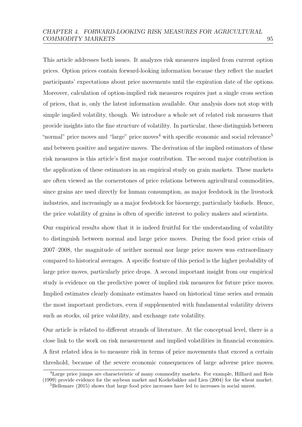This article addresses both issues. It analyzes risk measures implied from current option prices. Option prices contain forward-looking information because they reflect the market participants' expectations about price movements until the expiration date of the options. Moreover, calculation of option-implied risk measures requires just a single cross section of prices, that is, only the latest information available. Our analysis does not stop with simple implied volatility, though. We introduce a whole set of related risk measures that provide insights into the fine structure of volatility. In particular, these distinguish between "normal" price moves and "large" price moves<sup>[4](#page-101-0)</sup> with specific economic and social relevance<sup>[5](#page-101-1)</sup> and between positive and negative moves. The derivation of the implied estimators of these risk measures is this article's first major contribution. The second major contribution is the application of these estimators in an empirical study on grain markets. These markets are often viewed as the cornerstones of price relations between agricultural commodities, since grains are used directly for human consumption, as major feedstock in the livestock industries, and increasingly as a major feedstock for bioenergy, particularly biofuels. Hence, the price volatility of grains is often of specific interest to policy makers and scientists.

Our empirical results show that it is indeed fruitful for the understanding of volatility to distinguish between normal and large price moves. During the food price crisis of 2007–2008, the magnitude of neither normal nor large price moves was extraordinary compared to historical averages. A specific feature of this period is the higher probability of large price moves, particularly price drops. A second important insight from our empirical study is evidence on the predictive power of implied risk measures for future price moves. Implied estimates clearly dominate estimates based on historical time series and remain the most important predictors, even if supplemented with fundamental volatility drivers such as stocks, oil price volatility, and exchange rate volatility.

Our article is related to different strands of literature. At the conceptual level, there is a close link to the work on risk measurement and implied volatilities in financial economics. A first related idea is to measure risk in terms of price movements that exceed a certain threshold, because of the severe economic consequences of large adverse price moves.

<span id="page-101-0"></span><sup>4</sup>Large price jumps are characteristic of many commodity markets. For example, [Hilliard and Reis](#page-156-4) [\(1999\)](#page-156-4) provide evidence for the soybean market and [Koekebakker and Lien](#page-157-5) [\(2004\)](#page-157-5) for the wheat market.

<span id="page-101-1"></span> ${}^{5}$ [Bellemare](#page-150-2) [\(2015\)](#page-150-2) shows that large food price increases have led to increases in social unrest.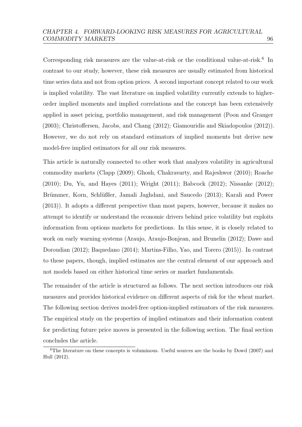Corresponding risk measures are the value-at-risk or the conditional value-at-risk.<sup>[6](#page-102-0)</sup> In contrast to our study, however, these risk measures are usually estimated from historical time series data and not from option prices. A second important concept related to our work is implied volatility. The vast literature on implied volatility currently extends to higherorder implied moments and implied correlations and the concept has been extensively applied in asset pricing, portfolio management, and risk management [\(Poon and Granger](#page-158-1) [\(2003\)](#page-158-1); [Christoffersen, Jacobs, and Chang](#page-152-1) [\(2012\)](#page-152-1); [Giamouridis and Skiadopoulos](#page-154-2) [\(2012\)](#page-154-2)). However, we do not rely on standard estimators of implied moments but derive new model-free implied estimators for all our risk measures.

This article is naturally connected to other work that analyzes volatility in agricultural commodity markets [\(Clapp](#page-152-2) [\(2009\)](#page-152-2); [Ghosh, Chakravarty, and Rajeshwor](#page-154-3) [\(2010\)](#page-154-3); [Roache](#page-159-0) [\(2010\)](#page-159-0); [Du, Yu, and Hayes](#page-153-1) [\(2011\)](#page-153-1); [Wright](#page-161-2) [\(2011\)](#page-161-2); [Babcock](#page-149-2) [\(2012\)](#page-149-2); [Nissanke](#page-158-5) [\(2012\)](#page-158-5); Brümmer, Korn, Schlüßler, Jamali Jaghdani, and Saucedo [\(2013\)](#page-152-0); [Karali and Power](#page-157-6) [\(2013\)](#page-157-6)). It adopts a different perspective than most papers, however, because it makes no attempt to identify or understand the economic drivers behind price volatility but exploits information from options markets for predictions. In this sense, it is closely related to work on early warning systems [\(Araujo, Araujo-Bonjean, and Brunelin](#page-149-3) [\(2012\)](#page-149-3); [Dawe and](#page-153-2) [Doroudian](#page-153-2) [\(2012\)](#page-153-2); [Baquedano](#page-150-3) [\(2014\)](#page-150-3); [Martins-Filho, Yao, and Torero](#page-158-6) [\(2015\)](#page-158-6)). In contrast to these papers, though, implied estimates are the central element of our approach and not models based on either historical time series or market fundamentals.

The remainder of the article is structured as follows. The next section introduces our risk measures and provides historical evidence on different aspects of risk for the wheat market. The following section derives model-free option-implied estimators of the risk measures. The empirical study on the properties of implied estimators and their information content for predicting future price moves is presented in the following section. The final section concludes the article.

<span id="page-102-0"></span> $6$ The literature on these concepts is voluminous. Useful sources are the books by [Dowd](#page-153-3) [\(2007\)](#page-153-3) and [Hull](#page-156-5) [\(2012\)](#page-156-5).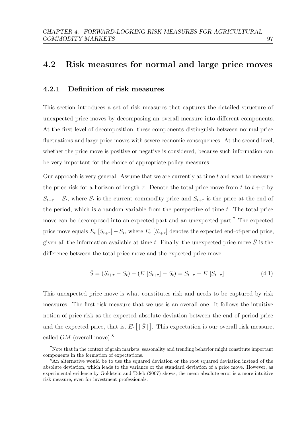## 4.2 Risk measures for normal and large price moves

### 4.2.1 Definition of risk measures

This section introduces a set of risk measures that captures the detailed structure of unexpected price moves by decomposing an overall measure into different components. At the first level of decomposition, these components distinguish between normal price fluctuations and large price moves with severe economic consequences. At the second level, whether the price move is positive or negative is considered, because such information can be very important for the choice of appropriate policy measures.

Our approach is very general. Assume that we are currently at time  $t$  and want to measure the price risk for a horizon of length  $\tau$ . Denote the total price move from t to  $t + \tau$  by  $S_{t+\tau} - S_t$ , where  $S_t$  is the current commodity price and  $S_{t+\tau}$  is the price at the end of the period, which is a random variable from the perspective of time  $t$ . The total price move can be decomposed into an expected part and an unexpected part.<sup>[7](#page-103-0)</sup> The expected price move equals  $E_t$   $[S_{t+\tau}]$  –  $S_t$ , where  $E_t$   $[S_{t+\tau}]$  denotes the expected end-of-period price, given all the information available at time t. Finally, the unexpected price move  $\overline{S}$  is the difference between the total price move and the expected price move:

$$
\bar{S} = (S_{t+\tau} - S_t) - (E [S_{t+\tau}] - S_t) = S_{t+\tau} - E [S_{t+\tau}]. \tag{4.1}
$$

This unexpected price move is what constitutes risk and needs to be captured by risk measures. The first risk measure that we use is an overall one. It follows the intuitive notion of price risk as the expected absolute deviation between the end-of-period price and the expected price, that is,  $E_t\left[ \begin{array}{c} | \bar{S} | \end{array} \right]$ . This expectation is our overall risk measure, called  $OM$  (overall move).<sup>[8](#page-103-1)</sup>

<span id="page-103-0"></span><sup>7</sup>Note that in the context of grain markets, seasonality and trending behavior might constitute important components in the formation of expectations.

<span id="page-103-1"></span><sup>&</sup>lt;sup>8</sup>An alternative would be to use the squared deviation or the root squared deviation instead of the absolute deviation, which leads to the variance or the standard deviation of a price move. However, as experimental evidence by [Goldstein and Taleb](#page-155-5) [\(2007\)](#page-155-5) shows, the mean absolute error is a more intuitive risk measure, even for investment professionals.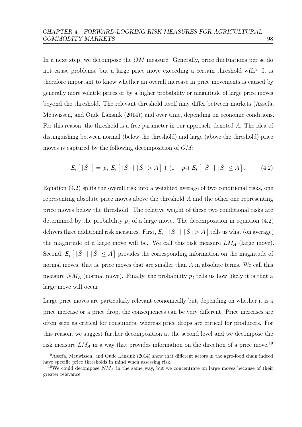In a next step, we decompose the  $OM$  measure. Generally, price fluctuations per se do not cause problems, but a large price move exceeding a certain threshold will.<sup>[9](#page-104-0)</sup> It is therefore important to know whether an overall increase in price movements is caused by generally more volatile prices or by a higher probability or magnitude of large price moves beyond the threshold. The relevant threshold itself may differ between markets [\(Assefa,](#page-149-4) [Meuwissen, and Oude Lansink](#page-149-4) [\(2014\)](#page-149-4)) and over time, depending on economic conditions. For this reason, the threshold is a free parameter in our approach, denoted A. The idea of distinguishing between normal (below the threshold) and large (above the threshold) price moves is captured by the following decomposition of OM:

<span id="page-104-1"></span>
$$
E_t [|\bar{S}|] = p_l E_t [|\bar{S}| | |\bar{S}| > A] + (1 - p_l) E_t [|\bar{S}| | |\bar{S}| \le A]. \tag{4.2}
$$

Equation [\(4.2\)](#page-104-1) splits the overall risk into a weighted average of two conditional risks, one representing absolute price moves above the threshold A and the other one representing price moves below the threshold. The relative weight of these two conditional risks are determined by the probability  $p_l$  of a large move. The decomposition in equation [\(4.2\)](#page-104-1) delivers three additional risk measures. First,  $E_t\left[ \,|\,\bar{S}\,|\,\mid |\,\bar{S}\,| > A \,\right]$  tells us what (on average) the magnitude of a large move will be. We call this risk measure  $LM_A$  (large move). Second,  $E_t \mid \mid \bar{S} \mid \mid \mid \bar{S} \mid \leq A$  provides the corresponding information on the magnitude of normal moves, that is, price moves that are smaller than  $A$  in absolute terms. We call this measure  $NM_A$  (normal move). Finally, the probability  $p_l$  tells us how likely it is that a large move will occur.

Large price moves are particularly relevant economically but, depending on whether it is a price increase or a price drop, the consequences can be very different. Price increases are often seen as critical for consumers, whereas price drops are critical for producers. For this reason, we suggest further decomposition at the second level and we decompose the risk measure  $LM_A$  in a way that provides information on the direction of a price move.<sup>[10](#page-104-2)</sup>

<span id="page-104-0"></span><sup>9</sup>[Assefa, Meuwissen, and Oude Lansink](#page-149-4) [\(2014\)](#page-149-4) show that different actors in the agro-food chain indeed have specific price thresholds in mind when assessing risk.

<span id="page-104-2"></span><sup>&</sup>lt;sup>10</sup>We could decompose  $NM_A$  in the same way, but we concentrate on large moves because of their greater relevance.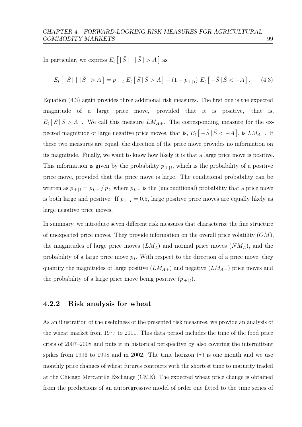In particular, we express  $E_t\left[ \begin{array}{c} |\bar{S}| \end{array} \middle| |\bar{S}| > A \right]$  as

<span id="page-105-0"></span>
$$
E_t [|\bar{S}| | |\bar{S}| > A] = p_{+|l} E_t [\bar{S} | \bar{S} > A] + (1 - p_{+|l}) E_t [-\bar{S} | \bar{S} < -A]. \tag{4.3}
$$

Equation [\(4.3\)](#page-105-0) again provides three additional risk measures. The first one is the expected magnitude of a large price move, provided that it is positive, that is,  $E_t\left[\bar{S}\,|\,\bar{S} > A\right]$ . We call this measure  $LM_{A+}$ . The corresponding measure for the expected magnitude of large negative price moves, that is,  $E_t \left[ -\bar{S} \, | \, \bar{S} < -A \right]$ , is  $LM_{A-}$ . If these two measures are equal, the direction of the price move provides no information on its magnitude. Finally, we want to know how likely it is that a large price move is positive. This information is given by the probability  $p_{+|l}$ , which is the probability of a positive price move, provided that the price move is large. The conditional probability can be written as  $p_{+|l} = p_{l,+}/p_l$ , where  $p_{l,+}$  is the (unconditional) probability that a price move is both large and positive. If  $p_{+|l} = 0.5$ , large positive price moves are equally likely as large negative price moves.

In summary, we introduce seven different risk measures that characterize the fine structure of unexpected price moves. They provide information on the overall price volatility  $(OM)$ , the magnitudes of large price moves  $(LM_A)$  and normal price moves  $(NM_A)$ , and the probability of a large price move  $p_l$ . With respect to the direction of a price move, they quantify the magnitudes of large positive  $(LM_{A+})$  and negative  $(LM_{A-})$  price moves and the probability of a large price move being positive  $(p_{+|l})$ .

#### 4.2.2 Risk analysis for wheat

As an illustration of the usefulness of the presented risk measures, we provide an analysis of the wheat market from 1977 to 2011. This data period includes the time of the food price crisis of 2007–2008 and puts it in historical perspective by also covering the intermittent spikes from 1996 to 1998 and in 2002. The time horizon  $(\tau)$  is one month and we use monthly price changes of wheat futures contracts with the shortest time to maturity traded at the Chicago Mercantile Exchange (CME). The expected wheat price change is obtained from the predictions of an autoregressive model of order one fitted to the time series of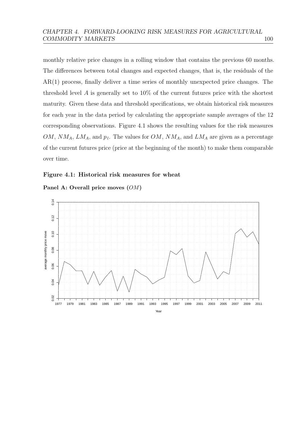monthly relative price changes in a rolling window that contains the previous 60 months. The differences between total changes and expected changes, that is, the residuals of the AR(1) process, finally deliver a time series of monthly unexpected price changes. The threshold level A is generally set to  $10\%$  of the current futures price with the shortest maturity. Given these data and threshold specifications, we obtain historical risk measures for each year in the data period by calculating the appropriate sample averages of the 12 corresponding observations. Figure [4.1](#page-106-0) shows the resulting values for the risk measures  $OM, NM_A, LM_A$ , and  $p_l$ . The values for  $OM, NM_A$ , and  $LM_A$  are given as a percentage of the current futures price (price at the beginning of the month) to make them comparable over time.

#### <span id="page-106-0"></span>Figure 4.1: Historical risk measures for wheat



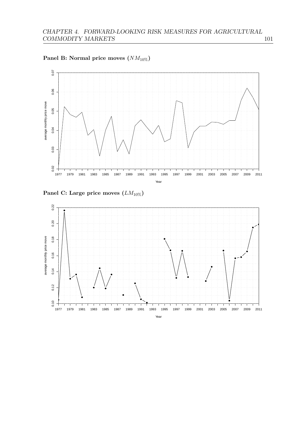





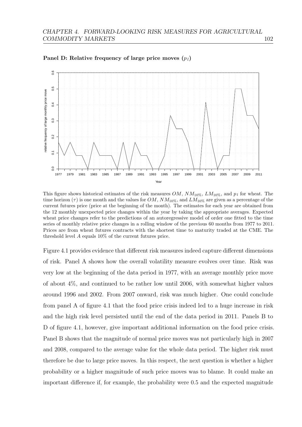

Panel D: Relative frequency of large price moves  $(p_l)$ 

This figure shows historical estimates of the risk measures  $OM$ ,  $NM_{10\%}$ ,  $LM_{10\%}$ , and  $p_l$  for wheat. The time horizon  $(\tau)$  is one month and the values for OM,  $NM_{10\%}$ , and  $LM_{10\%}$  are given as a percentage of the current futures price (price at the beginning of the month). The estimates for each year are obtained from the 12 monthly unexpected price changes within the year by taking the appropriate averages. Expected wheat price changes refer to the predictions of an autoregressive model of order one fitted to the time series of monthly relative price changes in a rolling window of the previous 60 months from 1977 to 2011. Prices are from wheat futures contracts with the shortest time to maturity traded at the CME. The threshold level A equals 10% of the current futures price.

Figure [4.1](#page-106-0) provides evidence that different risk measures indeed capture different dimensions of risk. Panel A shows how the overall volatility measure evolves over time. Risk was very low at the beginning of the data period in 1977, with an average monthly price move of about 4%, and continued to be rather low until 2006, with somewhat higher values around 1996 and 2002. From 2007 onward, risk was much higher. One could conclude from panel A of figure [4.1](#page-106-0) that the food price crisis indeed led to a huge increase in risk and the high risk level persisted until the end of the data period in 2011. Panels B to D of figure [4.1,](#page-106-0) however, give important additional information on the food price crisis. Panel B shows that the magnitude of normal price moves was not particularly high in 2007 and 2008, compared to the average value for the whole data period. The higher risk must therefore be due to large price moves. In this respect, the next question is whether a higher probability or a higher magnitude of such price moves was to blame. It could make an important difference if, for example, the probability were 0.5 and the expected magnitude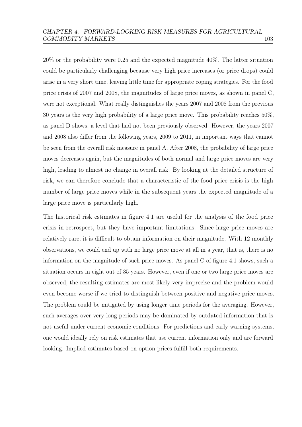20% or the probability were 0.25 and the expected magnitude 40%. The latter situation could be particularly challenging because very high price increases (or price drops) could arise in a very short time, leaving little time for appropriate coping strategies. For the food price crisis of 2007 and 2008, the magnitudes of large price moves, as shown in panel C, were not exceptional. What really distinguishes the years 2007 and 2008 from the previous 30 years is the very high probability of a large price move. This probability reaches 50%, as panel D shows, a level that had not been previously observed. However, the years 2007 and 2008 also differ from the following years, 2009 to 2011, in important ways that cannot be seen from the overall risk measure in panel A. After 2008, the probability of large price moves decreases again, but the magnitudes of both normal and large price moves are very high, leading to almost no change in overall risk. By looking at the detailed structure of risk, we can therefore conclude that a characteristic of the food price crisis is the high number of large price moves while in the subsequent years the expected magnitude of a large price move is particularly high.

The historical risk estimates in figure [4.1](#page-106-0) are useful for the analysis of the food price crisis in retrospect, but they have important limitations. Since large price moves are relatively rare, it is difficult to obtain information on their magnitude. With 12 monthly observations, we could end up with no large price move at all in a year, that is, there is no information on the magnitude of such price moves. As panel C of figure [4.1](#page-106-0) shows, such a situation occurs in eight out of 35 years. However, even if one or two large price moves are observed, the resulting estimates are most likely very imprecise and the problem would even become worse if we tried to distinguish between positive and negative price moves. The problem could be mitigated by using longer time periods for the averaging. However, such averages over very long periods may be dominated by outdated information that is not useful under current economic conditions. For predictions and early warning systems, one would ideally rely on risk estimates that use current information only and are forward looking. Implied estimates based on option prices fulfill both requirements.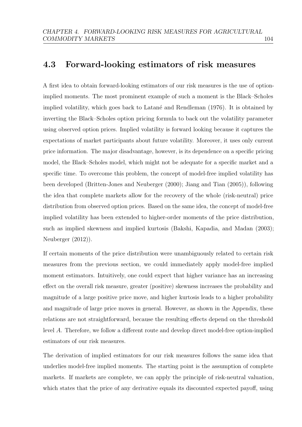# 4.3 Forward-looking estimators of risk measures

A first idea to obtain forward-looking estimators of our risk measures is the use of optionimplied moments. The most prominent example of such a moment is the Black–Scholes implied volatility, which goes back to Latané and Rendleman [\(1976\)](#page-157-0). It is obtained by inverting the Black–Scholes option pricing formula to back out the volatility parameter using observed option prices. Implied volatility is forward looking because it captures the expectations of market participants about future volatility. Moreover, it uses only current price information. The major disadvantage, however, is its dependence on a specific pricing model, the Black–Scholes model, which might not be adequate for a specific market and a specific time. To overcome this problem, the concept of model-free implied volatility has been developed [\(Britten-Jones and Neuberger](#page-151-0) [\(2000\)](#page-151-0); [Jiang and Tian](#page-156-0) [\(2005\)](#page-156-0)), following the idea that complete markets allow for the recovery of the whole (risk-neutral) price distribution from observed option prices. Based on the same idea, the concept of model-free implied volatility has been extended to higher-order moments of the price distribution, such as implied skewness and implied kurtosis [\(Bakshi, Kapadia, and Madan](#page-150-0) [\(2003\)](#page-150-0); [Neuberger](#page-158-0) [\(2012\)](#page-158-0)).

If certain moments of the price distribution were unambiguously related to certain risk measures from the previous section, we could immediately apply model-free implied moment estimators. Intuitively, one could expect that higher variance has an increasing effect on the overall risk measure, greater (positive) skewness increases the probability and magnitude of a large positive price move, and higher kurtosis leads to a higher probability and magnitude of large price moves in general. However, as shown in the Appendix, these relations are not straightforward, because the resulting effects depend on the threshold level A. Therefore, we follow a different route and develop direct model-free option-implied estimators of our risk measures.

The derivation of implied estimators for our risk measures follows the same idea that underlies model-free implied moments. The starting point is the assumption of complete markets. If markets are complete, we can apply the principle of risk-neutral valuation, which states that the price of any derivative equals its discounted expected payoff, using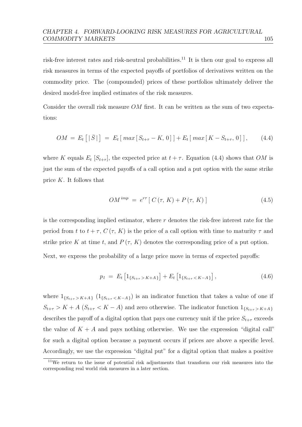risk-free interest rates and risk-neutral probabilities.<sup>[11](#page-111-0)</sup> It is then our goal to express all risk measures in terms of the expected payoffs of portfolios of derivatives written on the commodity price. The (compounded) prices of these portfolios ultimately deliver the desired model-free implied estimates of the risk measures.

Consider the overall risk measure  $OM$  first. It can be written as the sum of two expectations:

$$
OM = E_t [|\bar{S}|] = E_t [max[S_{t+\tau} - K, 0]] + E_t [max[K - S_{t+\tau}, 0]], \quad (4.4)
$$

where K equals  $E_t$  [ $S_{t+\tau}$ ], the expected price at  $t+\tau$ . Equation [\(4.4\)](#page-111-1) shows that OM is just the sum of the expected payoffs of a call option and a put option with the same strike price  $K$ . It follows that

<span id="page-111-1"></span>
$$
OM^{imp} = e^{r\tau} [C(\tau, K) + P(\tau, K)] \qquad (4.5)
$$

is the corresponding implied estimator, where  $r$  denotes the risk-free interest rate for the period from t to  $t + \tau$ ,  $C(\tau, K)$  is the price of a call option with time to maturity  $\tau$  and strike price K at time t, and  $P(\tau, K)$  denotes the corresponding price of a put option.

Next, we express the probability of a large price move in terms of expected payoffs:

<span id="page-111-2"></span>
$$
p_l = E_t \left[ 1_{\{S_{t+\tau} > K + A\}} \right] + E_t \left[ 1_{\{S_{t+\tau} < K - A\}} \right], \tag{4.6}
$$

where  $1_{\{S_{t+\tau} > K+A\}}$   $(1_{\{S_{t+\tau} < K-A\}})$  is an indicator function that takes a value of one if  $S_{t+\tau} > K + A \ (S_{t+\tau} < K - A)$  and zero otherwise. The indicator function  $1_{\{S_{t+\tau} > K + A\}}$ describes the payoff of a digital option that pays one currency unit if the price  $S_{t+\tau}$  exceeds the value of  $K + A$  and pays nothing otherwise. We use the expression "digital call" for such a digital option because a payment occurs if prices are above a specific level. Accordingly, we use the expression "digital put" for a digital option that makes a positive

<span id="page-111-0"></span><sup>11</sup>We return to the issue of potential risk adjustments that transform our risk measures into the corresponding real world risk measures in a later section.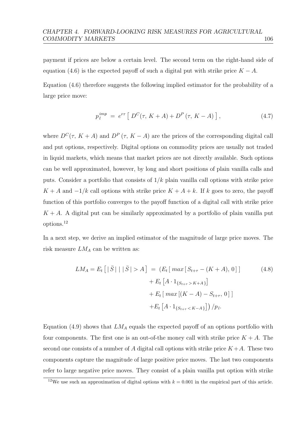payment if prices are below a certain level. The second term on the right-hand side of equation [\(4.6\)](#page-111-2) is the expected payoff of such a digital put with strike price  $K - A$ .

Equation [\(4.6\)](#page-111-2) therefore suggests the following implied estimator for the probability of a large price move:

<span id="page-112-1"></span>
$$
p_l^{imp} = e^{r\tau} [ D^C(\tau, K+A) + D^P(\tau, K-A) ], \qquad (4.7)
$$

where  $D^{C}(\tau, K + A)$  and  $D^{P}(\tau, K - A)$  are the prices of the corresponding digital call and put options, respectively. Digital options on commodity prices are usually not traded in liquid markets, which means that market prices are not directly available. Such options can be well approximated, however, by long and short positions of plain vanilla calls and puts. Consider a portfolio that consists of  $1/k$  plain vanilla call options with strike price  $K + A$  and  $-1/k$  call options with strike price  $K + A + k$ . If k goes to zero, the payoff function of this portfolio converges to the payoff function of a digital call with strike price  $K + A$ . A digital put can be similarly approximated by a portfolio of plain vanilla put options.[12](#page-112-0)

In a next step, we derive an implied estimator of the magnitude of large price moves. The risk measure  $LM_A$  can be written as:

$$
LM_A = E_t [|\bar{S}| | |\bar{S}| > A] = (E_t [max[S_{t+\tau} - (K+A), 0]) + E_t [A \cdot 1_{\{S_{t+\tau} > K+A\}}] + E_t [max[(K-A) - S_{t+\tau}, 0]] + E_t [A \cdot 1_{\{S_{t+\tau} < K-A\}}] ) / p_l.
$$
\n(4.8)

Equation [\(4.9\)](#page-113-0) shows that  $LM_A$  equals the expected payoff of an options portfolio with four components. The first one is an out-of-the money call with strike price  $K + A$ . The second one consists of a number of A digital call options with strike price  $K+A$ . These two components capture the magnitude of large positive price moves. The last two components refer to large negative price moves. They consist of a plain vanilla put option with strike

<span id="page-112-0"></span><sup>&</sup>lt;sup>12</sup>We use such an approximation of digital options with  $k = 0.001$  in the empirical part of this article.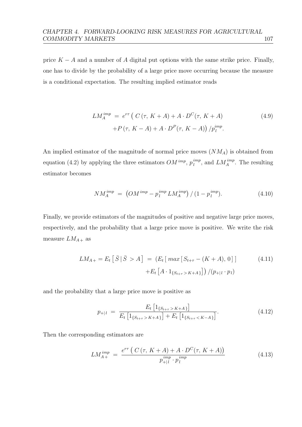price  $K - A$  and a number of A digital put options with the same strike price. Finally, one has to divide by the probability of a large price move occurring because the measure is a conditional expectation. The resulting implied estimator reads

<span id="page-113-0"></span>
$$
LM_A^{imp} = e^{r\tau} \left( C(\tau, K+A) + A \cdot D^C(\tau, K+A) \right)
$$
  
+
$$
P(\tau, K-A) + A \cdot D^P(\tau, K-A) \right) / p_l^{imp}.
$$
 (4.9)

An implied estimator of the magnitude of normal price moves  $(NM_A)$  is obtained from equation [\(4.2\)](#page-104-0) by applying the three estimators  $OM^{imp}$ ,  $p_l^{imp}$  $\binom{imp}{l}$ , and  $LM_A^{imp}$ . The resulting estimator becomes

$$
NM_A^{imp} = \left(OM^{imp} - p_l^{imp} LM_A^{imp}\right) / (1 - p_l^{imp}). \tag{4.10}
$$

Finally, we provide estimators of the magnitudes of positive and negative large price moves, respectively, and the probability that a large price move is positive. We write the risk measure  $LM_{A+}$  as

$$
LM_{A+} = E_t \left[ \bar{S} \, | \, \bar{S} > A \right] = \left( E_t \left[ \, \max \left[ S_{t+\tau} - (K+A), \, 0 \right] \right] \right) \tag{4.11}
$$
\n
$$
+ E_t \left[ A \cdot 1_{\{ S_{t+\tau} > K+A \}} \right] \right) / (p_{+|l} \cdot p_l)
$$

and the probability that a large price move is positive as

$$
p_{+|l} = \frac{E_t \left[ 1_{\{S_{t+\tau} > K + A\}} \right]}{E_t \left[ 1_{\{S_{t+\tau} > K + A\}} \right] + E_t \left[ 1_{\{S_{t+\tau} < K - A\}} \right]}.
$$
(4.12)

Then the corresponding estimators are

$$
LM_{A+}^{imp} = \frac{e^{r\tau} (C(\tau, K+A) + A \cdot D^{C}(\tau, K+A))}{p_{+|l}^{imp} \cdot p_{l}^{imp}} \tag{4.13}
$$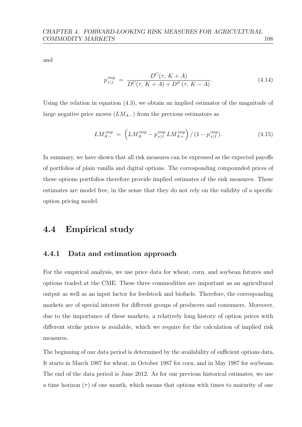and

$$
p_{+|l}^{imp} = \frac{D^{C}(\tau, K+A)}{D^{C}(\tau, K+A) + D^{P}(\tau, K-A)}.
$$
\n(4.14)

Using the relation in equation [\(4.3\)](#page-105-0), we obtain an implied estimator of the magnitude of large negative price moves  $(LM_{A-})$  from the previous estimators as

$$
LM_{A-}^{imp} = \left( LM_A^{imp} - p_{+|l}^{imp} LM_{A+}^{imp} \right) / (1 - p_{+|l}^{imp}). \tag{4.15}
$$

In summary, we have shown that all risk measures can be expressed as the expected payoffs of portfolios of plain vanilla and digital options. The corresponding compounded prices of these options portfolios therefore provide implied estimates of the risk measures. These estimates are model free, in the sense that they do not rely on the validity of a specific option pricing model.

# 4.4 Empirical study

### 4.4.1 Data and estimation approach

For the empirical analysis, we use price data for wheat, corn, and soybean futures and options traded at the CME. These three commodities are important as an agricultural output as well as an input factor for feedstock and biofuels. Therefore, the corresponding markets are of special interest for different groups of producers and consumers. Moreover, due to the importance of these markets, a relatively long history of option prices with different strike prices is available, which we require for the calculation of implied risk measures.

The beginning of our data period is determined by the availability of sufficient options data. It starts in March 1987 for wheat, in October 1987 for corn, and in May 1987 for soybeans. The end of the data period is June 2012. As for our previous historical estimates, we use a time horizon  $(\tau)$  of one month, which means that options with times to maturity of one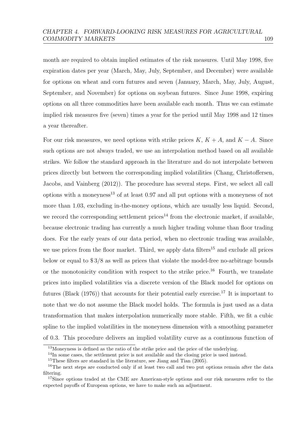month are required to obtain implied estimates of the risk measures. Until May 1998, five expiration dates per year (March, May, July, September, and December) were available for options on wheat and corn futures and seven (January, March, May, July, August, September, and November) for options on soybean futures. Since June 1998, expiring options on all three commodities have been available each month. Thus we can estimate implied risk measures five (seven) times a year for the period until May 1998 and 12 times a year thereafter.

For our risk measures, we need options with strike prices K,  $K + A$ , and  $K - A$ . Since such options are not always traded, we use an interpolation method based on all available strikes. We follow the standard approach in the literature and do not interpolate between prices directly but between the corresponding implied volatilities [\(Chang, Christoffersen,](#page-152-0) [Jacobs, and Vainberg](#page-152-0) [\(2012\)](#page-152-0)). The procedure has several steps. First, we select all call options with a moneyness<sup>[13](#page-115-0)</sup> of at least  $0.97$  and all put options with a moneyness of not more than 1.03, excluding in-the-money options, which are usually less liquid. Second, we record the corresponding settlement prices<sup>[14](#page-115-1)</sup> from the electronic market, if available, because electronic trading has currently a much higher trading volume than floor trading does. For the early years of our data period, when no electronic trading was available, we use prices from the floor market. Third, we apply data filters<sup>[15](#page-115-2)</sup> and exclude all prices below or equal to \$ 3/8 as well as prices that violate the model-free no-arbitrage bounds or the monotonicity condition with respect to the strike price.<sup>[16](#page-115-3)</sup> Fourth, we translate prices into implied volatilities via a discrete version of the Black model for options on futures [\(Black](#page-150-1)  $(1976)$ ) that accounts for their potential early exercise.<sup>[17](#page-115-4)</sup> It is important to note that we do not assume the Black model holds. The formula is just used as a data transformation that makes interpolation numerically more stable. Fifth, we fit a cubic spline to the implied volatilities in the moneyness dimension with a smoothing parameter of 0.3. This procedure delivers an implied volatility curve as a continuous function of

<span id="page-115-0"></span><sup>13</sup>Moneyness is defined as the ratio of the strike price and the price of the underlying.

<span id="page-115-1"></span><sup>&</sup>lt;sup>14</sup>In some cases, the settlement price is not available and the closing price is used instead.

<span id="page-115-3"></span><span id="page-115-2"></span><sup>15</sup>These filters are standard in the literature, see [Jiang and Tian](#page-156-0) [\(2005\)](#page-156-0).

<sup>&</sup>lt;sup>16</sup>The next steps are conducted only if at least two call and two put options remain after the data filtering.

<span id="page-115-4"></span><sup>&</sup>lt;sup>17</sup>Since options traded at the CME are American-style options and our risk measures refer to the expected payoffs of European options, we have to make such an adjustment.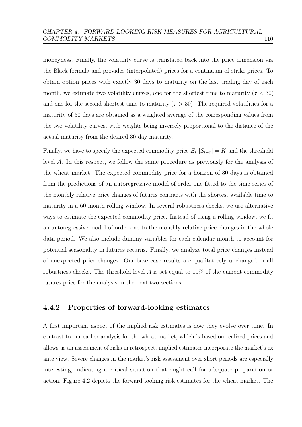moneyness. Finally, the volatility curve is translated back into the price dimension via the Black formula and provides (interpolated) prices for a continuum of strike prices. To obtain option prices with exactly 30 days to maturity on the last trading day of each month, we estimate two volatility curves, one for the shortest time to maturity ( $\tau < 30$ ) and one for the second shortest time to maturity  $(\tau > 30)$ . The required volatilities for a maturity of 30 days are obtained as a weighted average of the corresponding values from the two volatility curves, with weights being inversely proportional to the distance of the actual maturity from the desired 30-day maturity.

Finally, we have to specify the expected commodity price  $E_t$   $[S_{t+\tau}] = K$  and the threshold level A. In this respect, we follow the same procedure as previously for the analysis of the wheat market. The expected commodity price for a horizon of 30 days is obtained from the predictions of an autoregressive model of order one fitted to the time series of the monthly relative price changes of futures contracts with the shortest available time to maturity in a 60-month rolling window. In several robustness checks, we use alternative ways to estimate the expected commodity price. Instead of using a rolling window, we fit an autoregressive model of order one to the monthly relative price changes in the whole data period. We also include dummy variables for each calendar month to account for potential seasonality in futures returns. Finally, we analyze total price changes instead of unexpected price changes. Our base case results are qualitatively unchanged in all robustness checks. The threshold level  $A$  is set equal to 10% of the current commodity futures price for the analysis in the next two sections.

### 4.4.2 Properties of forward-looking estimates

A first important aspect of the implied risk estimates is how they evolve over time. In contrast to our earlier analysis for the wheat market, which is based on realized prices and allows us an assessment of risks in retrospect, implied estimates incorporate the market's ex ante view. Severe changes in the market's risk assessment over short periods are especially interesting, indicating a critical situation that might call for adequate preparation or action. Figure [4.2](#page-117-0) depicts the forward-looking risk estimates for the wheat market. The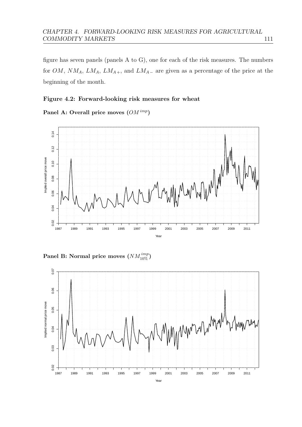figure has seven panels (panels A to G), one for each of the risk measures. The numbers for  $OM$ ,  $NM_A$ ,  $LM_A$ ,  $LM_{A+}$ , and  $LM_{A-}$  are given as a percentage of the price at the beginning of the month.

#### <span id="page-117-0"></span>Figure 4.2: Forward-looking risk measures for wheat

Panel A: Overall price moves  $(OM^{imp})$ 



Panel B: Normal price moves  $(NM^{imp}_{10\%})$ 

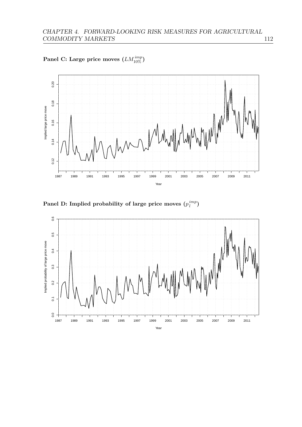Panel C: Large price moves  $(LM^{imp}_{10\%})$ 



Panel D: Implied probability of large price moves  $(p_l^{imp})$  $_{l}^{imp})$ 

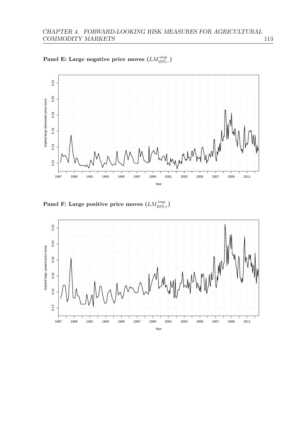

Panel E: Large negative price moves  $(LM^{imp}_{10\% -})$ 



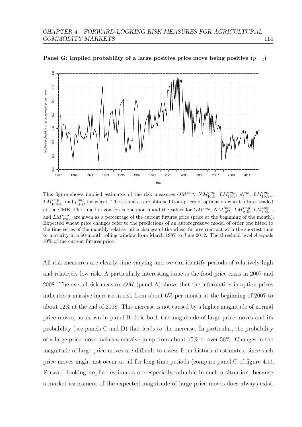

Panel G: Implied probability of a large positive price move being positive  $(p_{+|l})$ 

This figure shows implied estimates of the risk measures  $OM^{imp}$ ,  $NM^{imp}_{10\%}$ ,  $LM^{imp}_{10\%}$ ,  $p^{imp}_{l}$ ,  $LM^{imp}_{10\%}$ ,  $LM_{10\%+}^{imp}$ , and  $p_{+\mid i}^{imp}$  $\binom{imp}{l}$  for wheat. The estimates are obtained from prices of options on wheat futures traded at the CME. The time horizon ( $\tau$ ) is one month and the values for  $OM^{imp}$ ,  $NM^{imp}_{10\%}$ ,  $LM^{imp}_{10\%}$ ,  $LM^{imp}_{10\%}$ . and  $LM_{10\%+}^{imp}$  are given as a percentage of the current futures price (price at the beginning of the month). Expected wheat price changes refer to the predictions of an autoregressive model of order one fitted to the time series of the monthly relative price changes of the wheat futures contract with the shortest time to maturity in a 60-month rolling window from March 1987 to June 2012. The threshold level A equals 10% of the current futures price.

All risk measures are clearly time varying and we can identify periods of relatively high and relatively low risk. A particularly interesting issue is the food price crisis in 2007 and 2008. The overall risk measure  $OM$  (panel A) shows that the information in option prices indicates a massive increase in risk from about 6% per month at the beginning of 2007 to about 12% at the end of 2008. This increase is not caused by a higher magnitude of normal price moves, as shown in panel B. It is both the magnitude of large price moves and its probability (see panels C and D) that leads to the increase. In particular, the probability of a large price move makes a massive jump from about 15% to over 50%. Changes in the magnitude of large price moves are difficult to assess from historical estimates, since such price moves might not occur at all for long time periods (compare panel C of figure [4.1\)](#page-106-0). Forward-looking implied estimates are especially valuable in such a situation, because a market assessment of the expected magnitude of large price moves does always exist,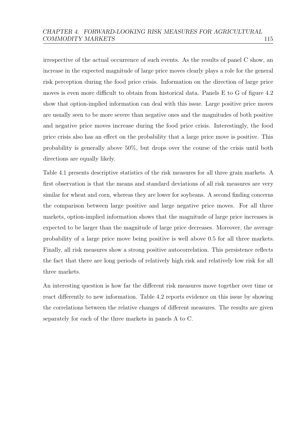irrespective of the actual occurrence of such events. As the results of panel C show, an increase in the expected magnitude of large price moves clearly plays a role for the general risk perception during the food price crisis. Information on the direction of large price moves is even more difficult to obtain from historical data. Panels E to G of figure [4.2](#page-117-0) show that option-implied information can deal with this issue. Large positive price moves are usually seen to be more severe than negative ones and the magnitudes of both positive and negative price moves increase during the food price crisis. Interestingly, the food price crisis also has an effect on the probability that a large price move is positive. This probability is generally above 50%, but drops over the course of the crisis until both directions are equally likely.

Table [4.1](#page-122-0) presents descriptive statistics of the risk measures for all three grain markets. A first observation is that the means and standard deviations of all risk measures are very similar for wheat and corn, whereas they are lower for soybeans. A second finding concerns the comparison between large positive and large negative price moves. For all three markets, option-implied information shows that the magnitude of large price increases is expected to be larger than the magnitude of large price decreases. Moreover, the average probability of a large price move being positive is well above 0.5 for all three markets. Finally, all risk measures show a strong positive autocorrelation. This persistence reflects the fact that there are long periods of relatively high risk and relatively low risk for all three markets.

An interesting question is how far the different risk measures move together over time or react differently to new information. Table [4.2](#page-123-0) reports evidence on this issue by showing the correlations between the relative changes of different measures. The results are given separately for each of the three markets in panels A to C.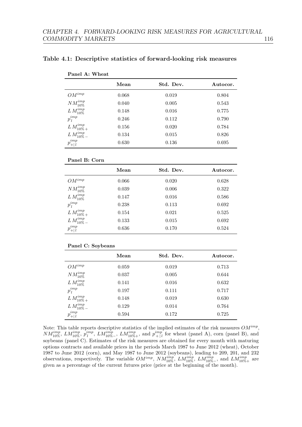|                    | Mean  | Std. Dev. | Autocor. |
|--------------------|-------|-----------|----------|
| $OM^{imp}$         | 0.068 | 0.019     | 0.804    |
| $NM^{imp}_{10\%}$  | 0.040 | 0.005     | 0.543    |
| $L M^{imp}_{10\%}$ | 0.148 | 0.016     | 0.775    |
| $p_l^{imp}$        | 0.246 | 0.112     | 0.790    |
| $L M^{imp}_{10\%}$ | 0.156 | 0.020     | 0.784    |
| $L M^{imp}_{10\%}$ | 0.134 | 0.015     | 0.826    |
| $p_{+ l}^{imp}$    | 0.630 | 0.136     | 0.695    |
|                    |       |           |          |

#### <span id="page-122-0"></span>Table 4.1: Descriptive statistics of forward-looking risk measures

#### Panel B: Corn

Panel A: Wheat

|                      | Mean  | Std. Dev. | Autocor. |
|----------------------|-------|-----------|----------|
| $OM^{imp}$           | 0.066 | 0.020     | 0.628    |
| $NM^{imp}_{10\%}$    | 0.039 | 0.006     | 0.322    |
| $L M^{imp}_{10\%}$   | 0.147 | 0.016     | 0.586    |
| $p^{imp}_l$          | 0.238 | 0.113     | 0.692    |
| $L M_{10\%}^{imp}$   | 0.154 | 0.021     | 0.525    |
| $L M_{10\%}^{imp}$   | 0.133 | 0.015     | 0.692    |
| $p_{+\mid\,l}^{imp}$ | 0.636 | 0.170     | 0.524    |

#### Panel C: Soybeans

|                    | Mean  | Std. Dev. | Autocor. |
|--------------------|-------|-----------|----------|
| $OM^{imp}$         | 0.059 | 0.019     | 0.713    |
| $NM^{imp}_{10\%}$  | 0.037 | 0.005     | 0.644    |
| $L M^{imp}_{10\%}$ | 0.141 | 0.016     | 0.632    |
| $p^{imp}_l$        | 0.197 | 0.111     | 0.717    |
| $L M_{10\%}^{imp}$ | 0.148 | 0.019     | 0.630    |
| $L M_{10\%}^{imp}$ | 0.129 | 0.014     | 0.764    |
| $p_{+ l}^{imp}$    | 0.594 | 0.172     | 0.725    |

Note: This table reports descriptive statistics of the implied estimates of the risk measures  $OM^{imp}$ ,  $NM_{10\%}^{imp},\,LM_{10\%}^{imp},\,p_{l}^{imp},\,LM_{10\%-}^{imp},\,LM_{10\%+}^{imp},\,$  and  $p_{+|l}^{imp}$  $\binom{imp}{+|l}$  for wheat (panel A), corn (panel B), and soybeans (panel C). Estimates of the risk measures are obtained for every month with maturing options contracts and available prices in the periods March 1987 to June 2012 (wheat), October 1987 to June 2012 (corn), and May 1987 to June 2012 (soybeans), leading to 209, 201, and 232 observations, respectively. The variable  $OM^{imp}$ ,  $NM^{imp}_{10\%}$ ,  $LM^{imp}_{10\%}$ ,  $LM^{imp}_{10\%}$ , and  $LM^{imp}_{10\%+}$  are given as a percentage of the current futures price (price at the beginning of the month).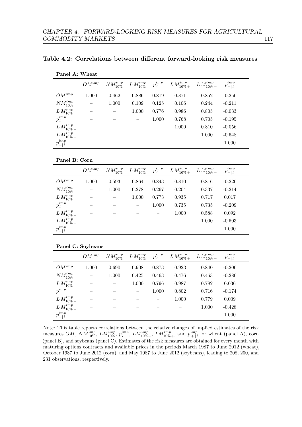|                      | $OM^{imp}$ | $NM^{imp}_{10\%}$ | $LM_{10\%}^{imp}$ | $p_l^{imp}$ | $LM_{10\%}^{imp}$ | $L M^{imp}_{10\%}$ | $p_{+ l}^{imp}$ |
|----------------------|------------|-------------------|-------------------|-------------|-------------------|--------------------|-----------------|
| $OM^{imp}$           | 1.000      | 0.462             | 0.886             | 0.819       | 0.871             | 0.852              | $-0.256$        |
| $NM^{imp}_{10\%}$    |            | 1.000             | 0.109             | 0.125       | 0.106             | 0.244              | $-0.211$        |
| $LM_{10\%}^{imp}$    |            |                   | 1.000             | 0.776       | 0.986             | 0.805              | $-0.033$        |
| $p_l^{imp}$          |            |                   |                   | 1.000       | 0.768             | 0.705              | $-0.195$        |
| $LM_{10\%}^{imp}$    |            |                   |                   |             | 1.000             | 0.810              | $-0.056$        |
| $LM_{10\%}^{imp}$    |            |                   |                   |             |                   | 1.000              | $-0.548$        |
| $p_{+\mid\,l}^{imp}$ |            |                   |                   |             |                   |                    | 1.000           |

<span id="page-123-0"></span>

|  | Table 4.2: Correlations between different forward-looking risk measures |  |  |  |  |  |  |
|--|-------------------------------------------------------------------------|--|--|--|--|--|--|
|--|-------------------------------------------------------------------------|--|--|--|--|--|--|

#### Panel B: Corn

Panel A: Wheat

|                      | $OM^{imp}$               | $NM^{imp}_{10\%}$ | $LM_{10\%}^{imp}$ | $p^{imp}_{l}$ | $LM_{10\%}^{imp}$ | $L M^{imp}_{10\%}$ | $\mu^2$<br>$p_{+ l}^{m}$ |
|----------------------|--------------------------|-------------------|-------------------|---------------|-------------------|--------------------|--------------------------|
| $OM^{imp}$           | 1.000                    | 0.593             | 0.864             | 0.843         | 0.810             | 0.816              | $-0.226$                 |
| $NM^{imp}_{10\%}$    |                          | 1.000             | 0.278             | 0.267         | 0.204             | 0.337              | $-0.214$                 |
| $LM_{10\%}^{imp}$    |                          |                   | 1.000             | 0.773         | 0.935             | 0.717              | 0.017                    |
| $p_l^{imp}$          |                          |                   | -                 | 1.000         | 0.735             | 0.735              | $-0.209$                 |
| $LM_{10\%}^{imp}$    |                          |                   |                   |               | 1.000             | 0.588              | 0.092                    |
| $LM_{10\%}^{imp}$    |                          |                   |                   |               |                   | 1.000              | $-0.503$                 |
| $p_{+\mid\,l}^{imp}$ | $\overline{\phantom{a}}$ |                   |                   |               |                   |                    | 1.000                    |

#### Panel C: Soybeans

|                            | $OM^{imp}$               | $NM^{imp}_{10\%}$ | $L M^{imp}_{10\%}$       | $p_l^{imp}$ | $LM_{10\%}^{imp}$ | $L M^{imp}_{10\%}$ | $p_{+ l}^{imp}$ |
|----------------------------|--------------------------|-------------------|--------------------------|-------------|-------------------|--------------------|-----------------|
| $OM^{imp}$                 | 1.000                    | 0.690             | 0.908                    | 0.873       | 0.923             | 0.840              | $-0.206$        |
| $NM^{imp}_{\cdots}$<br>10% | $\overline{\phantom{a}}$ | 1.000             | 0.425                    | 0.463       | 0.476             | 0.463              | $-0.286$        |
| $LM_{10\%}^{imp}$          | -                        | -                 | 1.000                    | 0.796       | 0.987             | 0.782              | 0.036           |
| $p_l^{imp}$                |                          |                   | $\overline{\phantom{a}}$ | 1.000       | 0.802             | 0.716              | $-0.174$        |
| $LM_{10\%}^{imp}$          | $\overline{\phantom{a}}$ |                   |                          | --          | 1.000             | 0.779              | 0.009           |
| $L\,M^{imp}_{10\%\,-}$     |                          |                   |                          |             |                   | 1.000              | $-0.428$        |
| $\mu$<br>$p_{+ l}^{m}$     | $\overline{\phantom{a}}$ |                   |                          |             |                   | _                  | 1.000           |

Note: This table reports correlations between the relative changes of implied estimates of the risk measures OM,  $NM_{10\%}^{imp}$ ,  $LM_{10\%}^{imp}$ ,  $p_l^{imp}$ ,  $LM_{10\%-}^{imp}$ ,  $LM_{10\%+}^{imp}$ , and  $p_{+|}^{imp}$  $\binom{imp}{+|l}$  for wheat (panel A), corn (panel B), and soybeans (panel C). Estimates of the risk measures are obtained for every month with maturing options contracts and available prices in the periods March 1987 to June 2012 (wheat), October 1987 to June 2012 (corn), and May 1987 to June 2012 (soybeans), leading to 208, 200, and 231 observations, respectively.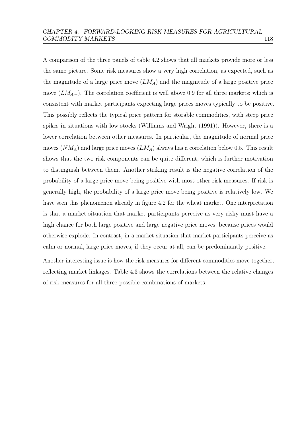A comparison of the three panels of table [4.2](#page-123-0) shows that all markets provide more or less the same picture. Some risk measures show a very high correlation, as expected, such as the magnitude of a large price move  $(LM_A)$  and the magnitude of a large positive price move  $(LM_{A+})$ . The correlation coefficient is well above 0.9 for all three markets; which is consistent with market participants expecting large prices moves typically to be positive. This possibly reflects the typical price pattern for storable commodities, with steep price spikes in situations with low stocks [\(Williams and Wright](#page-160-0) [\(1991\)](#page-160-0)). However, there is a lower correlation between other measures. In particular, the magnitude of normal price moves  $(NM_A)$  and large price moves  $(LM_A)$  always has a correlation below 0.5. This result shows that the two risk components can be quite different, which is further motivation to distinguish between them. Another striking result is the negative correlation of the probability of a large price move being positive with most other risk measures. If risk is generally high, the probability of a large price move being positive is relatively low. We have seen this phenomenon already in figure [4.2](#page-117-0) for the wheat market. One interpretation is that a market situation that market participants perceive as very risky must have a high chance for both large positive and large negative price moves, because prices would otherwise explode. In contrast, in a market situation that market participants perceive as calm or normal, large price moves, if they occur at all, can be predominantly positive.

Another interesting issue is how the risk measures for different commodities move together, reflecting market linkages. Table [4.3](#page-125-0) shows the correlations between the relative changes of risk measures for all three possible combinations of markets.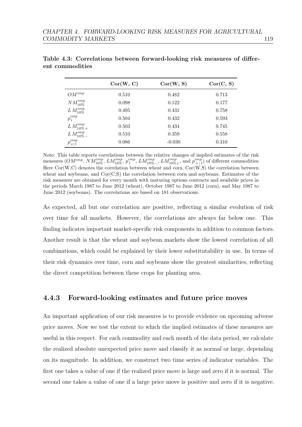|                    | Cor(W, C) | Cor(W, S) | Cor(C, S) |
|--------------------|-----------|-----------|-----------|
| $OM^{imp}$         | 0.510     | 0.482     | 0.713     |
| $NM^{imp}_{10\%}$  | 0.098     | 0.122     | 0.177     |
| $L M^{imp}_{10\%}$ | 0.495     | 0.431     | 0.758     |
| $p_l^{imp}$        | 0.504     | 0.432     | 0.593     |
| $L M_{10\%}^{imp}$ | 0.503     | 0.434     | 0.745     |
| $L M^{imp}_{10\%}$ | 0.510     | 0.359     | 0.558     |
| $p_{+ l}^{imp}$    | 0.086     | $-0.030$  | 0.310     |

<span id="page-125-0"></span>Table 4.3: Correlations between forward-looking risk measures of different commodities

Note: This table reports correlations between the relative changes of implied estimates of the risk measures  $(OM^{imp}, NM^{imp}_{10\%}, LM^{imp}_{10\%}, p^{imp}_{l}, LM^{imp}_{10\%}, LM^{imp}_{10\%}$ , and  $p^{imp}_{+|l}$  $\binom{imp}{+|l}$  of different commodities. Here  $Cor(W, C)$  denotes the correlation between wheat and corn,  $Cor(W, S)$  the correlation between wheat and soybeans, and  $Cor(C, S)$  the correlation between corn and soybeans. Estimates of the risk measures are obtained for every month with maturing options contracts and available prices in the periods March 1987 to June 2012 (wheat), October 1987 to June 2012 (corn), and May 1987 to June 2012 (soybeans). The correlations are based on 181 observations.

As expected, all but one correlation are positive, reflecting a similar evolution of risk over time for all markets. However, the correlations are always far below one. This finding indicates important market-specific risk components in addition to common factors. Another result is that the wheat and soybean markets show the lowest correlation of all combinations, which could be explained by their lower substitutability in use. In terms of their risk dynamics over time, corn and soybeans show the greatest similarities, reflecting the direct competition between these crops for planting area.

### 4.4.3 Forward-looking estimates and future price moves

An important application of our risk measures is to provide evidence on upcoming adverse price moves. Now we test the extent to which the implied estimates of these measures are useful in this respect. For each commodity and each month of the data period, we calculate the realized absolute unexpected price move and classify it as normal or large, depending on its magnitude. In addition, we construct two time series of indicator variables. The first one takes a value of one if the realized price move is large and zero if it is normal. The second one takes a value of one if a large price move is positive and zero if it is negative.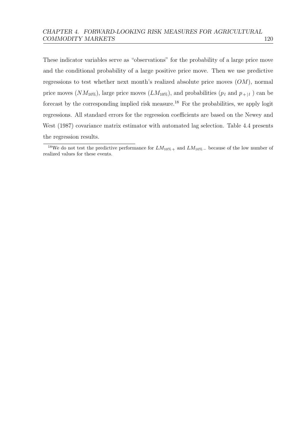These indicator variables serve as "observations" for the probability of a large price move and the conditional probability of a large positive price move. Then we use predictive regressions to test whether next month's realized absolute price moves  $(OM)$ , normal price moves  $(NM_{10\%})$ , large price moves  $(LM_{10\%})$ , and probabilities  $(p_l$  and  $p_{+|l}$ ) can be forecast by the corresponding implied risk measure.[18](#page-126-0) For the probabilities, we apply logit regressions. All standard errors for the regression coefficients are based on the [Newey and](#page-158-1) [West](#page-158-1) [\(1987\)](#page-158-1) covariance matrix estimator with automated lag selection. Table [4.4](#page-127-0) presents the regression results.

<span id="page-126-0"></span><sup>&</sup>lt;sup>18</sup>We do not test the predictive performance for  $LM_{10\%}$  + and  $LM_{10\%}$  – because of the low number of realized values for these events.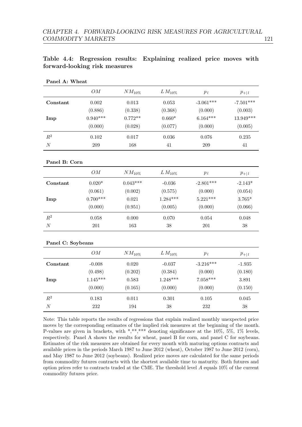<span id="page-127-0"></span>

| Table 4.4: Regression results: Explaining realized price moves with |  |  |  |
|---------------------------------------------------------------------|--|--|--|
| forward-looking risk measures                                       |  |  |  |

| Panel A: Wheat    |                    |             |              |             |             |
|-------------------|--------------------|-------------|--------------|-------------|-------------|
|                   | ${\cal O}{\cal M}$ | $NM_{10\%}$ | $L M_{10\%}$ | $p_{\,l}$   | $p_{+ l}$   |
| Constant          | $\,0.002\,$        | $\,0.013\,$ | $\,0.053\,$  | $-3.061***$ | $-7.501***$ |
|                   | (0.886)            | (0.338)     | (0.368)      | (0.000)     | (0.003)     |
| Imp               | $0.940***$         | $0.772**$   | $0.660*$     | $6.164***$  | $13.949***$ |
|                   | (0.000)            | (0.028)     | (0.077)      | (0.000)     | (0.005)     |
| $\mathbb{R}^2$    | 0.102              | 0.017       | $0.036\,$    | 0.076       | 0.235       |
| $\cal N$          | 209                | 168         | 41           | 209         | $41\,$      |
|                   |                    |             |              |             |             |
| Panel B: Corn     |                    |             |              |             |             |
|                   | ${\cal O}{\cal M}$ | $NM_{10\%}$ | $L M_{10\%}$ | $p_{\,l}$   | $p_{+ l}$   |
| Constant          | $0.020*$           | $0.043***$  | $-0.036$     | $-2.801***$ | $-2.143*$   |
|                   | (0.061)            | (0.002)     | (0.575)      | (0.000)     | (0.054)     |
| Imp               | $0.700***$         | 0.021       | $1.284***$   | $5.221***$  | $3.765*$    |
|                   | (0.000)            | (0.951)     | (0.005)      | (0.000)     | (0.066)     |
| $\mathbb{R}^2$    | 0.058              | 0.000       | 0.070        | 0.054       | 0.048       |
| $\cal N$          | $201\,$            | 163         | $38\,$       | $201\,$     | $38\,$      |
| Panel C: Soybeans |                    |             |              |             |             |
|                   | ${\cal O}{\cal M}$ | $NM_{10\%}$ | $L M_{10\%}$ | $p_{\,l}$   | $p_{+ l}$   |
| Constant          | $-0.008$           | 0.020       | $-0.037$     | $-3.216***$ | $-1.935$    |
|                   | (0.498)            | (0.202)     | (0.384)      | (0.000)     | (0.180)     |
| Imp               | $1.145***$         | 0.583       | $1.248***$   | $7.058***$  | 3.891       |
|                   | (0.000)            | (0.165)     | (0.000)      | (0.000)     | (0.150)     |
| $\mathbb{R}^2$    | 0.183              | 0.011       | $0.301\,$    | $0.105\,$   | 0.045       |
| $\cal N$          | $232\,$            | 194         | $38\,$       | 232         | $38\,$      |

#### Note: This table reports the results of regressions that explain realized monthly unexpected price moves by the corresponding estimates of the implied risk measures at the beginning of the month. P-values are given in brackets, with \*,\*\*,\*\*\* denoting significance at the 10%, 5%, 1% levels, respectively. Panel A shows the results for wheat, panel B for corn, and panel C for soybeans. Estimates of the risk measures are obtained for every month with maturing options contracts and available prices in the periods March 1987 to June 2012 (wheat), October 1987 to June 2012 (corn), and May 1987 to June 2012 (soybeans). Realized price moves are calculated for the same periods from commodity futures contracts with the shortest available time to maturity. Both futures and option prices refer to contracts traded at the CME. The threshold level A equals 10% of the current commodity futures price.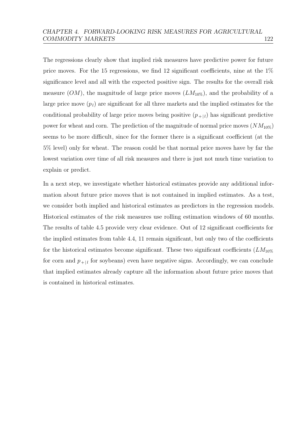The regressions clearly show that implied risk measures have predictive power for future price moves. For the 15 regressions, we find 12 significant coefficients, nine at the  $1\%$ significance level and all with the expected positive sign. The results for the overall risk measure  $(OM)$ , the magnitude of large price moves  $(LM_{10\%})$ , and the probability of a large price move  $(p_l)$  are significant for all three markets and the implied estimates for the conditional probability of large price moves being positive  $(p_{+|l})$  has significant predictive power for wheat and corn. The prediction of the magnitude of normal price moves  $(NM_{10\%})$ seems to be more difficult, since for the former there is a significant coefficient (at the 5% level) only for wheat. The reason could be that normal price moves have by far the lowest variation over time of all risk measures and there is just not much time variation to explain or predict.

In a next step, we investigate whether historical estimates provide any additional information about future price moves that is not contained in implied estimates. As a test, we consider both implied and historical estimates as predictors in the regression models. Historical estimates of the risk measures use rolling estimation windows of 60 months. The results of table [4.5](#page-129-0) provide very clear evidence. Out of 12 significant coefficients for the implied estimates from table [4.4,](#page-127-0) 11 remain significant, but only two of the coefficients for the historical estimates become significant. These two significant coefficients  $(LM_{10\%})$ for corn and  $p_{+|l}$  for soybeans) even have negative signs. Accordingly, we can conclude that implied estimates already capture all the information about future price moves that is contained in historical estimates.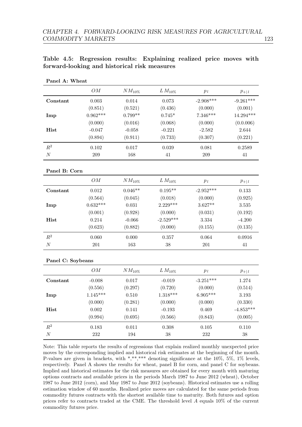| Panel A: Wheat    |                    |             |              |             |             |
|-------------------|--------------------|-------------|--------------|-------------|-------------|
|                   | OM                 | $NM_{10\%}$ | $LM_{10\%}$  | $p_l$       | $p_{+ l}$   |
| Constant          | 0.003              | $0.014\,$   | $0.073\,$    | $-2.908***$ | $-9.261***$ |
|                   | (0.851)            | (0.521)     | (0.436)      | (0.000)     | (0.001)     |
| Imp               | $0.962***$         | $0.799**$   | $0.745*$     | $7.346***$  | $14.294***$ |
|                   | (0.000)            | (0.016)     | (0.068)      | (0.000)     | (0.0.006)   |
| Hist              | $-0.047$           | $-0.058$    | $-0.221$     | $-2.582$    | 2.644       |
|                   | (0.894)            | (0.911)     | (0.733)      | (0.307)     | (0.221)     |
| $\mathbb{R}^2$    | $0.102\,$          | 0.017       | 0.039        | 0.081       | 0.2589      |
| $\cal N$          | 209                | 168         | $41\,$       | $\,209$     | $41\,$      |
| Panel B: Corn     |                    |             |              |             |             |
|                   | ${\cal OM}$        | $NM_{10\%}$ | $LM_{10\%}$  | $p_l$       | $p_{+ l}$   |
| Constant          | 0.012              | $0.046**$   | $0.195**$    | $-2.952***$ | 0.133       |
|                   | (0.564)            | (0.045)     | (0.018)      | (0.000)     | (0.925)     |
| Imp               | $0.632***$         | 0.031       | $2.229***$   | $3.627**$   | $3.535\,$   |
|                   | (0.001)            | (0.928)     | (0.000)      | (0.031)     | (0.192)     |
| Hist              | $0.214\,$          | $-0.066$    | $-2.529***$  | $3.334\,$   | $-4.200$    |
|                   | (0.623)            | (0.882)     | (0.000)      | (0.155)     | (0.135)     |
| $R^2$             | 0.060              | 0.000       | 0.357        | 0.064       | 0.0916      |
| $\cal N$          | $201\,$            | 163         | 38           | $201\,$     | 41          |
| Panel C: Soybeans |                    |             |              |             |             |
|                   | ${\cal O}{\cal M}$ | $NM_{10\%}$ | $L M_{10\%}$ | $p_{\,l}$   | $p_{+ l}$   |
| Constant          | $-0.008$           | 0.017       | $-0.019$     | $-3.251***$ | 1.274       |
|                   | (0.556)            | (0.297)     | (0.720)      | (0.000)     | (0.514)     |
| Imp               | $1.145***$         | 0.510       | $1.318***$   | $6.905***$  | $3.193\,$   |
|                   | (0.000)            | (0.281)     | (0.000)      | (0.000)     | (0.330)     |
| <b>Hist</b>       | $0.002\,$          | $0.141\,$   | $-0.193$     | 0.469       | $-4.853***$ |
|                   | (0.994)            | (0.695)     | (0.566)      | (0.843)     | (0.005)     |
| $\mathbb{R}^2$    | 0.183              | 0.011       | 0.308        | 0.105       | $0.110\,$   |
| $\cal N$          | $232\,$            | 194         | $38\,$       | $232\,$     | $38\,$      |

### <span id="page-129-0"></span>Table 4.5: Regression results: Explaining realized price moves with forward-looking and historical risk measures

Note: This table reports the results of regressions that explain realized monthly unexpected price moves by the corresponding implied and historical risk estimates at the beginning of the month. P-values are given in brackets, with \*,\*\*,\*\*\* denoting significance at the 10%, 5%, 1% levels, respectively. Panel A shows the results for wheat, panel B for corn, and panel C for soybeans. Implied and historical estimates for the risk measures are obtained for every month with maturing options contracts and available prices in the periods March 1987 to June 2012 (wheat), October 1987 to June 2012 (corn), and May 1987 to June 2012 (soybeans). Historical estimates use a rolling estimation window of 60 months. Realized price moves are calculated for the same periods from commodity futures contracts with the shortest available time to maturity. Both futures and option prices refer to contracts traded at the CME. The threshold level A equals 10% of the current commodity futures price.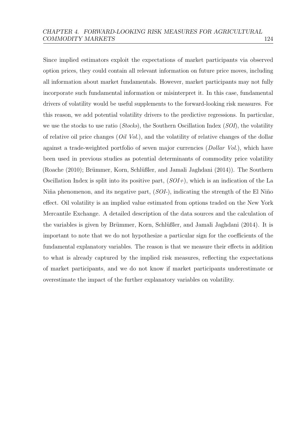Since implied estimators exploit the expectations of market participants via observed option prices, they could contain all relevant information on future price moves, including all information about market fundamentals. However, market participants may not fully incorporate such fundamental information or misinterpret it. In this case, fundamental drivers of volatility would be useful supplements to the forward-looking risk measures. For this reason, we add potential volatility drivers to the predictive regressions. In particular, we use the stocks to use ratio (Stocks), the Southern Oscillation Index (SOI), the volatility of relative oil price changes  $(Oil Vol.)$ , and the volatility of relative changes of the dollar against a trade-weighted portfolio of seven major currencies (*Dollar Vol.*), which have been used in previous studies as potential determinants of commodity price volatility [\(Roache](#page-159-0) [\(2010\)](#page-159-0); Brümmer, Korn, Schlüßler, and Jamali Jaghdani [\(2014\)](#page-152-1)). The Southern Oscillation Index is split into its positive part,  $(SOI<sub>+</sub>)$ , which is an indication of the La Niña phenomenon, and its negative part,  $(SOI-)$ , indicating the strength of the El Niño effect. Oil volatility is an implied value estimated from options traded on the New York Mercantile Exchange. A detailed description of the data sources and the calculation of the variables is given by Brümmer, Korn, Schlüßler, and Jamali Jaghdani [\(2014\)](#page-152-1). It is important to note that we do not hypothesize a particular sign for the coefficients of the fundamental explanatory variables. The reason is that we measure their effects in addition to what is already captured by the implied risk measures, reflecting the expectations of market participants, and we do not know if market participants underestimate or overestimate the impact of the further explanatory variables on volatility.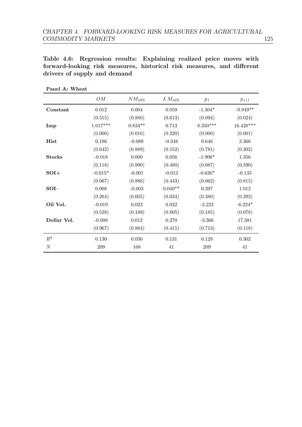<span id="page-131-0"></span>Table 4.6: Regression results: Explaining realized price moves with forward-looking risk measures, historical risk measures, and different drivers of supply and demand

|               | OM         | $NM_{10\%}$ | $L M_{10\%}$ | $p_l$      | $p_{+ l}$  |
|---------------|------------|-------------|--------------|------------|------------|
| Constant      | 0.012      | 0.004       | 0.059        | $-1.304*$  | $-9.949**$ |
|               | (0.515)    | (0.880)     | (0.613)      | (0.094)    | (0.024)    |
| Imp           | $1.017***$ | $0.834**$   | 0.713        | $8.350***$ | 16.428***  |
|               | (0.000)    | (0.016)     | (0.220)      | (0.000)    | (0.001)    |
| Hist          | 0.186      | $-0.089$    | $-0.348$     | 0.648      | 3.366      |
|               | (0.642)    | (0.889)     | (0.552)      | (0.781)    | (0.302)    |
| <b>Stocks</b> | $-0.018$   | 0.000       | 0.056        | $-1.906*$  | 1.356      |
|               | (0.118)    | (0.990)     | (0.480)      | (0.087)    | (0.590)    |
| $SOI+$        | $-0.015*$  | $-0.001$    | $-0.013$     | $-0.626*$  | $-0.135$   |
|               | (0.067)    | (0.886)     | (0.443)      | (0.062)    | (0.815)    |
| $SOI-$        | 0.008      | $-0.003$    | $0.040**$    | 0.397      | 1.012      |
|               | (0.264)    | (0.605)     | (0.034)      | (0.380)    | (0.393)    |
| Oil Vol.      | $-0.019$   | 0.023       | 0.022        | $-2.222$   | $-6.224*$  |
|               | (0.528)    | (0.189)     | (0.805)      | (0.185)    | (0.078)    |
| Dollar Vol.   | $-0.008$   | 0.012       | 0.270        | $-3.366$   | 17.381     |
|               | (0.967)    | (0.884)     | (0.415)      | (0.713)    | (0.118)    |
| $R^2$         | 0.130      | 0.030       | 0.131        | 0.129      | 0.302      |
| $\cal N$      | 209        | 168         | 41           | 209        | 41         |

Panel A: Wheat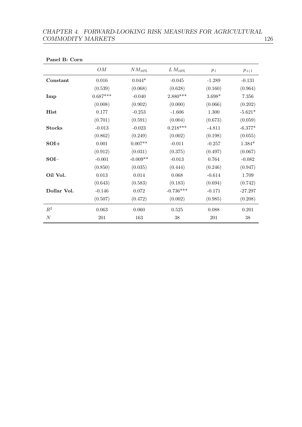## CHAPTER 4. FORWARD-LOOKING RISK MEASURES FOR AGRICULTURAL COMMODITY MARKETS 126

| OM         | $NM_{10\%}$ | $L M_{10\%}$ | $p_l$    | $p_{+ l}$ |
|------------|-------------|--------------|----------|-----------|
| $0.016\,$  | $0.044*$    | $-0.045$     | $-1.289$ | $-0.131$  |
| (0.539)    | (0.068)     | (0.628)      | (0.160)  | (0.964)   |
| $0.687***$ | $-0.040$    | $2.880***$   | $3.698*$ | 7.356     |
| (0.008)    | (0.902)     | (0.000)      | (0.066)  | (0.202)   |
| 0.177      | $-0.253$    | $-1.606$     | 1.300    | $-5.621*$ |
| (0.701)    | (0.591)     | (0.004)      | (0.673)  | (0.059)   |
| $-0.013$   | $-0.023$    | $0.218***$   | $-4.811$ | $-6.377*$ |
| (0.862)    | (0.249)     | (0.002)      | (0.198)  | (0.055)   |
| $0.001\,$  | $0.007**$   | $-0.011$     | $-0.257$ | $1.384*$  |
| (0.912)    | (0.031)     | (0.375)      | (0.497)  | (0.067)   |
| $-0.001$   | $-0.009**$  | $-0.013$     | 0.764    | $-0.082$  |
| (0.850)    | (0.035)     | (0.444)      | (0.246)  | (0.947)   |
| $0.013\,$  | 0.014       | 0.068        | $-0.614$ | 1.709     |
| (0.643)    | (0.583)     | (0.183)      | (0.694)  | (0.742)   |
| $-0.146$   | $0.072\,$   | $-0.736***$  | $-0.171$ | $-27.297$ |
| (0.507)    | (0.472)     | (0.002)      | (0.985)  | (0.208)   |
| 0.063      | 0.060       | $0.525\,$    | 0.088    | $0.201\,$ |
| $201\,$    | 163         | 38           | $201\,$  | 38        |
|            |             |              |          |           |

Panel B: Corn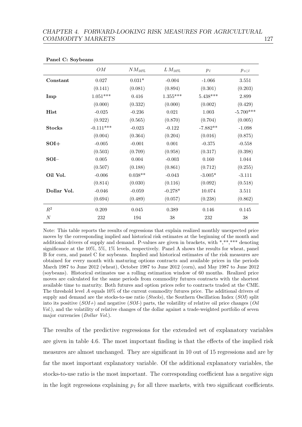|               | OM          | $NM_{10\%}$ | $L M_{10\%}$ | $p_l$      | $p_{+ l}$   |
|---------------|-------------|-------------|--------------|------------|-------------|
| Constant      | $0.027\,$   | $0.031*$    | $-0.004$     | $-1.066$   | 3.551       |
|               | (0.141)     | (0.081)     | (0.894)      | (0.301)    | (0.203)     |
| Imp           | $1.051***$  | 0.416       | $1.355***$   | $5.438***$ | 2.899       |
|               | (0.000)     | (0.332)     | (0.000)      | (0.002)    | (0.429)     |
| Hist          | $-0.025$    | $-0.236$    | 0.021        | $1.003\,$  | $-5.700***$ |
|               | (0.922)     | (0.565)     | (0.870)      | (0.704)    | (0.005)     |
| <b>Stocks</b> | $-0.111***$ | $-0.023$    | $-0.122$     | $-7.882**$ | $-1.098$    |
|               | (0.004)     | (0.364)     | (0.204)      | (0.016)    | (0.875)     |
| $SOI+$        | $-0.005$    | $-0.001$    | 0.001        | $-0.375$   | $-0.558$    |
|               | (0.503)     | (0.709)     | (0.958)      | (0.317)    | (0.398)     |
| $SOI-$        | $0.005\,$   | 0.004       | $-0.003$     | 0.160      | 1.044       |
|               | (0.507)     | (0.188)     | (0.861)      | (0.712)    | (0.255)     |
| Oil Vol.      | $-0.006$    | $0.038**$   | $-0.043$     | $-3.005*$  | $-3.111$    |
|               | (0.814)     | (0.030)     | (0.116)      | (0.092)    | (0.518)     |
| Dollar Vol.   | $-0.046$    | $-0.059$    | $-0.278*$    | 10.074     | 3.511       |
|               | (0.694)     | (0.489)     | (0.057)      | (0.238)    | (0.862)     |
| $R^2$         | 0.209       | 0.045       | 0.389        | 0.146      | 0.145       |
| $\cal N$      | 232         | 194         | 38           | 232        | $38\,$      |

Panel C: Soybeans

Note: This table reports the results of regressions that explain realized monthly unexpected price moves by the corresponding implied and historical risk estimates at the beginning of the month and additional drivers of supply and demand. P-values are given in brackets, with \*,\*\*,\*\*\* denoting significance at the 10%, 5%, 1% levels, respectively. Panel A shows the results for wheat, panel B for corn, and panel C for soybeans. Implied and historical estimates of the risk measures are obtained for every month with maturing options contracts and available prices in the periods March 1987 to June 2012 (wheat), October 1987 to June 2012 (corn), and May 1987 to June 2012 (soybeans). Historical estimates use a rolling estimation window of 60 months. Realized price moves are calculated for the same periods from commodity futures contracts with the shortest available time to maturity. Both futures and option prices refer to contracts traded at the CME. The threshold level A equals 10% of the current commodity futures price. The additional drivers of supply and demand are the stocks-to-use ratio ( $Stocks$ ), the Southern Oscillation Index ( $SOT$ ) split into its positive  $(SOI<sub>+</sub>)$  and negative  $(SOI<sub>+</sub>)$  parts, the volatility of relative oil price changes (*Oil*) Vol.), and the volatility of relative changes of the dollar against a trade-weighted portfolio of seven major currencies (Dollar Vol.).

The results of the predictive regressions for the extended set of explanatory variables are given in table [4.6.](#page-131-0) The most important finding is that the effects of the implied risk measures are almost unchanged. They are significant in 10 out of 15 regressions and are by far the most important explanatory variable. Of the additional explanatory variables, the stocks-to-use ratio is the most important. The corresponding coefficient has a negative sign in the logit regressions explaining  $p_l$  for all three markets, with two significant coefficients.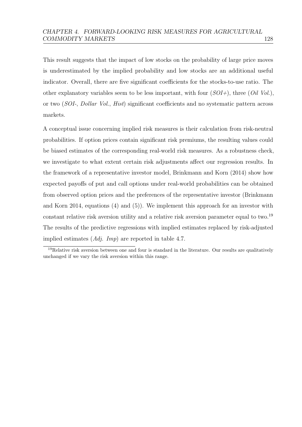This result suggests that the impact of low stocks on the probability of large price moves is underestimated by the implied probability and low stocks are an additional useful indicator. Overall, there are five significant coefficients for the stocks-to-use ratio. The other explanatory variables seem to be less important, with four  $(SOI+)$ , three  $(Oil Vol.)$ , or two (SOI-, Dollar Vol., Hist) significant coefficients and no systematic pattern across markets.

A conceptual issue concerning implied risk measures is their calculation from risk-neutral probabilities. If option prices contain significant risk premiums, the resulting values could be biased estimates of the corresponding real-world risk measures. As a robustness check, we investigate to what extent certain risk adjustments affect our regression results. In the framework of a representative investor model, [Brinkmann and Korn](#page-151-1) [\(2014\)](#page-151-1) show how expected payoffs of put and call options under real-world probabilities can be obtained from observed option prices and the preferences of the representative investor [\(Brinkmann](#page-151-1) [and Korn](#page-151-1) [2014,](#page-151-1) equations (4) and (5)). We implement this approach for an investor with constant relative risk aversion utility and a relative risk aversion parameter equal to two.<sup>[19](#page-134-0)</sup> The results of the predictive regressions with implied estimates replaced by risk-adjusted implied estimates  $(Ad*j*$ . Imp) are reported in table [4.7.](#page-135-0)

<span id="page-134-0"></span><sup>&</sup>lt;sup>19</sup>Relative risk aversion between one and four is standard in the literature. Our results are qualitatively unchanged if we vary the risk aversion within this range.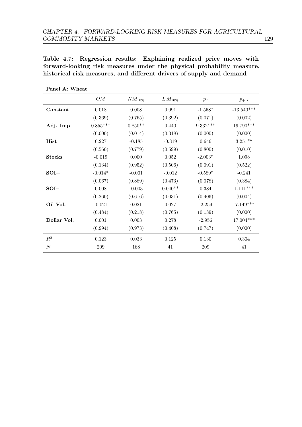<span id="page-135-0"></span>Table 4.7: Regression results: Explaining realized price moves with forward-looking risk measures under the physical probability measure, historical risk measures, and different drivers of supply and demand

|                  | OM         | $NM_{10\%}$ | $L M_{10\%}$ | $p_l$      | $p_{+ l}$    |
|------------------|------------|-------------|--------------|------------|--------------|
| Constant         | 0.018      | 0.008       | 0.091        | $-1.558*$  | $-13.540***$ |
|                  | (0.369)    | (0.765)     | (0.392)      | (0.071)    | (0.002)      |
| Adj. Imp         | $0.855***$ | $0.850**$   | 0.440        | $9.332***$ | $19.790***$  |
|                  | (0.000)    | (0.014)     | (0.318)      | (0.000)    | (0.000)      |
| Hist             | 0.227      | $-0.185$    | $-0.319$     | 0.646      | $3.251***$   |
|                  | (0.560)    | (0.779)     | (0.599)      | (0.800)    | (0.010)      |
| <b>Stocks</b>    | $-0.019$   | 0.000       | 0.052        | $-2.003*$  | 1.098        |
|                  | (0.134)    | (0.952)     | (0.506)      | (0.091)    | (0.522)      |
| $SOI+$           | $-0.014*$  | $-0.001$    | $-0.012$     | $-0.589*$  | $-0.241$     |
|                  | (0.067)    | (0.889)     | (0.473)      | (0.078)    | (0.384)      |
| $SOI-$           | 0.008      | $-0.003$    | $0.040**$    | 0.384      | $1.111***$   |
|                  | (0.260)    | (0.616)     | (0.031)      | (0.406)    | (0.004)      |
| Oil Vol.         | $-0.021$   | 0.021       | 0.027        | $-2.259$   | $-7.149***$  |
|                  | (0.484)    | (0.218)     | (0.765)      | (0.189)    | (0.000)      |
| Dollar Vol.      | 0.001      | 0.003       | 0.278        | $-2.956$   | 17.004***    |
|                  | (0.994)    | (0.973)     | (0.408)      | (0.747)    | (0.000)      |
| $R^2$            | 0.123      | 0.033       | 0.125        | 0.130      | 0.304        |
| $\boldsymbol{N}$ | 209        | 168         | 41           | 209        | 41           |

Panel A: Wheat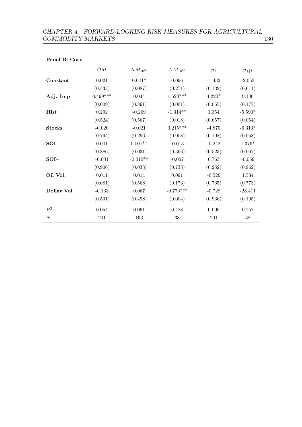## CHAPTER 4. FORWARD-LOOKING RISK MEASURES FOR AGRICULTURAL  $\begin{tabular}{c} COMMODITY MARKETS \end{tabular} \begin{tabular}{c} \multicolumn{2}{c}{} & \multicolumn{2}{c}{} & \multicolumn{2}{c}{} & \multicolumn{2}{c}{} & \multicolumn{2}{c}{} & \multicolumn{2}{c}{} & \multicolumn{2}{c}{} & \multicolumn{2}{c}{} & \multicolumn{2}{c}{} & \multicolumn{2}{c}{} & \multicolumn{2}{c}{} & \multicolumn{2}{c}{} & \multicolumn{2}{c}{} & \multicolumn{2}{c}{} & \multicolumn{2}{c}{} & \multicolumn{2}{c}{} & \multicolumn{2}{c}{} & \multicolumn{2$

| OM          | $NM_{10\%}$ | $LM_{10\%}$     | $p_l$     | $p_{+ l}$ |
|-------------|-------------|-----------------|-----------|-----------|
| $\,0.021\,$ | $0.041*$    | $\,0.096\,$     | $-1.432$  | $-2.053$  |
| (0.433)     | (0.087)     | (0.271)         | (0.132)   | (0.611)   |
| $0.499***$  | 0.044       | $1.520^{***}\,$ | $4.220*$  | 9.100     |
| (0.009)     | (0.891)     | (0.001)         | (0.055)   | (0.177)   |
| $0.292\,$   | $-0.269$    | $-1.314**$      | $1.354\,$ | $-5.590*$ |
| (0.524)     | (0.567)     | (0.018)         | (0.657)   | (0.054)   |
| $-0.020$    | $-0.021$    | $0.215***$      | $-4.870$  | $-6.313*$ |
| (0.794)     | (0.296)     | (0.008)         | (0.198)   | (0.058)   |
| 0.001       | $0.007**$   | $-0.013$        | $-0.242$  | 1.376*    |
| (0.886)     | (0.031)     | (0.366)         | (0.523)   | (0.067)   |
| $-0.001$    | $-0.010**$  | $-0.007$        | 0.763     | $-0.059$  |
| (0.906)     | (0.033)     | (0.733)         | (0.252)   | (0.962)   |
| 0.011       | 0.014       | 0.091           | $-0.526$  | 1.534     |
| (0.681)     | (0.568)     | (0.173)         | (0.735)   | (0.773)   |
| $-0.133$    | 0.067       | $-0.773***$     | $-0.728$  | $-28.411$ |
| (0.531)     | (0.498)     | (0.004)         | (0.936)   | (0.195)   |
| 0.054       | 0.061       | 0.428           | 0.090     | 0.257     |
| $201\,$     | 163         | $38\,$          | $201\,$   | $38\,$    |
|             |             |                 |           |           |

#### Panel B: Corn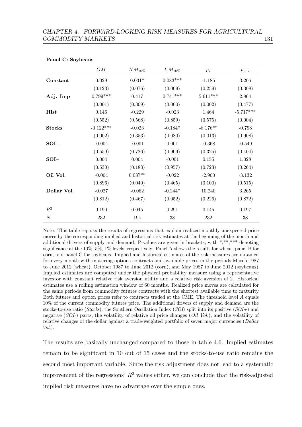| OM          | $NM_{10\%}$ | $LM_{10\%}$ | $p_l$      | $p_{+ l}$   |
|-------------|-------------|-------------|------------|-------------|
| $\,0.029\,$ | $0.031*$    | $0.083***$  | $-1.185$   | $3.206\,$   |
| (0.123)     | (0.076)     | (0.009)     | (0.259)    | (0.308)     |
| $0.799***$  | 0.417       | $0.741***$  | $5.611***$ | 2.864       |
| (0.001)     | (0.309)     | (0.000)     | (0.002)    | (0.477)     |
| 0.146       | $-0.229$    | $-0.023$    | 1.464      | $-5.717***$ |
| (0.552)     | (0.568)     | (0.859)     | (0.575)    | (0.004)     |
| $-0.122***$ | $-0.023$    | $-0.184*$   | $-8.176**$ | $-0.798$    |
| (0.002)     | (0.353)     | (0.080)     | (0.013)    | (0.908)     |
| $-0.004$    | $-0.001$    | 0.001       | $-0.368$   | $-0.549$    |
| (0.559)     | (0.726)     | (0.909)     | (0.325)    | (0.404)     |
| 0.004       | $0.004\,$   | $-0.001$    | $0.155\,$  | $1.028\,$   |
| (0.530)     | (0.183)     | (0.957)     | (0.723)    | (0.264)     |
| $-0.004$    | $0.037**$   | $-0.022$    | $-2.900$   | $-3.132$    |
| (0.896)     | (0.040)     | (0.465)     | (0.100)    | (0.515)     |
| $-0.027$    | $-0.062$    | $-0.244*$   | 10.240     | 3.265       |
| (0.812)     | (0.467)     | (0.052)     | (0.226)    | (0.872)     |
| 0.190       | 0.045       | 0.291       | 0.145      | 0.197       |
| $232\,$     | 194         | $38\,$      | $232\,$    | $38\,$      |
|             |             |             |            |             |

Panel C: Soybeans

Note: This table reports the results of regressions that explain realized monthly unexpected price moves by the corresponding implied and historical risk estimates at the beginning of the month and additional drivers of supply and demand. P-values are given in brackets, with \*,\*\*,\*\*\* denoting significance at the 10%, 5%, 1% levels, respectively. Panel A shows the results for wheat, panel B for corn, and panel C for soybeans. Implied and historical estimates of the risk measures are obtained for every month with maturing options contracts and available prices in the periods March 1987 to June 2012 (wheat), October 1987 to June 2012 (corn), and May 1987 to June 2012 (soybeans). Implied estimates are computed under the physical probability measure using a representative investor with constant relative risk aversion utility and a relative risk aversion of 2. Historical estimates use a rolling estimation window of 60 months. Realized price moves are calculated for the same periods from commodity futures contracts with the shortest available time to maturity. Both futures and option prices refer to contracts traded at the CME. The threshold level A equals 10% of the current commodity futures price. The additional drivers of supply and demand are the stocks-to-use ratio (Stocks), the Southern Oscillation Index (SOI) split into its positive  $(SOI+)$  and negative (SOI-) parts, the volatility of relative oil price changes (Oil Vol.), and the volatility of relative changes of the dollar against a trade-weighted portfolio of seven major currencies (*Dollar*  $Vol.$ ).

The results are basically unchanged compared to those in table [4.6.](#page-131-0) Implied estimates remain to be significant in 10 out of 15 cases and the stocks-to-use ratio remains the second most important variable. Since the risk adjustment does not lead to a systematic improvement of the regressions'  $R^2$  values either, we can conclude that the risk-adjusted implied risk measures have no advantage over the simple ones.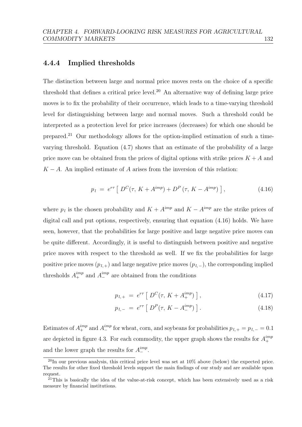### 4.4.4 Implied thresholds

The distinction between large and normal price moves rests on the choice of a specific threshold that defines a critical price level.<sup>[20](#page-138-0)</sup> An alternative way of defining large price moves is to fix the probability of their occurrence, which leads to a time-varying threshold level for distinguishing between large and normal moves. Such a threshold could be interpreted as a protection level for price increases (decreases) for which one should be prepared.[21](#page-138-1) Our methodology allows for the option-implied estimation of such a timevarying threshold. Equation [\(4.7\)](#page-112-1) shows that an estimate of the probability of a large price move can be obtained from the prices of digital options with strike prices  $K + A$  and  $K - A$ . An implied estimate of A arises from the inversion of this relation:

<span id="page-138-2"></span>
$$
p_l = e^{r\tau} \left[ D^C(\tau, K + A^{imp}) + D^P(\tau, K - A^{imp}) \right], \tag{4.16}
$$

where  $p_l$  is the chosen probability and  $K + A^{imp}$  and  $K - A^{imp}$  are the strike prices of digital call and put options, respectively, ensuring that equation [\(4.16\)](#page-138-2) holds. We have seen, however, that the probabilities for large positive and large negative price moves can be quite different. Accordingly, it is useful to distinguish between positive and negative price moves with respect to the threshold as well. If we fix the probabilities for large positive price moves  $(p_{l,+})$  and large negative price moves  $(p_{l,-})$ , the corresponding implied thresholds  $A_{+}^{imp}$  and  $A_{-}^{imp}$  are obtained from the conditions

$$
p_{l,+} = e^{r\tau} \left[ D^C(\tau, K + A_+^{imp}) \right], \tag{4.17}
$$

$$
p_{l,-} = e^{r\tau} \left[ D^P(\tau, K - A^{imp}_{-}) \right]. \tag{4.18}
$$

Estimates of  $A_{+}^{imp}$  and  $A_{-}^{imp}$  for wheat, corn, and soybeans for probabilities  $p_{l,+} = p_{l,-} = 0.1$ are depicted in figure [4.3.](#page-139-0) For each commodity, the upper graph shows the results for  $A_{+}^{imp}$ + and the lower graph the results for  $A_{-}^{imp}$ .

<span id="page-138-0"></span> $^{20}$ In our previous analysis, this critical price level was set at 10% above (below) the expected price. The results for other fixed threshold levels support the main findings of our study and are available upon request.

<span id="page-138-1"></span> $^{21}$ This is basically the idea of the value-at-risk concept, which has been extensively used as a risk measure by financial institutions.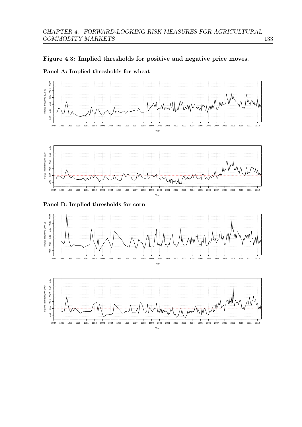<span id="page-139-0"></span>



Panel A: Implied thresholds for wheat



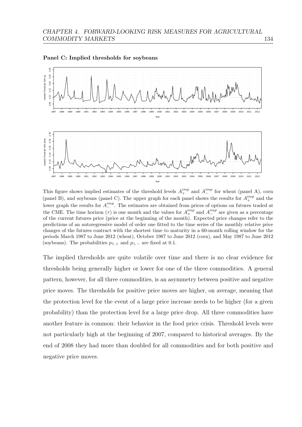

Panel C: Implied thresholds for soybeans

This figure shows implied estimates of the threshold levels  $A_{+}^{imp}$  and  $A_{-}^{imp}$  for wheat (panel A), corn (panel B), and soybeans (panel C). The upper graph for each panel shows the results for  $A_{+}^{imp}$  and the lower graph the results for  $A_{-}^{imp}$ . The estimates are obtained from prices of options on futures traded at the CME. The time horizon ( $\tau$ ) is one month and the values for  $A_{+}^{imp}$  and  $A_{-}^{imp}$  are given as a percentage of the current futures price (price at the beginning of the month). Expected price changes refer to the predictions of an autoregressive model of order one fitted to the time series of the monthly relative price changes of the futures contract with the shortest time to maturity in a 60-month rolling window for the periods March 1987 to June 2012 (wheat), October 1987 to June 2012 (corn), and May 1987 to June 2012 (soybeans). The probabilities  $p_l$  + and  $p_l$  – are fixed at 0.1.

The implied thresholds are quite volatile over time and there is no clear evidence for thresholds being generally higher or lower for one of the three commodities. A general pattern, however, for all three commodities, is an asymmetry between positive and negative price moves. The thresholds for positive price moves are higher, on average, meaning that the protection level for the event of a large price increase needs to be higher (for a given probability) than the protection level for a large price drop. All three commodities have another feature in common: their behavior in the food price crisis. Threshold levels were not particularly high at the beginning of 2007, compared to historical averages. By the end of 2008 they had more than doubled for all commodities and for both positive and negative price moves.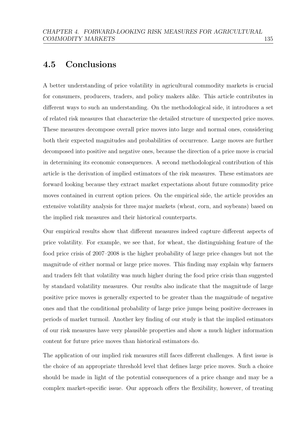# 4.5 Conclusions

A better understanding of price volatility in agricultural commodity markets is crucial for consumers, producers, traders, and policy makers alike. This article contributes in different ways to such an understanding. On the methodological side, it introduces a set of related risk measures that characterize the detailed structure of unexpected price moves. These measures decompose overall price moves into large and normal ones, considering both their expected magnitudes and probabilities of occurrence. Large moves are further decomposed into positive and negative ones, because the direction of a price move is crucial in determining its economic consequences. A second methodological contribution of this article is the derivation of implied estimators of the risk measures. These estimators are forward looking because they extract market expectations about future commodity price moves contained in current option prices. On the empirical side, the article provides an extensive volatility analysis for three major markets (wheat, corn, and soybeans) based on the implied risk measures and their historical counterparts.

Our empirical results show that different measures indeed capture different aspects of price volatility. For example, we see that, for wheat, the distinguishing feature of the food price crisis of 2007–2008 is the higher probability of large price changes but not the magnitude of either normal or large price moves. This finding may explain why farmers and traders felt that volatility was much higher during the food price crisis than suggested by standard volatility measures. Our results also indicate that the magnitude of large positive price moves is generally expected to be greater than the magnitude of negative ones and that the conditional probability of large price jumps being positive decreases in periods of market turmoil. Another key finding of our study is that the implied estimators of our risk measures have very plausible properties and show a much higher information content for future price moves than historical estimators do.

The application of our implied risk measures still faces different challenges. A first issue is the choice of an appropriate threshold level that defines large price moves. Such a choice should be made in light of the potential consequences of a price change and may be a complex market-specific issue. Our approach offers the flexibility, however, of treating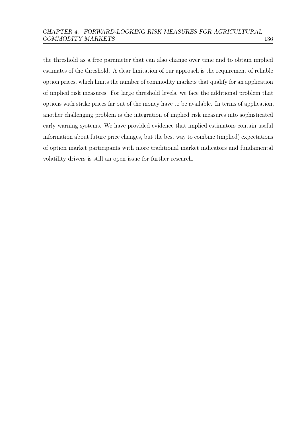the threshold as a free parameter that can also change over time and to obtain implied estimates of the threshold. A clear limitation of our approach is the requirement of reliable option prices, which limits the number of commodity markets that qualify for an application of implied risk measures. For large threshold levels, we face the additional problem that options with strike prices far out of the money have to be available. In terms of application, another challenging problem is the integration of implied risk measures into sophisticated early warning systems. We have provided evidence that implied estimators contain useful information about future price changes, but the best way to combine (implied) expectations of option market participants with more traditional market indicators and fundamental volatility drivers is still an open issue for further research.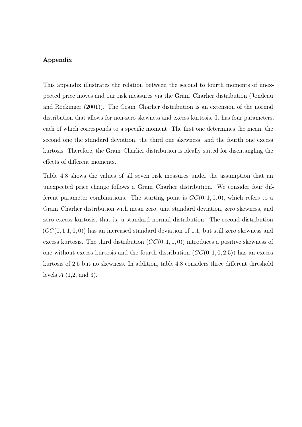#### Appendix

This appendix illustrates the relation between the second to fourth moments of unexpected price moves and our risk measures via the Gram–Charlier distribution [\(Jondeau](#page-156-1) [and Rockinger](#page-156-1) [\(2001\)](#page-156-1)). The Gram–Charlier distribution is an extension of the normal distribution that allows for non-zero skewness and excess kurtosis. It has four parameters, each of which corresponds to a specific moment. The first one determines the mean, the second one the standard deviation, the third one skewness, and the fourth one excess kurtosis. Therefore, the Gram–Charlier distribution is ideally suited for disentangling the effects of different moments.

Table [4.8](#page-144-0) shows the values of all seven risk measures under the assumption that an unexpected price change follows a Gram–Charlier distribution. We consider four different parameter combinations. The starting point is  $GC(0, 1, 0, 0)$ , which refers to a Gram–Charlier distribution with mean zero, unit standard deviation, zero skewness, and zero excess kurtosis, that is, a standard normal distribution. The second distribution  $(GC(0, 1.1, 0, 0))$  has an increased standard deviation of 1.1, but still zero skewness and excess kurtosis. The third distribution  $(GC(0, 1, 1, 0))$  introduces a positive skewness of one without excess kurtosis and the fourth distribution  $(GC(0, 1, 0, 2.5))$  has an excess kurtosis of 2.5 but no skewness. In addition, table [4.8](#page-144-0) considers three different threshold levels  $A(1,2, \text{ and } 3)$ .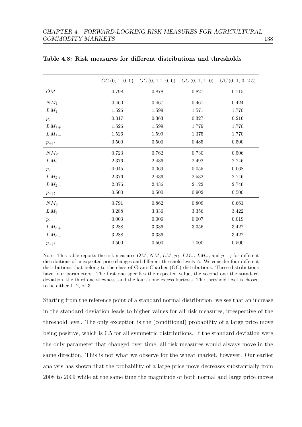|                      |           | $GC(0, 1, 0, 0)$ $GC(0, 1.1, 0, 0)$ |           | $GC(0, 1, 1, 0)$ $GC(0, 1, 0, 2.5)$ |
|----------------------|-----------|-------------------------------------|-----------|-------------------------------------|
| OM                   | $0.798\,$ | 0.878                               | 0.827     | $0.715\,$                           |
| $NM_1$               | 0.460     | 0.467                               | 0.467     | 0.424                               |
| $LM_1$               | $1.526\,$ | 1.599                               | 1.571     | 1.770                               |
| $p_{\,l}$            | $0.317\,$ | 0.363                               | 0.327     | 0.216                               |
| $LM_{1+}$            | 1.526     | 1.599                               | 1.779     | 1.770                               |
| $L M_1$ <sub>-</sub> | $1.526\,$ | 1.599                               | $1.375\,$ | 1.770                               |
| $p_{+ l}$            | 0.500     | 0.500                               | 0.485     | 0.500                               |
| $NM_2$               | $0.723\,$ | $0.762\,$                           | $0.730\,$ | $0.506\,$                           |
| $LM_2$               | $2.376\,$ | 2.436                               | 2.492     | 2.746                               |
| $p_l$                | $0.045\,$ | 0.069                               | $0.055\,$ | 0.068                               |
| $LM_{2+}$            | 2.376     | 2.436                               | 2.532     | 2.746                               |
| $LM_{2-}$            | 2.376     | $2.436\,$                           | 2.122     | $2.746\,$                           |
| $p_{+ l}$            | $0.500\,$ | 0.500                               | 0.902     | $0.500\,$                           |
| $NM_3$               | $0.791\,$ | 0.862                               | 0.809     | 0.661                               |
| $LM_3$               | $3.288\,$ | $3.336\,$                           | $3.356\,$ | 3.422                               |
| $p_l$                | $0.003\,$ | 0.006                               | 0.007     | $0.019\,$                           |
| $LM_{3+}$            | $3.288\,$ | $3.336\,$                           | $3.356\,$ | $3.422\,$                           |
| $LM_{3-}$            | 3.288     | 3.336                               |           | 3.422                               |
| $p_{+ l}$            | 0.500     | 0.500                               | 1.000     | 0.500                               |

<span id="page-144-0"></span>Table 4.8: Risk measures for different distributions and thresholds

Note: This table reports the risk measures  $OM$ ,  $NM$ ,  $LM$ ,  $p_l$ ,  $LM$ ,  $LM$ <sub>+</sub>, and  $p$ <sub>+|l</sub> for different distributions of unexpected price changes and different threshold levels A. We consider four different distributions that belong to the class of Gram–Charlier (GC) distributions. These distributions have four parameters. The first one specifies the expected value, the second one the standard deviation, the third one skewness, and the fourth one excess kurtosis. The threshold level is chosen to be either 1, 2, or 3.

Starting from the reference point of a standard normal distribution, we see that an increase in the standard deviation leads to higher values for all risk measures, irrespective of the threshold level. The only exception is the (conditional) probability of a large price move being positive, which is 0.5 for all symmetric distributions. If the standard deviation were the only parameter that changed over time, all risk measures would always move in the same direction. This is not what we observe for the wheat market, however. Our earlier analysis has shown that the probability of a large price move decreases substantially from 2008 to 2009 while at the same time the magnitude of both normal and large price moves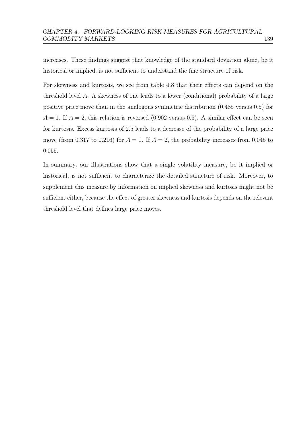increases. These findings suggest that knowledge of the standard deviation alone, be it historical or implied, is not sufficient to understand the fine structure of risk.

For skewness and kurtosis, we see from table [4.8](#page-144-0) that their effects can depend on the threshold level A. A skewness of one leads to a lower (conditional) probability of a large positive price move than in the analogous symmetric distribution (0.485 versus 0.5) for  $A = 1$ . If  $A = 2$ , this relation is reversed (0.902 versus 0.5). A similar effect can be seen for kurtosis. Excess kurtosis of 2.5 leads to a decrease of the probability of a large price move (from 0.317 to 0.216) for  $A = 1$ . If  $A = 2$ , the probability increases from 0.045 to 0.055.

In summary, our illustrations show that a single volatility measure, be it implied or historical, is not sufficient to characterize the detailed structure of risk. Moreover, to supplement this measure by information on implied skewness and kurtosis might not be sufficient either, because the effect of greater skewness and kurtosis depends on the relevant threshold level that defines large price moves.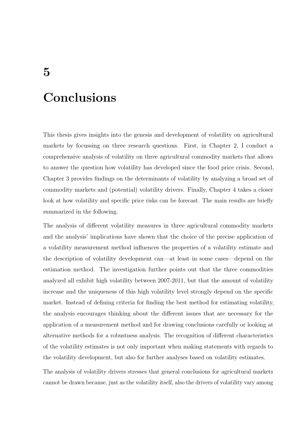## Conclusions

This thesis gives insights into the genesis and development of volatility on agricultural markets by focussing on three research questions. First, in Chapter 2, I conduct a comprehensive analysis of volatility on three agricultural commodity markets that allows to answer the question how volatility has developed since the food price crisis. Second, Chapter 3 provides findings on the determinants of volatility by analyzing a broad set of commodity markets and (potential) volatility drivers. Finally, Chapter 4 takes a closer look at how volatility and specific price risks can be forecast. The main results are briefly summarized in the following.

The analysis of different volatility measures in three agricultural commodity markets and the analysis' implications have shown that the choice of the precise application of a volatility measurement method influences the properties of a volatility estimate and the description of volatility development can—at least in some cases—depend on the estimation method. The investigation further points out that the three commodities analyzed all exhibit high volatility between 2007-2011, but that the amount of volatility increase and the uniqueness of this high volatility level strongly depend on the specific market. Instead of defining criteria for finding the best method for estimating volatility, the analysis encourages thinking about the different issues that are necessary for the application of a measurement method and for drawing conclusions carefully or looking at alternative methods for a robustness analysis. The recognition of different characteristics of the volatility estimates is not only important when making statements with regards to the volatility development, but also for further analyses based on volatility estimates.

The analysis of volatility drivers stresses that general conclusions for agricultural markets cannot be drawn because, just as the volatility itself, also the drivers of volatility vary among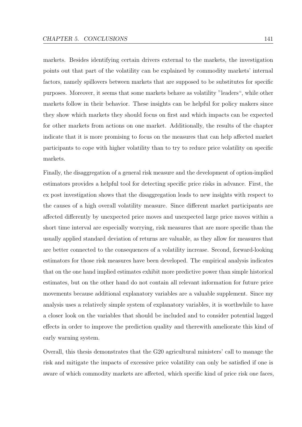markets. Besides identifying certain drivers external to the markets, the investigation points out that part of the volatility can be explained by commodity markets' internal factors, namely spillovers between markets that are supposed to be substitutes for specific purposes. Moreover, it seems that some markets behave as volatility "leaders", while other markets follow in their behavior. These insights can be helpful for policy makers since they show which markets they should focus on first and which impacts can be expected for other markets from actions on one market. Additionally, the results of the chapter indicate that it is more promising to focus on the measures that can help affected market participants to cope with higher volatility than to try to reduce price volatility on specific markets.

Finally, the disaggregation of a general risk measure and the development of option-implied estimators provides a helpful tool for detecting specific price risks in advance. First, the ex post investigation shows that the disaggregation leads to new insights with respect to the causes of a high overall volatility measure. Since different market participants are affected differently by unexpected price moves and unexpected large price moves within a short time interval are especially worrying, risk measures that are more specific than the usually applied standard deviation of returns are valuable, as they allow for measures that are better connected to the consequences of a volatility increase. Second, forward-looking estimators for those risk measures have been developed. The empirical analysis indicates that on the one hand implied estimates exhibit more predictive power than simple historical estimates, but on the other hand do not contain all relevant information for future price movements because additional explanatory variables are a valuable supplement. Since my analysis uses a relatively simple system of explanatory variables, it is worthwhile to have a closer look on the variables that should be included and to consider potential lagged effects in order to improve the prediction quality and therewith ameliorate this kind of early warning system.

Overall, this thesis demonstrates that the G20 agricultural ministers' call to manage the risk and mitigate the impacts of excessive price volatility can only be satisfied if one is aware of which commodity markets are affected, which specific kind of price risk one faces,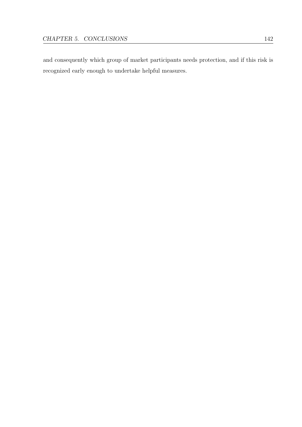and consequently which group of market participants needs protection, and if this risk is recognized early enough to undertake helpful measures.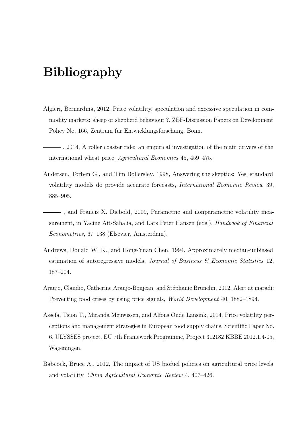## Bibliography

- Algieri, Bernardina, 2012, Price volatility, speculation and excessive speculation in commodity markets: sheep or shepherd behaviour ?, ZEF-Discussion Papers on Development Policy No. 166, Zentrum für Entwicklungsforschung, Bonn.
- , 2014, A roller coaster ride: an empirical investigation of the main drivers of the international wheat price, Agricultural Economics 45, 459–475.
- Andersen, Torben G., and Tim Bollerslev, 1998, Answering the skeptics: Yes, standard volatility models do provide accurate forecasts, International Economic Review 39, 885–905.
- , and Francis X. Diebold, 2009, Parametric and nonparametric volatility measurement, in Yacine Ait-Sahalia, and Lars Peter Hansen (eds.), Handbook of Financial Econometrics, 67–138 (Elsevier, Amsterdam).
- Andrews, Donald W. K., and Hong-Yuan Chen, 1994, Approximately median-unbiased estimation of autoregressive models, Journal of Business  $\mathcal C$  Economic Statistics 12, 187–204.
- Araujo, Claudio, Catherine Araujo-Bonjean, and Stéphanie Brunelin, 2012, Alert at maradi: Preventing food crises by using price signals, World Development 40, 1882–1894.
- Assefa, Tsion T., Miranda Meuwissen, and Alfons Oude Lansink, 2014, Price volatility perceptions and management strategies in European food supply chains, Scientific Paper No. 6, ULYSSES project, EU 7th Framework Programme, Project 312182 KBBE.2012.1.4-05, Wageningen.
- Babcock, Bruce A., 2012, The impact of US biofuel policies on agricultural price levels and volatility, China Agricultural Economic Review 4, 407–426.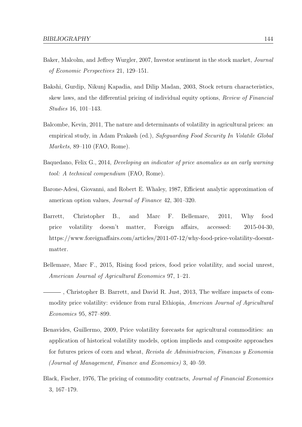- Baker, Malcolm, and Jeffrey Wurgler, 2007, Investor sentiment in the stock market, Journal of Economic Perspectives 21, 129–151.
- Bakshi, Gurdip, Nikunj Kapadia, and Dilip Madan, 2003, Stock return characteristics, skew laws, and the differential pricing of individual equity options, Review of Financial Studies 16, 101–143.
- Balcombe, Kevin, 2011, The nature and determinants of volatility in agricultural prices: an empirical study, in Adam Prakash (ed.), Safeguarding Food Security In Volatile Global Markets, 89–110 (FAO, Rome).
- Baquedano, Felix G., 2014, Developing an indicator of price anomalies as an early warning tool: A technical compendium (FAO, Rome).
- Barone-Adesi, Giovanni, and Robert E. Whaley, 1987, Efficient analytic approximation of american option values, Journal of Finance 42, 301–320.
- Barrett, Christopher B., and Marc F. Bellemare, 2011, Why food price volatility doesn't matter, Foreign affairs, accessed: 2015-04-30, https://www.foreignaffairs.com/articles/2011-07-12/why-food-price-volatility-doesntmatter.
- Bellemare, Marc F., 2015, Rising food prices, food price volatility, and social unrest, American Journal of Agricultural Economics 97, 1–21.
- , Christopher B. Barrett, and David R. Just, 2013, The welfare impacts of commodity price volatility: evidence from rural Ethiopia, *American Journal of Agricultural* Economics 95, 877–899.
- Benavides, Guillermo, 2009, Price volatility forecasts for agricultural commodities: an application of historical volatility models, option implieds and composite approaches for futures prices of corn and wheat, Revista de Administracion, Finanzas y Economia (Journal of Management, Finance and Economics) 3, 40–59.
- Black, Fischer, 1976, The pricing of commodity contracts, Journal of Financial Economics 3, 167–179.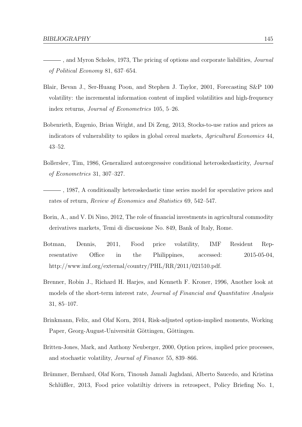- -, and Myron Scholes, 1973, The pricing of options and corporate liabilities, *Journal* of Political Economy 81, 637–654.
- Blair, Bevan J., Ser-Huang Poon, and Stephen J. Taylor, 2001, Forecasting S&P 100 volatility: the incremental information content of implied volatilities and high-frequency index returns, Journal of Econometrics 105, 5–26.
- Bobenrieth, Eugenio, Brian Wright, and Di Zeng, 2013, Stocks-to-use ratios and prices as indicators of vulnerability to spikes in global cereal markets, Agricultural Economics 44, 43–52.
- Bollerslev, Tim, 1986, Generalized autoregressive conditional heteroskedasticity, Journal of Econometrics 31, 307–327.
- , 1987, A conditionally heteroskedastic time series model for speculative prices and rates of return, Review of Economics and Statistics 69, 542–547.
- Borin, A., and V. Di Nino, 2012, The role of financial investments in agricultural commodity derivatives markets, Temi di discussione No. 849, Bank of Italy, Rome.
- Botman, Dennis, 2011, Food price volatility, IMF Resident Representative Office in the Philippines, accessed: 2015-05-04, http://www.imf.org/external/country/PHL/RR/2011/021510.pdf.
- Brenner, Robin J., Richard H. Harjes, and Kenneth F. Kroner, 1996, Another look at models of the short-term interest rate, Journal of Financial and Quantitative Analysis 31, 85–107.
- Brinkmann, Felix, and Olaf Korn, 2014, Risk-adjusted option-implied moments, Working Paper, Georg-August-Universität Göttingen, Göttingen.
- Britten-Jones, Mark, and Anthony Neuberger, 2000, Option prices, implied price processes, and stochastic volatility, Journal of Finance 55, 839–866.
- Brümmer, Bernhard, Olaf Korn, Tinoush Jamali Jaghdani, Alberto Saucedo, and Kristina Schlüßler, 2013, Food price volatiltiy drivers in retrospect, Policy Briefing No. 1,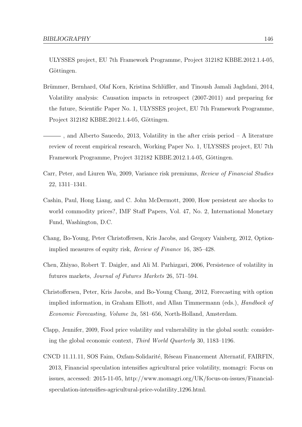ULYSSES project, EU 7th Framework Programme, Project 312182 KBBE.2012.1.4-05, Göttingen.

- Brümmer, Bernhard, Olaf Korn, Kristina Schlüßler, and Tinoush Jamali Jaghdani, 2014, Volatility analysis: Causation impacts in retrospect (2007-2011) and preparing for the future, Scientific Paper No. 1, ULYSSES project, EU 7th Framework Programme, Project 312182 KBBE.2012.1.4-05, Göttingen.
- , and Alberto Saucedo, 2013, Volatility in the after crisis period A literature review of recent empirical research, Working Paper No. 1, ULYSSES project, EU 7th Framework Programme, Project 312182 KBBE.2012.1.4-05, Göttingen.
- Carr, Peter, and Liuren Wu, 2009, Variance risk premiums, Review of Financial Studies 22, 1311–1341.
- Cashin, Paul, Hong Liang, and C. John McDermott, 2000, How persistent are shocks to world commodity prices?, IMF Staff Papers, Vol. 47, No. 2, International Monetary Fund, Washington, D.C.
- Chang, Bo-Young, Peter Christoffersen, Kris Jacobs, and Gregory Vainberg, 2012, Optionimplied measures of equity risk, Review of Finance 16, 385–428.
- Chen, Zhiyao, Robert T. Daigler, and Ali M. Parhizgari, 2006, Persistence of volatility in futures markets, Journal of Futures Markets 26, 571–594.
- Christoffersen, Peter, Kris Jacobs, and Bo-Young Chang, 2012, Forecasting with option implied information, in Graham Elliott, and Allan Timmermann (eds.), Handbock of Economic Forecasting, Volume 2a, 581–656, North-Holland, Amsterdam.
- Clapp, Jennifer, 2009, Food price volatility and vulnerability in the global south: considering the global economic context, Third World Quarterly 30, 1183–1196.
- CNCD 11.11.11, SOS Faim, Oxfam-Solidarit´e, R´eseau Financement Alternatif, FAIRFIN, 2013, Financial speculation intensifies agricultural price volatility, momagri: Focus on issues, accessed: 2015-11-05, http://www.momagri.org/UK/focus-on-issues/Financialspeculation-intensifies-agricultural-price-volatility 1296.html.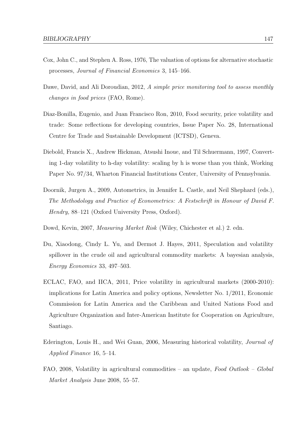- Cox, John C., and Stephen A. Ross, 1976, The valuation of options for alternative stochastic processes, Journal of Financial Economics 3, 145–166.
- Dawe, David, and Ali Doroudian, 2012, A simple price monitoring tool to assess monthly changes in food prices (FAO, Rome).
- Diaz-Bonilla, Eugenio, and Juan Francisco Ron, 2010, Food security, price volatility and trade: Some reflections for developing countries, Issue Paper No. 28, International Centre for Trade and Sustainable Development (ICTSD), Geneva.
- Diebold, Francis X., Andrew Hickman, Atsushi Inoue, and Til Schuermann, 1997, Converting 1-day volatility to h-day volatility: scaling by h is worse than you think, Working Paper No. 97/34, Wharton Financial Institutions Center, University of Pennsylvania.
- Doornik, Jurgen A., 2009, Autometrics, in Jennifer L. Castle, and Neil Shephard (eds.), The Methodology and Practice of Econometrics: A Festschrift in Honour of David F. Hendry, 88–121 (Oxford University Press, Oxford).
- Dowd, Kevin, 2007, *Measuring Market Risk* (Wiley, Chichester et al.) 2. edn.
- Du, Xiaodong, Cindy L. Yu, and Dermot J. Hayes, 2011, Speculation and volatility spillover in the crude oil and agricultural commodity markets: A bayesian analysis, Energy Economics 33, 497–503.
- ECLAC, FAO, and IICA, 2011, Price volatility in agricultural markets (2000-2010): implications for Latin America and policy options, Newsletter No. 1/2011, Economic Commission for Latin America and the Caribbean and United Nations Food and Agriculture Organization and Inter-American Institute for Cooperation on Agriculture, Santiago.
- Ederington, Louis H., and Wei Guan, 2006, Measuring historical volatility, Journal of Applied Finance 16, 5–14.
- FAO, 2008, Volatility in agricultural commodities an update, Food Outlook Global Market Analysis June 2008, 55–57.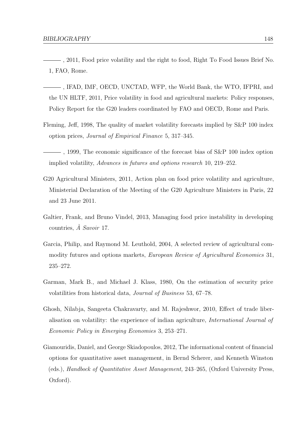- , 2011, Food price volatility and the right to food, Right To Food Issues Brief No. 1, FAO, Rome.
- , IFAD, IMF, OECD, UNCTAD, WFP, the World Bank, the WTO, IFPRI, and the UN HLTF, 2011, Price volatility in food and agricultural markets: Policy responses, Policy Report for the G20 leaders coordinated by FAO and OECD, Rome and Paris.
- Fleming, Jeff, 1998, The quality of market volatility forecasts implied by S&P 100 index option prices, Journal of Empirical Finance 5, 317–345.
- , 1999, The economic significance of the forecast bias of S&P 100 index option implied volatility, Advances in futures and options research 10, 219–252.
- G20 Agricultural Ministers, 2011, Action plan on food price volatility and agriculture, Ministerial Declaration of the Meeting of the G20 Agriculture Ministers in Paris, 22 and 23 June 2011.
- Galtier, Frank, and Bruno Vindel, 2013, Managing food price instability in developing countries,  $\hat{A}$  Savoir 17.
- Garcia, Philip, and Raymond M. Leuthold, 2004, A selected review of agricultural commodity futures and options markets, European Review of Agricultural Economics 31, 235–272.
- Garman, Mark B., and Michael J. Klass, 1980, On the estimation of security price volatilities from historical data, Journal of Business 53, 67–78.
- Ghosh, Nilabja, Sangeeta Chakravarty, and M. Rajeshwor, 2010, Effect of trade liberalisation on volatility: the experience of indian agriculture, International Journal of Economic Policy in Emerging Economies 3, 253–271.
- Giamouridis, Daniel, and George Skiadopoulos, 2012, The informational content of financial options for quantitative asset management, in Bernd Scherer, and Kenneth Winston (eds.), Handbock of Quantitative Asset Management, 243–265, (Oxford University Press, Oxford).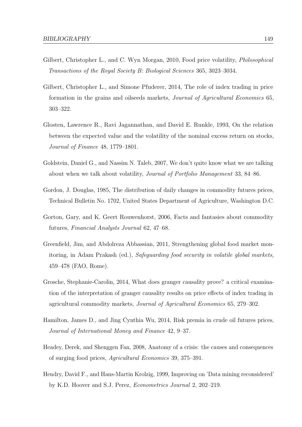- Gilbert, Christopher L., and C. Wyn Morgan, 2010, Food price volatility, *Philosophical* Transactions of the Royal Society B: Biological Sciences 365, 3023–3034.
- Gilbert, Christopher L., and Simone Pfuderer, 2014, The role of index trading in price formation in the grains and oilseeds markets, Journal of Agricultural Economics 65, 303–322.
- Glosten, Lawrence R., Ravi Jagannathan, and David E. Runkle, 1993, On the relation between the expected value and the volatility of the nominal excess return on stocks, Journal of Finance 48, 1779–1801.
- Goldstein, Daniel G., and Nassim N. Taleb, 2007, We don't quite know what we are talking about when we talk about volatility, Journal of Portfolio Management 33, 84–86.
- Gordon, J. Douglas, 1985, The distribution of daily changes in commodity futures prices, Technical Bulletin No. 1702, United States Department of Agriculture, Washington D.C.
- Gorton, Gary, and K. Geert Rouwenhorst, 2006, Facts and fantasies about commodity futures, Financial Analysts Journal 62, 47–68.
- Greenfield, Jim, and Abdolreza Abbassian, 2011, Strengthening global food market monitoring, in Adam Prakash (ed.), Safeguarding food security in volatile global markets, 459–478 (FAO, Rome).
- Grosche, Stephanie-Carolin, 2014, What does granger causality prove? a critical examination of the interpretation of granger causality results on price effects of index trading in agricultural commodity markets, Journal of Agricultural Economics 65, 279–302.
- Hamilton, James D., and Jing Cynthia Wu, 2014, Risk premia in crude oil futures prices, Journal of International Money and Finance 42, 9–37.
- Headey, Derek, and Shenggen Fan, 2008, Anatomy of a crisis: the causes and consequences of surging food prices, Agricultural Economics 39, 375–391.
- Hendry, David F., and Hans-Martin Krolzig, 1999, Improving on 'Data mining reconsidered' by K.D. Hoover and S.J. Perez, Econometrics Journal 2, 202–219.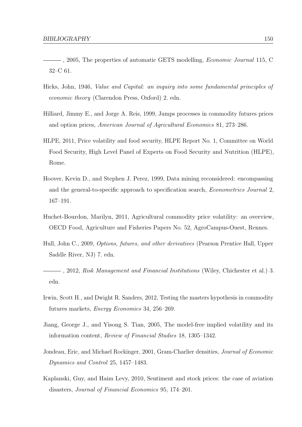- $-$ , 2005, The properties of automatic GETS modelling, *Economic Journal* 115, C 32–C 61.
- Hicks, John, 1946, Value and Capital: an inquiry into some fundamental principles of economic theory (Clarendon Press, Oxford) 2. edn.
- Hilliard, Jimmy E., and Jorge A. Reis, 1999, Jumps processes in commodity futures prices and option prices, American Journal of Agricultural Economics 81, 273–286.
- HLPE, 2011, Price volatility and food security, HLPE Report No. 1, Committee on World Food Security, High Level Panel of Experts on Food Security and Nutrition (HLPE), Rome.
- Hoover, Kevin D., and Stephen J. Perez, 1999, Data mining reconsidered: encompassing and the general-to-specific approach to specification search, Econometrics Journal 2, 167–191.
- Huchet-Bourdon, Marilyn, 2011, Agricultural commodity price volatility: an overview, OECD Food, Agriculture and Fisheries Papers No. 52, AgroCampus-Ouest, Rennes.
- Hull, John C., 2009, Options, futures, and other derivatives (Pearson Prentice Hall, Upper Saddle River, NJ) 7. edn.
- $-$ , 2012, Risk Management and Financial Institutions (Wiley, Chichester et al.) 3. edn.
- Irwin, Scott H., and Dwight R. Sanders, 2012, Testing the masters hypothesis in commodity futures markets, Energy Economics 34, 256–269.
- Jiang, George J., and Yisong S. Tian, 2005, The model-free implied volatility and its information content, Review of Financial Studies 18, 1305–1342.
- Jondeau, Eric, and Michael Rockinger, 2001, Gram-Charlier densities, Journal of Economic Dynamics and Control 25, 1457–1483.
- Kaplanski, Guy, and Haim Levy, 2010, Sentiment and stock prices: the case of aviation disasters, Journal of Financial Economics 95, 174–201.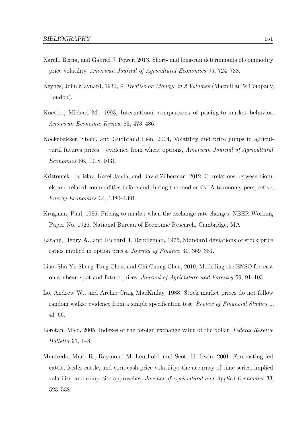- Karali, Berna, and Gabriel J. Power, 2013, Short- and long-run determinants of commodity price volatility, American Journal of Agricultural Economics 95, 724–738.
- Keynes, John Maynard, 1930, A Treatise on Money: in 2 Volumes (Macmillan & Company, London).
- Knetter, Michael M., 1993, International comparisons of pricing-to-market behavior, American Economic Review 83, 473–486.
- Koekebakker, Steen, and Gudbrand Lien, 2004, Volatility and price jumps in agricultural futures prices – evidence from wheat options, American Journal of Agricultural Economics 86, 1018–1031.
- Kristoufek, Ladislav, Karel Janda, and David Zilberman, 2012, Correlations between biofuels and related commodities before and during the food crisis: A taxonomy perspective, Energy Economics 34, 1380–1391.
- Krugman, Paul, 1986, Pricing to market when the exchange rate changes, NBER Working Paper No. 1926, National Bureau of Economic Research, Cambridge, MA.
- Latané, Henry A., and Richard J. Rendleman, 1976, Standard deviations of stock price ratios implied in option prices, Journal of Finance 31, 369–381.
- Liao, Shu-Yi, Sheng-Tung Chen, and Chi-Chung Chen, 2010, Modelling the ENSO forecast on soybean spot and future prices, Journal of Agriculture and Forestry 59, 91–103.
- Lo, Andrew W., and Archie Craig MacKinlay, 1988, Stock market prices do not follow random walks: evidence from a simple specification test, Review of Financial Studies 1, 41–66.
- Loretan, Mico, 2005, Indexes of the foreign exchange value of the dollar, Federal Reserve Bulletin 91, 1–8.
- Manfredo, Mark R., Raymond M. Leuthold, and Scott H. Irwin, 2001, Forecasting fed cattle, feeder cattle, and corn cash price volatility: the accuracy of time series, implied volatility, and composite approaches, Journal of Agricultural and Applied Economics 33, 523–538.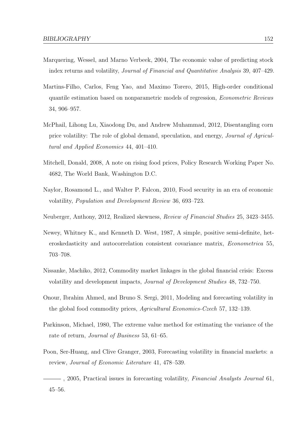- Marquering, Wessel, and Marno Verbeek, 2004, The economic value of predicting stock index returns and volatility, Journal of Financial and Quantitative Analysis 39, 407–429.
- Martins-Filho, Carlos, Feng Yao, and Maximo Torero, 2015, High-order conditional quantile estimation based on nonparametric models of regression, Econometric Reviews 34, 906–957.
- McPhail, Lihong Lu, Xiaodong Du, and Andrew Muhammad, 2012, Disentangling corn price volatility: The role of global demand, speculation, and energy, Journal of Agricultural and Applied Economics 44, 401–410.
- Mitchell, Donald, 2008, A note on rising food prices, Policy Research Working Paper No. 4682, The World Bank, Washington D.C.
- Naylor, Rosamond L., and Walter P. Falcon, 2010, Food security in an era of economic volatility, Population and Development Review 36, 693–723.
- Neuberger, Anthony, 2012, Realized skewness, Review of Financial Studies 25, 3423–3455.
- Newey, Whitney K., and Kenneth D. West, 1987, A simple, positive semi-definite, heteroskedasticity and autocorrelation consistent covariance matrix, Econometrica 55, 703–708.
- Nissanke, Machiko, 2012, Commodity market linkages in the global financial crisis: Excess volatility and development impacts, Journal of Development Studies 48, 732–750.
- Onour, Ibrahim Ahmed, and Bruno S. Sergi, 2011, Modeling and forecasting volatility in the global food commodity prices, Agricultural Economics-Czech 57, 132–139.
- Parkinson, Michael, 1980, The extreme value method for estimating the variance of the rate of return, Journal of Business 53, 61–65.
- Poon, Ser-Huang, and Clive Granger, 2003, Forecasting volatility in financial markets: a review, Journal of Economic Literature 41, 478–539.
- $-$ , 2005, Practical issues in forecasting volatility, *Financial Analysts Journal* 61, 45–56.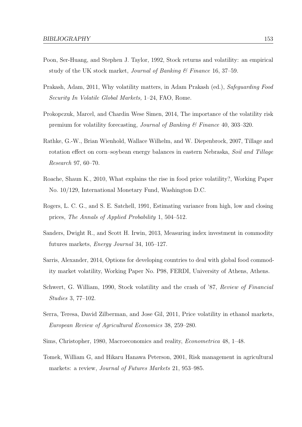- Poon, Ser-Huang, and Stephen J. Taylor, 1992, Stock returns and volatility: an empirical study of the UK stock market, *Journal of Banking*  $\mathcal{C}$  Finance 16, 37–59.
- Prakash, Adam, 2011, Why volatility matters, in Adam Prakash (ed.), Safeguarding Food Security In Volatile Global Markets, 1–24, FAO, Rome.
- Prokopczuk, Marcel, and Chardin Wese Simen, 2014, The importance of the volatility risk premium for volatility forecasting, Journal of Banking & Finance 40, 303–320.
- Rathke, G.-W., Brian Wienhold, Wallace Wilhelm, and W. Diepenbrock, 2007, Tillage and rotation effect on corn–soybean energy balances in eastern Nebraska, Soil and Tillage Research 97, 60–70.
- Roache, Shaun K., 2010, What explains the rise in food price volatility?, Working Paper No. 10/129, International Monetary Fund, Washington D.C.
- Rogers, L. C. G., and S. E. Satchell, 1991, Estimating variance from high, low and closing prices, The Annals of Applied Probability 1, 504–512.
- Sanders, Dwight R., and Scott H. Irwin, 2013, Measuring index investment in commodity futures markets, Energy Journal 34, 105–127.
- Sarris, Alexander, 2014, Options for developing countries to deal with global food commodity market volatility, Working Paper No. P98, FERDI, University of Athens, Athens.
- Schwert, G. William, 1990, Stock volatility and the crash of '87, Review of Financial Studies 3, 77–102.
- Serra, Teresa, David Zilberman, and Jose Gil, 2011, Price volatility in ethanol markets, European Review of Agricultural Economics 38, 259–280.
- Sims, Christopher, 1980, Macroeconomics and reality, Econometrica 48, 1–48.
- Tomek, William G, and Hikaru Hanawa Peterson, 2001, Risk management in agricultural markets: a review, Journal of Futures Markets 21, 953–985.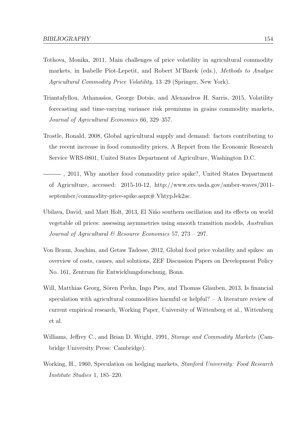- Tothova, Monika, 2011, Main challenges of price volatility in agricultural commodity markets, in Isabelle Piot-Lepetit, and Robert M'Barek (eds.), Methods to Analyse Agricultural Commodity Price Volatility, 13–29 (Springer, New York).
- Triantafyllou, Athanasios, George Dotsis, and Alexandros H. Sarris, 2015, Volatility forecasting and time-varying variance risk premiums in grains commodity markets, Journal of Agricultural Economics 66, 329–357.
- Trostle, Ronald, 2008, Global agricultural supply and demand: factors contributing to the recent increase in food commodity prices, A Report from the Economic Research Service WRS-0801, United States Department of Agriculture, Washington D.C.
- , 2011, Why another food commodity price spike?, United States Department of Agriculture, accessed: 2015-10-12, http://www.ers.usda.gov/amber-waves/2011 september/commodity-price-spike.aspx#.VhtypJek2ac.
- Ubilava, David, and Matt Holt, 2013, El Niño southern oscillation and its effects on world vegetable oil prices: assessing asymmetries using smooth transition models, Australian Journal of Agricultural & Resource Economics 57, 273 – 297.
- Von Braun, Joachim, and Getaw Tadesse, 2012, Global food price volatility and spikes: an overview of costs, causes, and solutions, ZEF Discussion Papers on Development Policy No. 161, Zentrum für Entwicklungsforschung, Bonn.
- Will, Matthias Georg, Sören Prehn, Ingo Pies, and Thomas Glauben, 2013, Is financial speculation with agricultural commodities harmful or helpful? – A literature review of current empirical research, Working Paper, University of Wittenberg et al., Wittenberg et al.
- Williams, Jeffrey C., and Brian D. Wright, 1991, *Storage and Commodity Markets* (Cambridge University Press: Cambridge).
- Working, H., 1960, Speculation on hedging markets, *Stanford University: Food Research* Institute Studies 1, 185–220.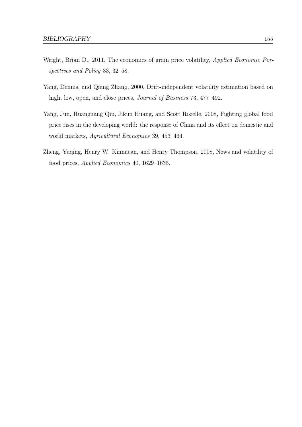- Wright, Brian D., 2011, The economics of grain price volatility, Applied Economic Perspectives and Policy 33, 32–58.
- Yang, Dennis, and Qiang Zhang, 2000, Drift-independent volatility estimation based on high, low, open, and close prices, *Journal of Business* 73, 477–492.
- Yang, Jun, Huanguang Qiu, Jikun Huang, and Scott Rozelle, 2008, Fighting global food price rises in the developing world: the response of China and its effect on domestic and world markets, Agricultural Economics 39, 453–464.
- Zheng, Yuqing, Henry W. Kinnucan, and Henry Thompson, 2008, News and volatility of food prices, Applied Economics 40, 1629–1635.